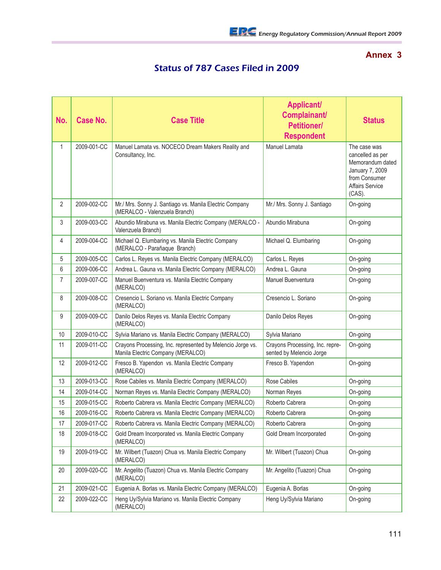## **Annex 3**

## Status of 787 Cases Filed in 2009

| No. | Case No.    | <b>Case Title</b>                                                                               | <b>Applicant/</b><br>Complainant/<br><b>Petitioner/</b><br><b>Respondent</b> | <b>Status</b>                                                                                                                |
|-----|-------------|-------------------------------------------------------------------------------------------------|------------------------------------------------------------------------------|------------------------------------------------------------------------------------------------------------------------------|
| 1   | 2009-001-CC | Manuel Lamata vs. NOCECO Dream Makers Reality and<br>Consultancy, Inc.                          | Manuel Lamata                                                                | The case was<br>cancelled as per<br>Memorandum dated<br>January 7, 2009<br>from Consumer<br><b>Affairs Service</b><br>(CAS). |
| 2   | 2009-002-CC | Mr./ Mrs. Sonny J. Santiago vs. Manila Electric Company<br>(MERALCO - Valenzuela Branch)        | Mr./ Mrs. Sonny J. Santiago                                                  | On-going                                                                                                                     |
| 3   | 2009-003-CC | Abundio Mirabuna vs. Manila Electric Company (MERALCO -<br>Valenzuela Branch)                   | Abundio Mirabuna                                                             | On-going                                                                                                                     |
| 4   | 2009-004-CC | Michael Q. Elumbaring vs. Manila Electric Company<br>(MERALCO - Parañaque Branch)               | Michael Q. Elumbaring                                                        | On-going                                                                                                                     |
| 5   | 2009-005-CC | Carlos L. Reyes vs. Manila Electric Company (MERALCO)                                           | Carlos L. Reyes                                                              | On-going                                                                                                                     |
| 6   | 2009-006-CC | Andrea L. Gauna vs. Manila Electric Company (MERALCO)                                           | Andrea L. Gauna                                                              | On-going                                                                                                                     |
| 7   | 2009-007-CC | Manuel Buenventura vs. Manila Electric Company<br>(MERALCO)                                     | <b>Manuel Buenventura</b>                                                    | On-going                                                                                                                     |
| 8   | 2009-008-CC | Cresencio L. Soriano vs. Manila Electric Company<br>(MERALCO)                                   | Cresencio L. Soriano                                                         | On-going                                                                                                                     |
| 9   | 2009-009-CC | Danilo Delos Reyes vs. Manila Electric Company<br>(MERALCO)                                     | Danilo Delos Reyes                                                           | On-going                                                                                                                     |
| 10  | 2009-010-CC | Sylvia Mariano vs. Manila Electric Company (MERALCO)                                            | Sylvia Mariano                                                               | On-going                                                                                                                     |
| 11  | 2009-011-CC | Crayons Processing, Inc. represented by Melencio Jorge vs.<br>Manila Electric Company (MERALCO) | Crayons Processing, Inc. repre-<br>sented by Melencio Jorge                  | On-going                                                                                                                     |
| 12  | 2009-012-CC | Fresco B. Yapendon vs. Manila Electric Company<br>(MERALCO)                                     | Fresco B. Yapendon                                                           | On-going                                                                                                                     |
| 13  | 2009-013-CC | Rose Cabiles vs. Manila Electric Company (MERALCO)                                              | <b>Rose Cabiles</b>                                                          | On-going                                                                                                                     |
| 14  | 2009-014-CC | Norman Reyes vs. Manila Electric Company (MERALCO)                                              | Norman Reyes                                                                 | On-going                                                                                                                     |
| 15  | 2009-015-CC | Roberto Cabrera vs. Manila Electric Company (MERALCO)                                           | Roberto Cabrera                                                              | On-going                                                                                                                     |
| 16  | 2009-016-CC | Roberto Cabrera vs. Manila Electric Company (MERALCO)                                           | Roberto Cabrera                                                              | On-going                                                                                                                     |
| 17  | 2009-017-CC | Roberto Cabrera vs. Manila Electric Company (MERALCO)                                           | Roberto Cabrera                                                              | On-going                                                                                                                     |
| 18  | 2009-018-CC | Gold Dream Incorporated vs. Manila Electric Company<br>(MERALCO)                                | Gold Dream Incorporated                                                      | On-going                                                                                                                     |
| 19  | 2009-019-CC | Mr. Wilbert (Tuazon) Chua vs. Manila Electric Company<br>(MERALCO)                              | Mr. Wilbert (Tuazon) Chua                                                    | On-going                                                                                                                     |
| 20  | 2009-020-CC | Mr. Angelito (Tuazon) Chua vs. Manila Electric Company<br>(MERALCO)                             | Mr. Angelito (Tuazon) Chua                                                   | On-going                                                                                                                     |
| 21  | 2009-021-CC | Eugenia A. Borlas vs. Manila Electric Company (MERALCO)                                         | Eugenia A. Borlas                                                            | On-going                                                                                                                     |
| 22  | 2009-022-CC | Heng Uy/Sylvia Mariano vs. Manila Electric Company<br>(MERALCO)                                 | Heng Uy/Sylvia Mariano                                                       | On-going                                                                                                                     |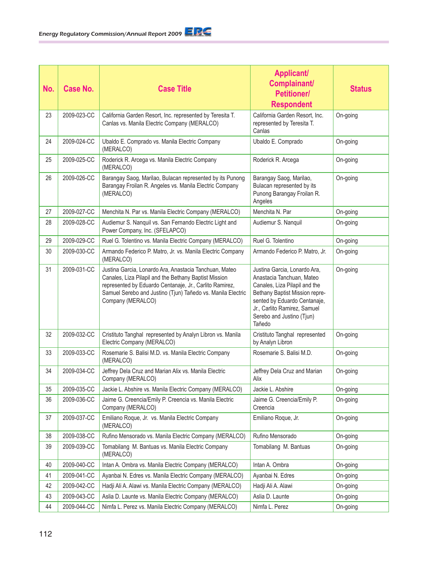| No. | Case No.    | <b>Case Title</b>                                                                                                                                                                                                                                              | <b>Applicant/</b><br>Complainant/<br><b>Petitioner/</b><br><b>Respondent</b>                                                                                                                                                        | <b>Status</b> |
|-----|-------------|----------------------------------------------------------------------------------------------------------------------------------------------------------------------------------------------------------------------------------------------------------------|-------------------------------------------------------------------------------------------------------------------------------------------------------------------------------------------------------------------------------------|---------------|
| 23  | 2009-023-CC | California Garden Resort, Inc. represented by Teresita T.<br>Canlas vs. Manila Electric Company (MERALCO)                                                                                                                                                      | California Garden Resort. Inc.<br>represented by Teresita T.<br>Canlas                                                                                                                                                              | On-going      |
| 24  | 2009-024-CC | Ubaldo E. Comprado vs. Manila Electric Company<br>(MERALCO)                                                                                                                                                                                                    | Ubaldo E. Comprado                                                                                                                                                                                                                  | On-going      |
| 25  | 2009-025-CC | Roderick R. Arcega vs. Manila Electric Company<br>(MERALCO)                                                                                                                                                                                                    | Roderick R. Arcega                                                                                                                                                                                                                  | On-going      |
| 26  | 2009-026-CC | Barangay Saog, Marilao, Bulacan represented by its Punong<br>Barangay Froilan R. Angeles vs. Manila Electric Company<br>(MERALCO)                                                                                                                              | Barangay Saog, Marilao,<br>Bulacan represented by its<br>Punong Barangay Froilan R.<br>Angeles                                                                                                                                      | On-going      |
| 27  | 2009-027-CC | Menchita N. Par vs. Manila Electric Company (MERALCO)                                                                                                                                                                                                          | Menchita N. Par                                                                                                                                                                                                                     | On-going      |
| 28  | 2009-028-CC | Audiemur S. Nanquil vs. San Fernando Electric Light and<br>Power Company, Inc. (SFELAPCO)                                                                                                                                                                      | Audiemur S. Nanquil                                                                                                                                                                                                                 | On-going      |
| 29  | 2009-029-CC | Ruel G. Tolentino vs. Manila Electric Company (MERALCO)                                                                                                                                                                                                        | Ruel G. Tolentino                                                                                                                                                                                                                   | On-going      |
| 30  | 2009-030-CC | Armando Federico P. Matro, Jr. vs. Manila Electric Company<br>(MERALCO)                                                                                                                                                                                        | Armando Federico P. Matro, Jr.                                                                                                                                                                                                      | On-going      |
| 31  | 2009-031-CC | Justina Garcia, Lonardo Ara, Anastacia Tanchuan, Mateo<br>Canales, Liza Pilapil and the Bethany Baptist Mission<br>represented by Eduardo Centanaje, Jr., Carlito Ramirez,<br>Samuel Serebo and Justino (Tjun) Tañedo vs. Manila Electric<br>Company (MERALCO) | Justina Garcia, Lonardo Ara,<br>Anastacia Tanchuan, Mateo<br>Canales, Liza Pilapil and the<br>Bethany Baptist Mission repre-<br>sented by Eduardo Centanaje,<br>Jr., Carlito Ramirez, Samuel<br>Serebo and Justino (Tjun)<br>Tañedo | On-going      |
| 32  | 2009-032-CC | Cristituto Tanghal represented by Analyn Libron vs. Manila<br>Electric Company (MERALCO)                                                                                                                                                                       | Cristituto Tanghal represented<br>by Analyn Libron                                                                                                                                                                                  | On-going      |
| 33  | 2009-033-CC | Rosemarie S. Balisi M.D. vs. Manila Electric Company<br>(MERALCO)                                                                                                                                                                                              | Rosemarie S. Balisi M.D.                                                                                                                                                                                                            | On-going      |
| 34  | 2009-034-CC | Jeffrey Dela Cruz and Marian Alix vs. Manila Electric<br>Company (MERALCO)                                                                                                                                                                                     | Jeffrey Dela Cruz and Marian<br>Alix                                                                                                                                                                                                | On-going      |
| 35  | 2009-035-CC | Jackie L. Abshire vs. Manila Electric Company (MERALCO)                                                                                                                                                                                                        | Jackie L. Abshire                                                                                                                                                                                                                   | On-going      |
| 36  | 2009-036-CC | Jaime G. Creencia/Emily P. Creencia vs. Manila Electric<br>Company (MERALCO)                                                                                                                                                                                   | Jaime G. Creencia/Emily P.<br>Creencia                                                                                                                                                                                              | On-going      |
| 37  | 2009-037-CC | Emiliano Roque, Jr. vs. Manila Electric Company<br>(MERALCO)                                                                                                                                                                                                   | Emiliano Roque, Jr.                                                                                                                                                                                                                 | On-going      |
| 38  | 2009-038-CC | Rufino Mensorado vs. Manila Electric Company (MERALCO)                                                                                                                                                                                                         | Rufino Mensorado                                                                                                                                                                                                                    | On-going      |
| 39  | 2009-039-CC | Tomabilang M. Bantuas vs. Manila Electric Company<br>(MERALCO)                                                                                                                                                                                                 | Tomabilang M. Bantuas                                                                                                                                                                                                               | On-going      |
| 40  | 2009-040-CC | Intan A. Ombra vs. Manila Electric Company (MERALCO)                                                                                                                                                                                                           | Intan A. Ombra                                                                                                                                                                                                                      | On-going      |
| 41  | 2009-041-CC | Ayanbai N. Edres vs. Manila Electric Company (MERALCO)                                                                                                                                                                                                         | Ayanbai N. Edres                                                                                                                                                                                                                    | On-going      |
| 42  | 2009-042-CC | Hadji Ali A. Alawi vs. Manila Electric Company (MERALCO)                                                                                                                                                                                                       | Hadji Ali A. Alawi                                                                                                                                                                                                                  | On-going      |
| 43  | 2009-043-CC | Aslia D. Launte vs. Manila Electric Company (MERALCO)                                                                                                                                                                                                          | Aslia D. Launte                                                                                                                                                                                                                     | On-going      |
| 44  | 2009-044-CC | Nimfa L. Perez vs. Manila Electric Company (MERALCO)                                                                                                                                                                                                           | Nimfa L. Perez                                                                                                                                                                                                                      | On-going      |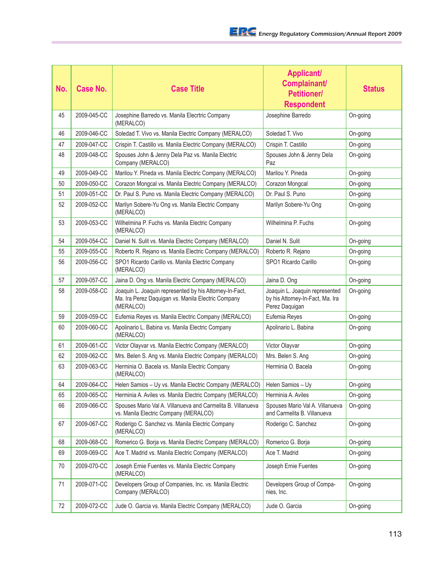| No. | Case No.    | <b>Case Title</b>                                                                                                          | <b>Applicant/</b><br>Complainant/<br><b>Petitioner/</b><br><b>Respondent</b>         | <b>Status</b> |
|-----|-------------|----------------------------------------------------------------------------------------------------------------------------|--------------------------------------------------------------------------------------|---------------|
| 45  | 2009-045-CC | Josephine Barredo vs. Manila Elecrtric Company<br>(MERALCO)                                                                | Josephine Barredo                                                                    | On-going      |
| 46  | 2009-046-CC | Soledad T. Vivo vs. Manila Electric Company (MERALCO)                                                                      | Soledad T. Vivo                                                                      | On-going      |
| 47  | 2009-047-CC | Crispin T. Castillo vs. Manila Electric Company (MERALCO)                                                                  | Crispin T. Castillo                                                                  | On-going      |
| 48  | 2009-048-CC | Spouses John & Jenny Dela Paz vs. Manila Electric<br>Company (MERALCO)                                                     | Spouses John & Jenny Dela<br>Paz                                                     | On-going      |
| 49  | 2009-049-CC | Marilou Y. Pineda vs. Manila Electric Company (MERALCO)                                                                    | Marilou Y. Pineda                                                                    | On-going      |
| 50  | 2009-050-CC | Corazon Mongcal vs. Manila Electric Company (MERALCO)                                                                      | Corazon Mongcal                                                                      | On-going      |
| 51  | 2009-051-CC | Dr. Paul S. Puno vs. Manila Electric Company (MERALCO)                                                                     | Dr. Paul S. Puno                                                                     | On-going      |
| 52  | 2009-052-CC | Marilyn Sobere-Yu Ong vs. Manila Electric Company<br>(MERALCO)                                                             | Marilyn Sobere-Yu Ong                                                                | On-going      |
| 53  | 2009-053-CC | Wilhelmina P. Fuchs vs. Manila Electric Company<br>(MERALCO)                                                               | Wilhelmina P. Fuchs                                                                  | On-going      |
| 54  | 2009-054-CC | Daniel N. Sulit vs. Manila Electric Company (MERALCO)                                                                      | Daniel N. Sulit                                                                      | On-going      |
| 55  | 2009-055-CC | Roberto R. Rejano vs. Manila Electric Company (MERALCO)                                                                    | Roberto R. Rejano                                                                    | On-going      |
| 56  | 2009-056-CC | SPO1 Ricardo Carillo vs. Manila Electric Company<br>(MERALCO)                                                              | SPO1 Ricardo Carillo                                                                 | On-going      |
| 57  | 2009-057-CC | Jaina D. Ong vs. Manila Electric Company (MERALCO)                                                                         | Jaina D. Ong                                                                         | On-going      |
| 58  | 2009-058-CC | Joaquin L. Joaquin represented by his Attorney-In-Fact,<br>Ma. Ira Perez Daquigan vs. Manila Electric Company<br>(MERALCO) | Joaquin L. Joaquin represented<br>by his Attorney-In-Fact, Ma. Ira<br>Perez Daquigan | On-going      |
| 59  | 2009-059-CC | Eufemia Reyes vs. Manila Electric Company (MERALCO)                                                                        | Eufemia Reyes                                                                        | On-going      |
| 60  | 2009-060-CC | Apolinario L. Babina vs. Manila Electric Company<br>(MERALCO)                                                              | Apolinario L. Babina                                                                 | On-going      |
| 61  | 2009-061-CC | Victor Olayvar vs. Manila Electric Company (MERALCO)                                                                       | Victor Olayvar                                                                       | On-going      |
| 62  | 2009-062-CC | Mrs. Belen S. Ang vs. Manila Electric Company (MERALCO)                                                                    | Mrs. Belen S. Ang                                                                    | On-going      |
| 63  | 2009-063-CC | Herminia O. Bacela vs. Manila Electric Company<br>(MERALCO)                                                                | Herminia O. Bacela                                                                   | On-going      |
| 64  | 2009-064-CC | Helen Samios - Uy vs. Manila Electric Company (MERALCO)   Helen Samios - Uy                                                |                                                                                      | On-going      |
| 65  | 2009-065-CC | Herminia A. Aviles vs. Manila Electric Company (MERALCO)                                                                   | Herminia A. Aviles                                                                   | On-going      |
| 66  | 2009-066-CC | Spouses Mario Val A. Villanueva and Carmelita B. Villanueva<br>vs. Manila Electric Company (MERALCO)                       | Spouses Mario Val A. Villanueva<br>and Carmelita B. Villanueva                       | On-going      |
| 67  | 2009-067-CC | Roderigo C. Sanchez vs. Manila Electric Company<br>(MERALCO)                                                               | Roderigo C. Sanchez                                                                  | On-going      |
| 68  | 2009-068-CC | Romerico G. Borja vs. Manila Electric Company (MERALCO)                                                                    | Romerico G. Borja                                                                    | On-going      |
| 69  | 2009-069-CC | Ace T. Madrid vs. Manila Electric Company (MERALCO)                                                                        | Ace T. Madrid                                                                        | On-going      |
| 70  | 2009-070-CC | Joseph Ernie Fuentes vs. Manila Electric Company<br>(MERALCO)                                                              | Joseph Ernie Fuentes                                                                 | On-going      |
| 71  | 2009-071-CC | Developers Group of Companies, Inc. vs. Manila Electric<br>Company (MERALCO)                                               | Developers Group of Compa-<br>nies, Inc.                                             | On-going      |
| 72  | 2009-072-CC | Jude O. Garcia vs. Manila Electric Company (MERALCO)                                                                       | Jude O. Garcia                                                                       | On-going      |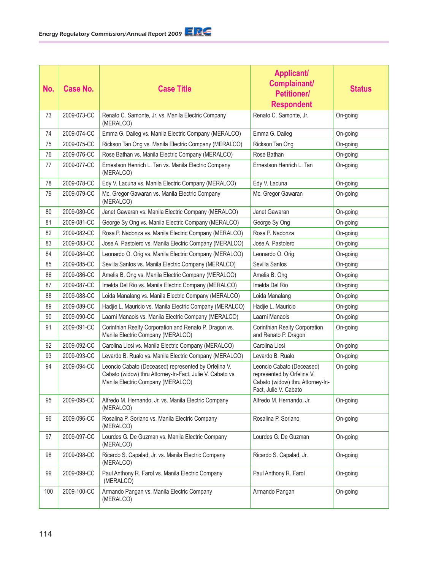| No. | <b>Case No.</b> | <b>Case Title</b>                                                                                                                                      | <b>Applicant/</b><br>Complainant/<br><b>Petitioner/</b><br><b>Respondent</b>                                         | <b>Status</b> |
|-----|-----------------|--------------------------------------------------------------------------------------------------------------------------------------------------------|----------------------------------------------------------------------------------------------------------------------|---------------|
| 73  | 2009-073-CC     | Renato C. Samonte, Jr. vs. Manila Electric Company<br>(MERALCO)                                                                                        | Renato C. Samonte, Jr.                                                                                               | On-going      |
| 74  | 2009-074-CC     | Emma G. Daileg vs. Manila Electric Company (MERALCO)                                                                                                   | Emma G. Daileg                                                                                                       | On-going      |
| 75  | 2009-075-CC     | Rickson Tan Ong vs. Manila Electric Company (MERALCO)                                                                                                  | Rickson Tan Ong                                                                                                      | On-going      |
| 76  | 2009-076-CC     | Rose Bathan vs. Manila Electric Company (MERALCO)                                                                                                      | Rose Bathan                                                                                                          | On-going      |
| 77  | 2009-077-CC     | Ernestson Henrich L. Tan vs. Manila Electric Company<br>(MERALCO)                                                                                      | Ernestson Henrich L. Tan                                                                                             | On-going      |
| 78  | 2009-078-CC     | Edy V. Lacuna vs. Manila Electric Company (MERALCO)                                                                                                    | Edy V. Lacuna                                                                                                        | On-going      |
| 79  | 2009-079-CC     | Mc. Gregor Gawaran vs. Manila Electric Company<br>(MERALCO)                                                                                            | Mc. Gregor Gawaran                                                                                                   | On-going      |
| 80  | 2009-080-CC     | Janet Gawaran vs. Manila Electric Company (MERALCO)                                                                                                    | Janet Gawaran                                                                                                        | On-going      |
| 81  | 2009-081-CC     | George Sy Ong vs. Manila Electric Company (MERALCO)                                                                                                    | George Sy Ong                                                                                                        | On-going      |
| 82  | 2009-082-CC     | Rosa P. Nadonza vs. Manila Electric Company (MERALCO)                                                                                                  | Rosa P. Nadonza                                                                                                      | On-going      |
| 83  | 2009-083-CC     | Jose A. Pastolero vs. Manila Electric Company (MERALCO)                                                                                                | Jose A. Pastolero                                                                                                    | On-going      |
| 84  | 2009-084-CC     | Leonardo O. Orig vs. Manila Electric Company (MERALCO)                                                                                                 | Leonardo O. Orig                                                                                                     | On-going      |
| 85  | 2009-085-CC     | Sevilla Santos vs. Manila Electric Company (MERALCO)                                                                                                   | Sevilla Santos                                                                                                       | On-going      |
| 86  | 2009-086-CC     | Amelia B. Ong vs. Manila Electric Company (MERALCO)                                                                                                    | Amelia B. Ong                                                                                                        | On-going      |
| 87  | 2009-087-CC     | Imelda Del Rio vs. Manila Electric Company (MERALCO)                                                                                                   | Imelda Del Rio                                                                                                       | On-going      |
| 88  | 2009-088-CC     | Loida Manalang vs. Manila Electric Company (MERALCO)                                                                                                   | Loida Manalang                                                                                                       | On-going      |
| 89  | 2009-089-CC     | Hadjie L. Mauricio vs. Manila Electric Company (MERALCO)                                                                                               | Hadjie L. Mauricio                                                                                                   | On-going      |
| 90  | 2009-090-CC     | Laarni Manaois vs. Manila Electric Company (MERALCO)                                                                                                   | Laarni Manaois                                                                                                       | On-going      |
| 91  | 2009-091-CC     | Corinthian Realty Corporation and Renato P. Dragon vs.<br>Manila Electric Company (MERALCO)                                                            | Corinthian Realty Corporation<br>and Renato P. Dragon                                                                | On-going      |
| 92  | 2009-092-CC     | Carolina Licsi vs. Manila Electric Company (MERALCO)                                                                                                   | Carolina Licsi                                                                                                       | On-going      |
| 93  | 2009-093-CC     | Levardo B. Rualo vs. Manila Electric Company (MERALCO)                                                                                                 | Levardo B. Rualo                                                                                                     | On-going      |
| 94  | 2009-094-CC     | Leoncio Cabato (Deceased) represented by Orfelina V.<br>Cabato (widow) thru Attorney-In-Fact, Julie V. Cabato vs.<br>Manila Electric Company (MERALCO) | Leoncio Cabato (Deceased)<br>represented by Orfelina V.<br>Cabato (widow) thru Attorney-In-<br>Fact, Julie V. Cabato | On-going      |
| 95  | 2009-095-CC     | Alfredo M. Hernando, Jr. vs. Manila Electric Company<br>(MERALCO)                                                                                      | Alfredo M. Hernando, Jr.                                                                                             | On-going      |
| 96  | 2009-096-CC     | Rosalina P. Soriano vs. Manila Electric Company<br>(MERALCO)                                                                                           | Rosalina P. Soriano                                                                                                  | On-going      |
| 97  | 2009-097-CC     | Lourdes G. De Guzman vs. Manila Electric Company<br>(MERALCO)                                                                                          | Lourdes G. De Guzman                                                                                                 | On-going      |
| 98  | 2009-098-CC     | Ricardo S. Capalad, Jr. vs. Manila Electric Company<br>(MERALCO)                                                                                       | Ricardo S. Capalad, Jr.                                                                                              | On-going      |
| 99  | 2009-099-CC     | Paul Anthony R. Farol vs. Manila Electric Company<br>(MERALCO)                                                                                         | Paul Anthony R. Farol                                                                                                | On-going      |
| 100 | 2009-100-CC     | Armando Pangan vs. Manila Electric Company<br>(MERALCO)                                                                                                | Armando Pangan                                                                                                       | On-going      |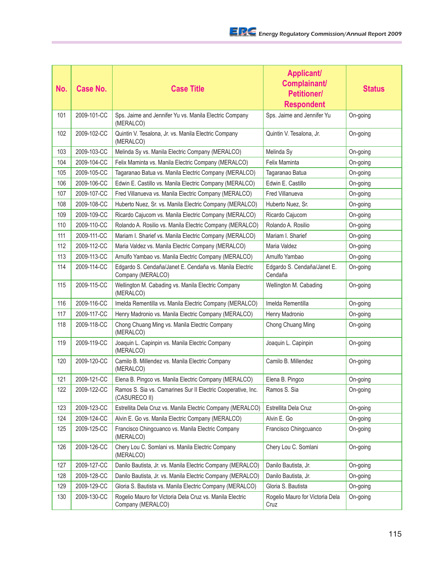| No. | Case No.    | <b>Case Title</b>                                                             | <b>Applicant/</b><br>Complainant/<br><b>Petitioner/</b><br><b>Respondent</b> | <b>Status</b> |
|-----|-------------|-------------------------------------------------------------------------------|------------------------------------------------------------------------------|---------------|
| 101 | 2009-101-CC | Sps. Jaime and Jennifer Yu vs. Manila Electric Company<br>(MERALCO)           | Sps. Jaime and Jennifer Yu                                                   | On-going      |
| 102 | 2009-102-CC | Quintin V. Tesalona, Jr. vs. Manila Electric Company<br>(MERALCO)             | Quintin V. Tesalona, Jr.                                                     | On-going      |
| 103 | 2009-103-CC | Melinda Sy vs. Manila Electric Company (MERALCO)                              | Melinda Sy                                                                   | On-going      |
| 104 | 2009-104-CC | Felix Maminta vs. Manila Electric Company (MERALCO)                           | Felix Maminta                                                                | On-going      |
| 105 | 2009-105-CC | Tagaranao Batua vs. Manila Electric Company (MERALCO)                         | Tagaranao Batua                                                              | On-going      |
| 106 | 2009-106-CC | Edwin E. Castillo vs. Manila Electric Company (MERALCO)                       | Edwin E. Castillo                                                            | On-going      |
| 107 | 2009-107-CC | Fred Villanueva vs. Manila Electric Company (MERALCO)                         | Fred Villanueva                                                              | On-going      |
| 108 | 2009-108-CC | Huberto Nuez, Sr. vs. Manila Electric Company (MERALCO)                       | Huberto Nuez, Sr.                                                            | On-going      |
| 109 | 2009-109-CC | Ricardo Cajucom vs. Manila Electric Company (MERALCO)                         | Ricardo Cajucom                                                              | On-going      |
| 110 | 2009-110-CC | Rolando A. Rosilio vs. Manila Electric Company (MERALCO)                      | Rolando A. Rosilio                                                           | On-going      |
| 111 | 2009-111-CC | Mariam I. Sharief vs. Manila Electric Company (MERALCO)                       | Mariam I. Sharief                                                            | On-going      |
| 112 | 2009-112-CC | Maria Valdez vs. Manila Electric Company (MERALCO)                            | Maria Valdez                                                                 | On-going      |
| 113 | 2009-113-CC | Arnulfo Yambao vs. Manila Electric Company (MERALCO)                          | Arnulfo Yambao                                                               | On-going      |
| 114 | 2009-114-CC | Edgardo S. Cendaña/Janet E. Cendaña vs. Manila Electric<br>Company (MERALCO)  | Edgardo S. Cendaña/Janet E.<br>Cendaña                                       | On-going      |
| 115 | 2009-115-CC | Wellington M. Cabading vs. Manila Electric Company<br>(MERALCO)               | Wellington M. Cabading                                                       | On-going      |
| 116 | 2009-116-CC | Imelda Rementilla vs. Manila Electric Company (MERALCO)                       | Imelda Rementilla                                                            | On-going      |
| 117 | 2009-117-CC | Henry Madronio vs. Manila Electric Company (MERALCO)                          | Henry Madronio                                                               | On-going      |
| 118 | 2009-118-CC | Chong Chuang Ming vs. Manila Electric Company<br>(MERALCO)                    | Chong Chuang Ming                                                            | On-going      |
| 119 | 2009-119-CC | Joaquin L. Capinpin vs. Manila Electric Company<br>(MERALCO)                  | Joaquin L. Capinpin                                                          | On-going      |
| 120 | 2009-120-CC | Camilo B. Millendez vs. Manila Electric Company<br>(MERALCO)                  | Camilo B. Millendez                                                          | On-going      |
| 121 | 2009-121-CC | Elena B. Pingco vs. Manila Electric Company (MERALCO)                         | Elena B. Pingco                                                              | On-going      |
| 122 | 2009-122-CC | Ramos S. Sia vs. Camarines Sur II Electric Cooperative, Inc.<br>(CASURECO II) | Ramos S. Sia                                                                 | On-going      |
| 123 | 2009-123-CC | Estrellita Dela Cruz vs. Manila Electric Company (MERALCO)                    | Estrellita Dela Cruz                                                         | On-going      |
| 124 | 2009-124-CC | Alvin E. Go vs. Manila Electric Company (MERALCO)                             | Alvin E. Go                                                                  | On-going      |
| 125 | 2009-125-CC | Francisco Chingcuanco vs. Manila Electric Company<br>(MERALCO)                | Francisco Chingcuanco                                                        | On-going      |
| 126 | 2009-126-CC | Chery Lou C. Somlani vs. Manila Electric Company<br>(MERALCO)                 | Chery Lou C. Somlani                                                         | On-going      |
| 127 | 2009-127-CC | Danilo Bautista, Jr. vs. Manila Electric Company (MERALCO)                    | Danilo Bautista, Jr.                                                         | On-going      |
| 128 | 2009-128-CC | Danilo Bautista, Jr. vs. Manila Electric Company (MERALCO)                    | Danilo Bautista, Jr.                                                         | On-going      |
| 129 | 2009-129-CC | Gloria S. Bautista vs. Manila Electric Company (MERALCO)                      | Gloria S. Bautista                                                           | On-going      |
| 130 | 2009-130-CC | Rogelio Mauro for Victoria Dela Cruz vs. Manila Electric<br>Company (MERALCO) | Rogelio Mauro for Victoria Dela<br>Cruz                                      | On-going      |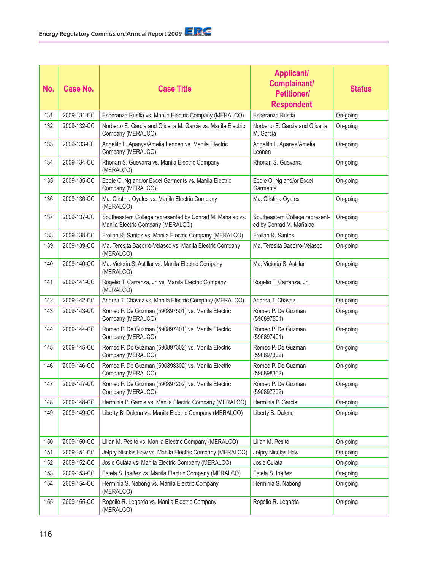| No. | <b>Case No.</b> | <b>Case Title</b>                                                                              | <b>Applicant/</b><br>Complainant/<br><b>Petitioner/</b><br><b>Respondent</b> | <b>Status</b> |
|-----|-----------------|------------------------------------------------------------------------------------------------|------------------------------------------------------------------------------|---------------|
| 131 | 2009-131-CC     | Esperanza Rustia vs. Manila Electric Company (MERALCO)                                         | Esperanza Rustia                                                             | On-going      |
| 132 | 2009-132-CC     | Norberto E. Garcia and Gliceria M. Garcia vs. Manila Electric<br>Company (MERALCO)             | Norberto E. Garcia and Gliceria<br>M. Garcia                                 | On-going      |
| 133 | 2009-133-CC     | Angelito L. Apanya/Amelia Leonen vs. Manila Electric<br>Company (MERALCO)                      | Angelito L. Apanya/Amelia<br>Leonen                                          | On-going      |
| 134 | 2009-134-CC     | Rhonan S. Guevarra vs. Manila Electric Company<br>(MERALCO)                                    | Rhonan S. Guevarra                                                           | On-going      |
| 135 | 2009-135-CC     | Eddie O. Ng and/or Excel Garments vs. Manila Electric<br>Company (MERALCO)                     | Eddie O. Ng and/or Excel<br>Garments                                         | On-going      |
| 136 | 2009-136-CC     | Ma. Cristina Oyales vs. Manila Electric Company<br>(MERALCO)                                   | Ma. Cristina Oyales                                                          | On-going      |
| 137 | 2009-137-CC     | Southeastern College represented by Conrad M. Mañalac vs.<br>Manila Electric Company (MERALCO) | Southeastern College represent-<br>ed by Conrad M. Mañalac                   | On-going      |
| 138 | 2009-138-CC     | Froilan R. Santos vs. Manila Electric Company (MERALCO)                                        | Froilan R. Santos                                                            | On-going      |
| 139 | 2009-139-CC     | Ma. Teresita Bacorro-Velasco vs. Manila Electric Company<br>(MERALCO)                          | Ma. Teresita Bacorro-Velasco                                                 | On-going      |
| 140 | 2009-140-CC     | Ma. Victoria S. Astillar vs. Manila Electric Company<br>(MERALCO)                              | Ma. Victoria S. Astillar                                                     | On-going      |
| 141 | 2009-141-CC     | Rogelio T. Carranza, Jr. vs. Manila Electric Company<br>(MERALCO)                              | Rogelio T. Carranza, Jr.                                                     | On-going      |
| 142 | 2009-142-CC     | Andrea T. Chavez vs. Manila Electric Company (MERALCO)                                         | Andrea T. Chavez                                                             | On-going      |
| 143 | 2009-143-CC     | Romeo P. De Guzman (590897501) vs. Manila Electric<br>Company (MERALCO)                        | Romeo P. De Guzman<br>(590897501)                                            | On-going      |
| 144 | 2009-144-CC     | Romeo P. De Guzman (590897401) vs. Manila Electric<br>Company (MERALCO)                        | Romeo P. De Guzman<br>(590897401)                                            | On-going      |
| 145 | 2009-145-CC     | Romeo P. De Guzman (590897302) vs. Manila Electric<br>Company (MERALCO)                        | Romeo P. De Guzman<br>(590897302)                                            | On-going      |
| 146 | 2009-146-CC     | Romeo P. De Guzman (590898302) vs. Manila Electric<br>Company (MERALCO)                        | Romeo P. De Guzman<br>(590898302)                                            | On-going      |
| 147 | 2009-147-CC     | Romeo P. De Guzman (590897202) vs. Manila Electric<br>Company (MERALCO)                        | Romeo P. De Guzman<br>(590897202)                                            | On-going      |
| 148 | 2009-148-CC     | Herminia P. Garcia vs. Manila Electric Company (MERALCO)                                       | Herminia P. Garcia                                                           | On-going      |
| 149 | 2009-149-CC     | Liberty B. Dalena vs. Manila Electric Company (MERALCO)                                        | Liberty B. Dalena                                                            | On-going      |
| 150 | 2009-150-CC     | Lilian M. Pesito vs. Manila Electric Company (MERALCO)                                         | Lilian M. Pesito                                                             | On-going      |
| 151 | 2009-151-CC     | Jefpry Nicolas Haw vs. Manila Electric Company (MERALCO)                                       | Jefpry Nicolas Haw                                                           | On-going      |
| 152 | 2009-152-CC     | Josie Culata vs. Manila Electric Company (MERALCO)                                             | Josie Culata                                                                 | On-going      |
| 153 | 2009-153-CC     | Estela S. Ibañez vs. Manila Electric Company (MERALCO)                                         | Estela S. Ibañez                                                             | On-going      |
| 154 | 2009-154-CC     | Herminia S. Nabong vs. Manila Electric Company<br>(MERALCO)                                    | Herminia S. Nabong                                                           | On-going      |
| 155 | 2009-155-CC     | Rogelio R. Legarda vs. Manila Electric Company<br>(MERALCO)                                    | Rogelio R. Legarda                                                           | On-going      |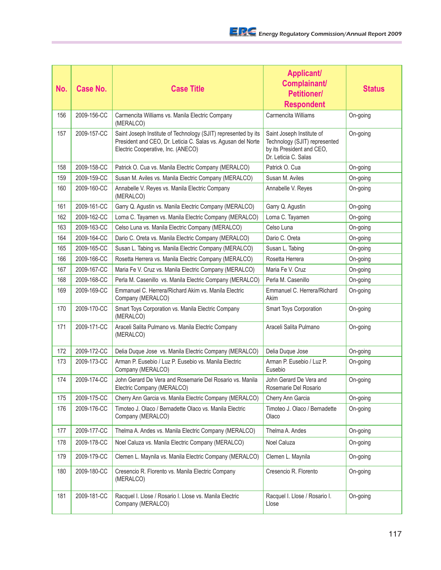| No. | Case No.    | <b>Case Title</b>                                                                                                                                                    | <b>Applicant/</b><br>Complainant/<br><b>Petitioner/</b><br><b>Respondent</b>                                    | <b>Status</b> |
|-----|-------------|----------------------------------------------------------------------------------------------------------------------------------------------------------------------|-----------------------------------------------------------------------------------------------------------------|---------------|
| 156 | 2009-156-CC | Carmencita Williams vs. Manila Electric Company<br>(MERALCO)                                                                                                         | Carmencita Williams                                                                                             | On-going      |
| 157 | 2009-157-CC | Saint Joseph Institute of Technology (SJIT) represented by its<br>President and CEO, Dr. Leticia C. Salas vs. Agusan del Norte<br>Electric Cooperative, Inc. (ANECO) | Saint Joseph Institute of<br>Technology (SJIT) represented<br>by its President and CEO,<br>Dr. Leticia C. Salas | On-going      |
| 158 | 2009-158-CC | Patrick O. Cua vs. Manila Electric Company (MERALCO)                                                                                                                 | Patrick O. Cua                                                                                                  | On-going      |
| 159 | 2009-159-CC | Susan M. Aviles vs. Manila Electric Company (MERALCO)                                                                                                                | Susan M. Aviles                                                                                                 | On-going      |
| 160 | 2009-160-CC | Annabelle V. Reyes vs. Manila Electric Company<br>(MERALCO)                                                                                                          | Annabelle V. Reyes                                                                                              | On-going      |
| 161 | 2009-161-CC | Garry Q. Agustin vs. Manila Electric Company (MERALCO)                                                                                                               | Garry Q. Agustin                                                                                                | On-going      |
| 162 | 2009-162-CC | Lorna C. Tayamen vs. Manila Electric Company (MERALCO)                                                                                                               | Lorna C. Tayamen                                                                                                | On-going      |
| 163 | 2009-163-CC | Celso Luna vs. Manila Electric Company (MERALCO)                                                                                                                     | Celso Luna                                                                                                      | On-going      |
| 164 | 2009-164-CC | Dario C. Oreta vs. Manila Electric Company (MERALCO)                                                                                                                 | Dario C. Oreta                                                                                                  | On-going      |
| 165 | 2009-165-CC | Susan L. Tabing vs. Manila Electric Company (MERALCO)                                                                                                                | Susan L. Tabing                                                                                                 | On-going      |
| 166 | 2009-166-CC | Rosetta Herrera vs. Manila Electric Company (MERALCO)                                                                                                                | Rosetta Herrera                                                                                                 | On-going      |
| 167 | 2009-167-CC | Maria Fe V. Cruz vs. Manila Electric Company (MERALCO)                                                                                                               | Maria Fe V. Cruz                                                                                                | On-going      |
| 168 | 2009-168-CC | Perla M. Casenillo vs. Manila Electric Company (MERALCO)                                                                                                             | Perla M. Casenillo                                                                                              | On-going      |
| 169 | 2009-169-CC | Emmanuel C. Herrera/Richard Akim vs. Manila Electric<br>Company (MERALCO)                                                                                            | Emmanuel C. Herrera/Richard<br>Akim                                                                             | On-going      |
| 170 | 2009-170-CC | Smart Toys Corporation vs. Manila Electric Company<br>(MERALCO)                                                                                                      | Smart Toys Corporation                                                                                          | On-going      |
| 171 | 2009-171-CC | Araceli Salita Pulmano vs. Manila Electric Company<br>(MERALCO)                                                                                                      | Araceli Salita Pulmano                                                                                          | On-going      |
| 172 | 2009-172-CC | Delia Duque Jose vs. Manila Electric Company (MERALCO)                                                                                                               | Delia Duque Jose                                                                                                | On-going      |
| 173 | 2009-173-CC | Arman P. Eusebio / Luz P. Eusebio vs. Manila Electric<br>Company (MERALCO)                                                                                           | Arman P. Eusebio / Luz P.<br>Eusebio                                                                            | On-going      |
| 174 | 2009-174-CC | John Gerard De Vera and Rosemarie Del Rosario vs. Manila<br>Electric Company (MERALCO)                                                                               | John Gerard De Vera and<br>Rosemarie Del Rosario                                                                | On-going      |
| 175 | 2009-175-CC | Cherry Ann Garcia vs. Manila Electric Company (MERALCO)                                                                                                              | Cherry Ann Garcia                                                                                               | On-going      |
| 176 | 2009-176-CC | Timoteo J. Olaco / Bernadette Olaco vs. Manila Electric<br>Company (MERALCO)                                                                                         | Timoteo J. Olaco / Bernadette<br>Olaco                                                                          | On-going      |
| 177 | 2009-177-CC | Thelma A. Andes vs. Manila Electric Company (MERALCO)                                                                                                                | Thelma A. Andes                                                                                                 | On-going      |
| 178 | 2009-178-CC | Noel Caluza vs. Manila Electric Company (MERALCO)                                                                                                                    | Noel Caluza                                                                                                     | On-going      |
| 179 | 2009-179-CC | Clemen L. Maynila vs. Manila Electric Company (MERALCO)                                                                                                              | Clemen L. Maynila                                                                                               | On-going      |
| 180 | 2009-180-CC | Cresencio R. Florento vs. Manila Electric Company<br>(MERALCO)                                                                                                       | Cresencio R. Florento                                                                                           | On-going      |
| 181 | 2009-181-CC | Racquel I. Llose / Rosario I. Llose vs. Manila Electric<br>Company (MERALCO)                                                                                         | Racquel I. Llose / Rosario I.<br>Llose                                                                          | On-going      |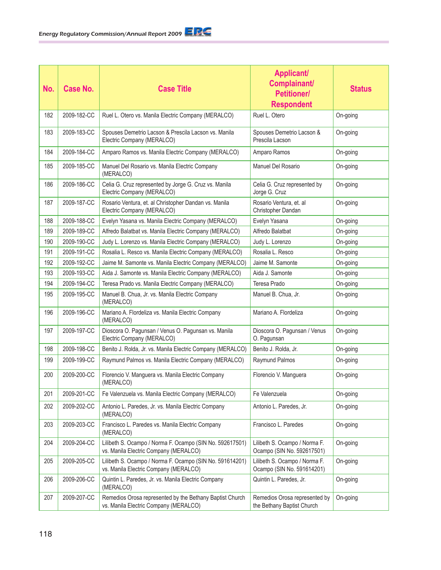| No. | <b>Case No.</b> | <b>Case Title</b>                                                                                 | <b>Applicant/</b><br>Complainant/<br><b>Petitioner/</b><br><b>Respondent</b> | <b>Status</b> |
|-----|-----------------|---------------------------------------------------------------------------------------------------|------------------------------------------------------------------------------|---------------|
| 182 | 2009-182-CC     | Ruel L. Otero vs. Manila Electric Company (MERALCO)                                               | Ruel L. Otero                                                                | On-going      |
| 183 | 2009-183-CC     | Spouses Demetrio Lacson & Prescila Lacson vs. Manila<br>Electric Company (MERALCO)                | Spouses Demetrio Lacson &<br>Prescila Lacson                                 | On-going      |
| 184 | 2009-184-CC     | Amparo Ramos vs. Manila Electric Company (MERALCO)                                                | Amparo Ramos                                                                 | On-going      |
| 185 | 2009-185-CC     | Manuel Del Rosario vs. Manila Electric Company<br>(MERALCO)                                       | Manuel Del Rosario                                                           | On-going      |
| 186 | 2009-186-CC     | Celia G. Cruz represented by Jorge G. Cruz vs. Manila<br>Electric Company (MERALCO)               | Celia G. Cruz represented by<br>Jorge G. Cruz                                | On-going      |
| 187 | 2009-187-CC     | Rosario Ventura, et. al Christopher Dandan vs. Manila<br>Electric Company (MERALCO)               | Rosario Ventura, et. al<br>Christopher Dandan                                | On-going      |
| 188 | 2009-188-CC     | Evelyn Yasana vs. Manila Electric Company (MERALCO)                                               | Evelyn Yasana                                                                | On-going      |
| 189 | 2009-189-CC     | Alfredo Balatbat vs. Manila Electric Company (MERALCO)                                            | Alfredo Balatbat                                                             | On-going      |
| 190 | 2009-190-CC     | Judy L. Lorenzo vs. Manila Electric Company (MERALCO)                                             | Judy L. Lorenzo                                                              | On-going      |
| 191 | 2009-191-CC     | Rosalia L. Resco vs. Manila Electric Company (MERALCO)                                            | Rosalia L. Resco                                                             | On-going      |
| 192 | 2009-192-CC     | Jaime M. Samonte vs. Manila Electric Company (MERALCO)                                            | Jaime M. Samonte                                                             | On-going      |
| 193 | 2009-193-CC     | Aida J. Samonte vs. Manila Electric Company (MERALCO)                                             | Aida J. Samonte                                                              | On-going      |
| 194 | 2009-194-CC     | Teresa Prado vs. Manila Electric Company (MERALCO)                                                | Teresa Prado                                                                 | On-going      |
| 195 | 2009-195-CC     | Manuel B. Chua, Jr. vs. Manila Electric Company<br>(MERALCO)                                      | Manuel B. Chua, Jr.                                                          | On-going      |
| 196 | 2009-196-CC     | Mariano A. Flordeliza vs. Manila Electric Company<br>(MERALCO)                                    | Mariano A. Flordeliza                                                        | On-going      |
| 197 | 2009-197-CC     | Dioscora O. Pagunsan / Venus O. Pagunsan vs. Manila<br>Electric Company (MERALCO)                 | Dioscora O. Pagunsan / Venus<br>O. Pagunsan                                  | On-going      |
| 198 | 2009-198-CC     | Benito J. Rolda, Jr. vs. Manila Electric Company (MERALCO)                                        | Benito J. Rolda, Jr.                                                         | On-going      |
| 199 | 2009-199-CC     | Raymund Palmos vs. Manila Electric Company (MERALCO)                                              | Raymund Palmos                                                               | On-going      |
| 200 | 2009-200-CC     | Florencio V. Manguera vs. Manila Electric Company<br>(MERALCO)                                    | Florencio V. Manguera                                                        | On-going      |
| 201 | 2009-201-CC     | Fe Valenzuela vs. Manila Electric Company (MERALCO)                                               | Fe Valenzuela                                                                | On-going      |
| 202 | 2009-202-CC     | Antonio L. Paredes, Jr. vs. Manila Electric Company<br>(MERALCO)                                  | Antonio L. Paredes, Jr.                                                      | On-going      |
| 203 | 2009-203-CC     | Francisco L. Paredes vs. Manila Electric Company<br>(MERALCO)                                     | Francisco L. Paredes                                                         | On-going      |
| 204 | 2009-204-CC     | Lilibeth S. Ocampo / Norma F. Ocampo (SIN No. 592617501)<br>vs. Manila Electric Company (MERALCO) | Lilibeth S. Ocampo / Norma F.<br>Ocampo (SIN No. 592617501)                  | On-going      |
| 205 | 2009-205-CC     | Lilibeth S. Ocampo / Norma F. Ocampo (SIN No. 591614201)<br>vs. Manila Electric Company (MERALCO) | Lilibeth S. Ocampo / Norma F.<br>Ocampo (SIN No. 591614201)                  | On-going      |
| 206 | 2009-206-CC     | Quintin L. Paredes, Jr. vs. Manila Electric Company<br>(MERALCO)                                  | Quintin L. Paredes, Jr.                                                      | On-going      |
| 207 | 2009-207-CC     | Remedios Orosa represented by the Bethany Baptist Church<br>vs. Manila Electric Company (MERALCO) | Remedios Orosa represented by<br>the Bethany Baptist Church                  | On-going      |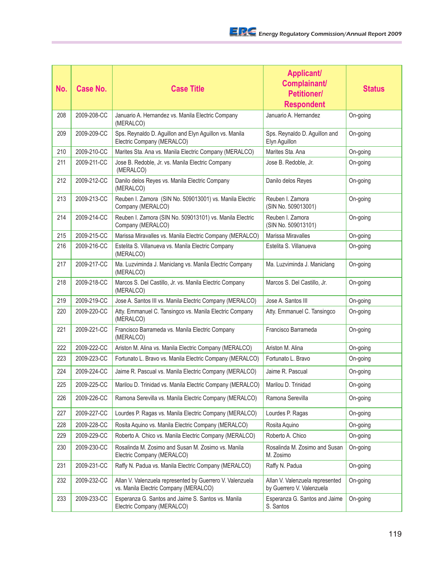| No. | <b>Case No.</b> | <b>Case Title</b>                                                                                  | <b>Applicant/</b><br>Complainant/<br><b>Petitioner/</b><br><b>Respondent</b> | <b>Status</b> |
|-----|-----------------|----------------------------------------------------------------------------------------------------|------------------------------------------------------------------------------|---------------|
| 208 | 2009-208-CC     | Januario A. Hernandez vs. Manila Electric Company<br>(MERALCO)                                     | Januario A. Hernandez                                                        | On-going      |
| 209 | 2009-209-CC     | Sps. Reynaldo D. Aguillon and Elyn Aguillon vs. Manila<br>Electric Company (MERALCO)               | Sps. Reynaldo D. Aguillon and<br>Elyn Aguillon                               | On-going      |
| 210 | 2009-210-CC     | Marites Sta. Ana vs. Manila Electric Company (MERALCO)                                             | Marites Sta. Ana                                                             | On-going      |
| 211 | 2009-211-CC     | Jose B. Redoble, Jr. vs. Manila Electric Company<br>(MERALCO)                                      | Jose B. Redoble, Jr.                                                         | On-going      |
| 212 | 2009-212-CC     | Danilo delos Reyes vs. Manila Electric Company<br>(MERALCO)                                        | Danilo delos Reyes                                                           | On-going      |
| 213 | 2009-213-CC     | Reuben I. Zamora (SIN No. 509013001) vs. Manila Electric<br>Company (MERALCO)                      | Reuben I. Zamora<br>(SIN No. 509013001)                                      | On-going      |
| 214 | 2009-214-CC     | Reuben I. Zamora (SIN No. 509013101) vs. Manila Electric<br>Company (MERALCO)                      | Reuben I. Zamora<br>(SIN No. 509013101)                                      | On-going      |
| 215 | 2009-215-CC     | Marissa Miravalles vs. Manila Electric Company (MERALCO)                                           | Marissa Miravalles                                                           | On-going      |
| 216 | 2009-216-CC     | Estelita S. Villanueva vs. Manila Electric Company<br>(MERALCO)                                    | Estelita S. Villanueva                                                       | On-going      |
| 217 | 2009-217-CC     | Ma. Luzviminda J. Maniclang vs. Manila Electric Company<br>(MERALCO)                               | Ma. Luzviminda J. Maniclang                                                  | On-going      |
| 218 | 2009-218-CC     | Marcos S. Del Castillo, Jr. vs. Manila Electric Company<br>(MERALCO)                               | Marcos S. Del Castillo, Jr.                                                  | On-going      |
| 219 | 2009-219-CC     | Jose A. Santos III vs. Manila Electric Company (MERALCO)                                           | Jose A. Santos III                                                           | On-going      |
| 220 | 2009-220-CC     | Atty. Emmanuel C. Tansingco vs. Manila Electric Company<br>(MERALCO)                               | Atty. Emmanuel C. Tansingco                                                  | On-going      |
| 221 | 2009-221-CC     | Francisco Barrameda vs. Manila Electric Company<br>(MERALCO)                                       | Francisco Barrameda                                                          | On-going      |
| 222 | 2009-222-CC     | Ariston M. Alina vs. Manila Electric Company (MERALCO)                                             | Ariston M. Alina                                                             | On-going      |
| 223 | 2009-223-CC     | Fortunato L. Bravo vs. Manila Electric Company (MERALCO)                                           | Fortunato L. Bravo                                                           | On-going      |
| 224 | 2009-224-CC     | Jaime R. Pascual vs. Manila Electric Company (MERALCO)                                             | Jaime R. Pascual                                                             | On-going      |
| 225 | 2009-225-CC     | Marilou D. Trinidad vs. Manila Electric Company (MERALCO)                                          | Marilou D. Trinidad                                                          | On-going      |
| 226 | 2009-226-CC     | Ramona Serevilla vs. Manila Electric Company (MERALCO)                                             | Ramona Serevilla                                                             | On-going      |
| 227 | 2009-227-CC     | Lourdes P. Ragas vs. Manila Electric Company (MERALCO)                                             | Lourdes P. Ragas                                                             | On-going      |
| 228 | 2009-228-CC     | Rosita Aquino vs. Manila Electric Company (MERALCO)                                                | Rosita Aquino                                                                | On-going      |
| 229 | 2009-229-CC     | Roberto A. Chico vs. Manila Electric Company (MERALCO)                                             | Roberto A. Chico                                                             | On-going      |
| 230 | 2009-230-CC     | Rosalinda M. Zosimo and Susan M. Zosimo vs. Manila<br>Electric Company (MERALCO)                   | Rosalinda M. Zosimo and Susan<br>M. Zosimo                                   | On-going      |
| 231 | 2009-231-CC     | Raffy N. Padua vs. Manila Electric Company (MERALCO)                                               | Raffy N. Padua                                                               | On-going      |
| 232 | 2009-232-CC     | Allan V. Valenzuela represented by Guerrero V. Valenzuela<br>vs. Manila Electric Company (MERALCO) | Allan V. Valenzuela represented<br>by Guerrero V. Valenzuela                 | On-going      |
| 233 | 2009-233-CC     | Esperanza G. Santos and Jaime S. Santos vs. Manila<br>Electric Company (MERALCO)                   | Esperanza G. Santos and Jaime<br>S. Santos                                   | On-going      |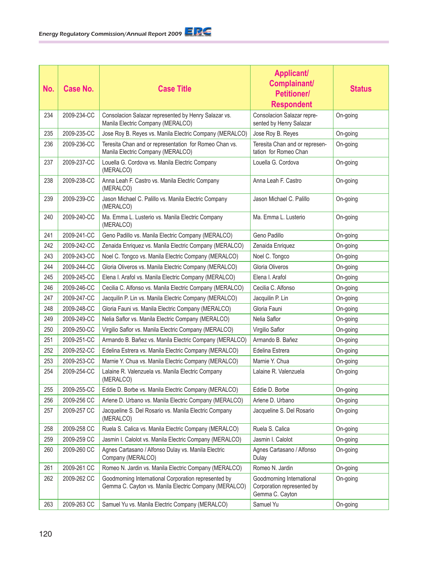| No. | <b>Case No.</b> | <b>Case Title</b>                                                                                             | <b>Applicant/</b><br>Complainant/<br><b>Petitioner/</b><br><b>Respondent</b> | <b>Status</b> |
|-----|-----------------|---------------------------------------------------------------------------------------------------------------|------------------------------------------------------------------------------|---------------|
| 234 | 2009-234-CC     | Consolacion Salazar represented by Henry Salazar vs.<br>Manila Electric Company (MERALCO)                     | Consolacion Salazar repre-<br>sented by Henry Salazar                        | On-going      |
| 235 | 2009-235-CC     | Jose Roy B. Reyes vs. Manila Electric Company (MERALCO)                                                       | Jose Roy B. Reyes                                                            | On-going      |
| 236 | 2009-236-CC     | Teresita Chan and or representation for Romeo Chan vs.<br>Manila Electric Company (MERALCO)                   | Teresita Chan and or represen-<br>tation for Romeo Chan                      | On-going      |
| 237 | 2009-237-CC     | Louella G. Cordova vs. Manila Electric Company<br>(MERALCO)                                                   | Louella G. Cordova                                                           | On-going      |
| 238 | 2009-238-CC     | Anna Leah F. Castro vs. Manila Electric Company<br>(MERALCO)                                                  | Anna Leah F. Castro                                                          | On-going      |
| 239 | 2009-239-CC     | Jason Michael C. Palillo vs. Manila Electric Company<br>(MERALCO)                                             | Jason Michael C. Palillo                                                     | On-going      |
| 240 | 2009-240-CC     | Ma. Emma L. Lusterio vs. Manila Electric Company<br>(MERALCO)                                                 | Ma. Emma L. Lusterio                                                         | On-going      |
| 241 | 2009-241-CC     | Geno Padillo vs. Manila Electric Company (MERALCO)                                                            | Geno Padillo                                                                 | On-going      |
| 242 | 2009-242-CC     | Zenaida Enriquez vs. Manila Electric Company (MERALCO)                                                        | Zenaida Enriquez                                                             | On-going      |
| 243 | 2009-243-CC     | Noel C. Tongco vs. Manila Electric Company (MERALCO)                                                          | Noel C. Tongco                                                               | On-going      |
| 244 | 2009-244-CC     | Gloria Oliveros vs. Manila Electric Company (MERALCO)                                                         | Gloria Oliveros                                                              | On-going      |
| 245 | 2009-245-CC     | Elena I. Arafol vs. Manila Electric Company (MERALCO)                                                         | Elena I. Arafol                                                              | On-going      |
| 246 | 2009-246-CC     | Cecilia C. Alfonso vs. Manila Electric Company (MERALCO)                                                      | Cecilia C. Alfonso                                                           | On-going      |
| 247 | 2009-247-CC     | Jacquilin P. Lin vs. Manila Electric Company (MERALCO)                                                        | Jacquilin P. Lin                                                             | On-going      |
| 248 | 2009-248-CC     | Gloria Fauni vs. Manila Electric Company (MERALCO)                                                            | Gloria Fauni                                                                 | On-going      |
| 249 | 2009-249-CC     | Nelia Saflor vs. Manila Electric Company (MERALCO)                                                            | Nelia Saflor                                                                 | On-going      |
| 250 | 2009-250-CC     | Virgilio Saflor vs. Manila Electric Company (MERALCO)                                                         | Virgilio Saflor                                                              | On-going      |
| 251 | 2009-251-CC     | Armando B. Bañez vs. Manila Electric Company (MERALCO)                                                        | Armando B. Bañez                                                             | On-going      |
| 252 | 2009-252-CC     | Edelina Estrera vs. Manila Electric Company (MERALCO)                                                         | Edelina Estrera                                                              | On-going      |
| 253 | 2009-253-CC     | Marnie Y. Chua vs. Manila Electric Company (MERALCO)                                                          | Marnie Y. Chua                                                               | On-going      |
| 254 | 2009-254-CC     | Lalaine R. Valenzuela vs. Manila Electric Company<br>(MERALCO)                                                | Lalaine R. Valenzuela                                                        | On-going      |
| 255 | 2009-255-CC     | Eddie D. Borbe vs. Manila Electric Company (MERALCO)                                                          | Eddie D. Borbe                                                               | On-going      |
| 256 | 2009-256 CC     | Arlene D. Urbano vs. Manila Electric Company (MERALCO)                                                        | Arlene D. Urbano                                                             | On-going      |
| 257 | 2009-257 CC     | Jacqueline S. Del Rosario vs. Manila Electric Company<br>(MERALCO)                                            | Jacqueline S. Del Rosario                                                    | On-going      |
| 258 | 2009-258 CC     | Ruela S. Calica vs. Manila Electric Company (MERALCO)                                                         | Ruela S. Calica                                                              | On-going      |
| 259 | 2009-259 CC     | Jasmin I. Calolot vs. Manila Electric Company (MERALCO)                                                       | Jasmin I. Calolot                                                            | On-going      |
| 260 | 2009-260 CC     | Agnes Cartasano / Alfonso Dulay vs. Manila Electric<br>Company (MERALCO)                                      | Agnes Cartasano / Alfonso<br>Dulay                                           | On-going      |
| 261 | 2009-261 CC     | Romeo N. Jardin vs. Manila Electric Company (MERALCO)                                                         | Romeo N. Jardin                                                              | On-going      |
| 262 | 2009-262 CC     | Goodmorning International Corporation represented by<br>Gemma C. Cayton vs. Manila Electric Company (MERALCO) | Goodmorning International<br>Corporation represented by<br>Gemma C. Cayton   | On-going      |
| 263 | 2009-263 CC     | Samuel Yu vs. Manila Electric Company (MERALCO)                                                               | Samuel Yu                                                                    | On-going      |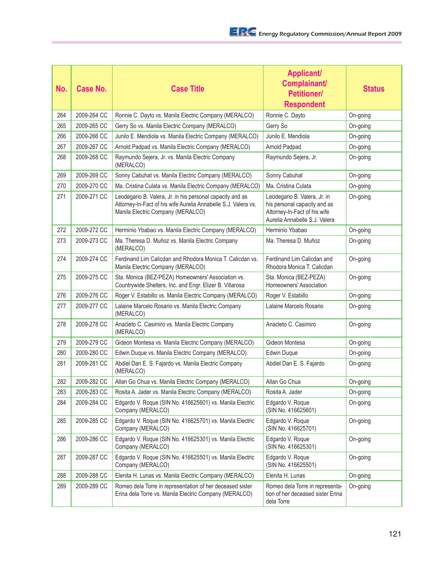| No. | <b>Case No.</b> | <b>Case Title</b>                                                                                                                                                | <b>Applicant/</b><br>Complainant/<br><b>Petitioner/</b><br><b>Respondent</b>                                                  | <b>Status</b> |
|-----|-----------------|------------------------------------------------------------------------------------------------------------------------------------------------------------------|-------------------------------------------------------------------------------------------------------------------------------|---------------|
| 264 | 2009-264 CC     | Ronnie C. Dayto vs. Manila Electric Company (MERALCO)                                                                                                            | Ronnie C. Dayto                                                                                                               | On-going      |
| 265 | 2009-265 CC     | Gerry So vs. Manila Electric Company (MERALCO)                                                                                                                   | Gerry So                                                                                                                      | On-going      |
| 266 | 2009-266 CC     | Junilo E. Mendiola vs. Manila Electric Company (MERALCO)                                                                                                         | Junilo E. Mendiola                                                                                                            | On-going      |
| 267 | 2009-267 CC     | Arnold Padpad vs. Manila Electric Company (MERALCO)                                                                                                              | Arnold Padpad                                                                                                                 | On-going      |
| 268 | 2009-268 CC     | Raymundo Sejera, Jr. vs. Manila Electric Company<br>(MERALCO)                                                                                                    | Raymundo Sejera, Jr.                                                                                                          | On-going      |
| 269 | 2009-269 CC     | Sonny Cabuhat vs. Manila Electric Company (MERALCO)                                                                                                              | Sonny Cabuhat                                                                                                                 | On-going      |
| 270 | 2009-270 CC     | Ma. Cristina Culata vs. Manila Electric Company (MERALCO)                                                                                                        | Ma. Cristina Culata                                                                                                           | On-going      |
| 271 | 2009-271 CC     | Leodegario B. Valera, Jr. in his personal capacity and as<br>Attorney-In-Fact of his wife Aurelia Annabelle S.J. Valera vs.<br>Manila Electric Company (MERALCO) | Leodegario B. Valera, Jr. in<br>his personal capacity and as<br>Attorney-In-Fact of his wife<br>Aurelia Annabelle S.J. Valera | On-going      |
| 272 | 2009-272 CC     | Herminio Ybabao vs. Manila Electric Company (MERALCO)                                                                                                            | Herminio Ybabao                                                                                                               | On-going      |
| 273 | 2009-273 CC     | Ma. Theresa D. Muñoz vs. Manila Electric Company<br>(MERALCO)                                                                                                    | Ma. Theresa D. Muñoz                                                                                                          | On-going      |
| 274 | 2009-274 CC     | Ferdinand Lim Calicdan and Rhodora Monica T. Calicdan vs.<br>Manila Electric Company (MERALCO)                                                                   | Ferdinand Lim Calicdan and<br>Rhodora Monica T. Calicdan                                                                      | On-going      |
| 275 | 2009-275 CC     | Sta. Monica (BEZ-PEZA) Homeowners' Association vs.<br>Countrywide Shelters, Inc. and Engr. Elizer B. Villarosa                                                   | Sta. Monica (BEZ-PEZA)<br>Homeowners' Association                                                                             | On-going      |
| 276 | 2009-276 CC     | Roger V. Estabillo vs. Manila Electric Company (MERALCO)                                                                                                         | Roger V. Estabillo                                                                                                            | On-going      |
| 277 | 2009-277 CC     | Lalaine Marcelo Rosario vs. Manila Electric Company<br>(MERALCO)                                                                                                 | Lalaine Marcelo Rosario                                                                                                       | On-going      |
| 278 | 2009-278 CC     | Anacleto C. Casimiro vs. Manila Electric Company<br>(MERALCO)                                                                                                    | Anacleto C. Casimiro                                                                                                          | On-going      |
| 279 | 2009-279 CC     | Gideon Montesa vs. Manila Electric Company (MERALCO)                                                                                                             | Gideon Montesa                                                                                                                | On-going      |
| 280 | 2009-280 CC     | Edwin Duque vs. Manila Electric Company (MERALCO)                                                                                                                | Edwin Duque                                                                                                                   | On-going      |
| 281 | 2009-281 CC     | Abdiel Dan E. S. Fajardo vs. Manila Electric Company<br>(MERALCO)                                                                                                | Abdiel Dan E. S. Fajardo                                                                                                      | On-going      |
| 282 | 2009-282 CC     | Allan Go Chua vs. Manila Electric Company (MERALCO)                                                                                                              | Allan Go Chua                                                                                                                 | On-going      |
| 283 | 2009-283 CC     | Rosita A. Jader vs. Manila Electric Company (MERALCO)                                                                                                            | Rosita A. Jader                                                                                                               | On-going      |
| 284 | 2009-284 CC     | Edgardo V. Roque (SIN No. 416625601) vs. Manila Electric<br>Company (MERALCO)                                                                                    | Edgardo V. Roque<br>(SIN No. 416625601)                                                                                       | On-going      |
| 285 | 2009-285 CC     | Edgardo V. Roque (SIN No. 416625701) vs. Manila Electric<br>Company (MERALCO)                                                                                    | Edgardo V. Roque<br>(SIN No. 416625701)                                                                                       | On-going      |
| 286 | 2009-286 CC     | Edgardo V. Roque (SIN No. 416625301) vs. Manila Electric<br>Company (MERALCO)                                                                                    | Edgardo V. Roque<br>(SIN No. 416625301)                                                                                       | On-going      |
| 287 | 2009-287 CC     | Edgardo V. Roque (SIN No. 416625501) vs. Manila Electric<br>Company (MERALCO)                                                                                    | Edgardo V. Roque<br>(SIN No. 416625501)                                                                                       | On-going      |
| 288 | 2009-288 CC     | Elenita H. Lunas vs. Manila Electric Company (MERALCO)                                                                                                           | Elenita H. Lunas                                                                                                              | On-going      |
| 289 | 2009-289 CC     | Romeo dela Torre in representation of her deceased sister<br>Erina dela Torre vs. Manila Electric Company (MERALCO)                                              | Romeo dela Torre in representa-<br>tion of her deceased sister Erina<br>dela Torre                                            | On-going      |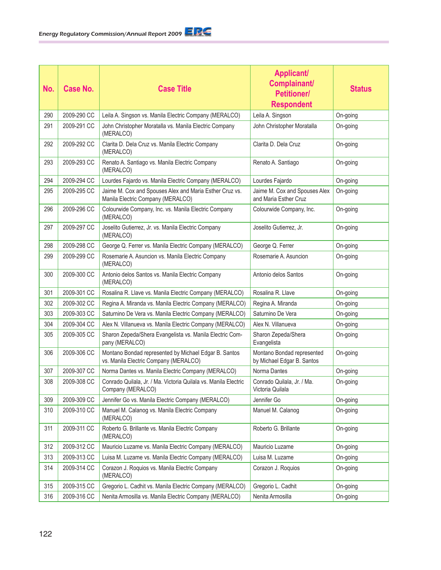| No. | Case No.    | <b>Case Title</b>                                                                              | <b>Applicant/</b><br>Complainant/<br><b>Petitioner/</b><br><b>Respondent</b> | <b>Status</b> |
|-----|-------------|------------------------------------------------------------------------------------------------|------------------------------------------------------------------------------|---------------|
| 290 | 2009-290 CC | Leila A. Singson vs. Manila Electric Company (MERALCO)                                         | Leila A. Singson                                                             | On-going      |
| 291 | 2009-291 CC | John Christopher Moratalla vs. Manila Electric Company<br>(MERALCO)                            | John Christopher Moratalla                                                   | On-going      |
| 292 | 2009-292 CC | Clarita D. Dela Cruz vs. Manila Electric Company<br>(MERALCO)                                  | Clarita D. Dela Cruz                                                         | On-going      |
| 293 | 2009-293 CC | Renato A. Santiago vs. Manila Electric Company<br>(MERALCO)                                    | Renato A. Santiago                                                           | On-going      |
| 294 | 2009-294 CC | Lourdes Fajardo vs. Manila Electric Company (MERALCO)                                          | Lourdes Fajardo                                                              | On-going      |
| 295 | 2009-295 CC | Jaime M. Cox and Spouses Alex and Maria Esther Cruz vs.<br>Manila Electric Company (MERALCO)   | Jaime M. Cox and Spouses Alex<br>and Maria Esther Cruz                       | On-going      |
| 296 | 2009-296 CC | Colourwide Company, Inc. vs. Manila Electric Company<br>(MERALCO)                              | Colourwide Company, Inc.                                                     | On-going      |
| 297 | 2009-297 CC | Joselito Gutierrez, Jr. vs. Manila Electric Company<br>(MERALCO)                               | Joselito Gutierrez, Jr.                                                      | On-going      |
| 298 | 2009-298 CC | George Q. Ferrer vs. Manila Electric Company (MERALCO)                                         | George Q. Ferrer                                                             | On-going      |
| 299 | 2009-299 CC | Rosemarie A. Asuncion vs. Manila Electric Company<br>(MERALCO)                                 | Rosemarie A. Asuncion                                                        | On-going      |
| 300 | 2009-300 CC | Antonio delos Santos vs. Manila Electric Company<br>(MERALCO)                                  | Antonio delos Santos                                                         | On-going      |
| 301 | 2009-301 CC | Rosalina R. Llave vs. Manila Electric Company (MERALCO)                                        | Rosalina R. Llave                                                            | On-going      |
| 302 | 2009-302 CC | Regina A. Miranda vs. Manila Electric Company (MERALCO)                                        | Regina A. Miranda                                                            | On-going      |
| 303 | 2009-303 CC | Saturnino De Vera vs. Manila Electric Company (MERALCO)                                        | Saturnino De Vera                                                            | On-going      |
| 304 | 2009-304 CC | Alex N. Villanueva vs. Manila Electric Company (MERALCO)                                       | Alex N. Villanueva                                                           | On-going      |
| 305 | 2009-305 CC | Sharon Zepeda/Shera Evangelista vs. Manila Electric Com-<br>pany (MERALCO)                     | Sharon Zepeda/Shera<br>Evangelista                                           | On-going      |
| 306 | 2009-306 CC | Montano Bondad represented by Michael Edgar B. Santos<br>vs. Manila Electric Company (MERALCO) | Montano Bondad represented<br>by Michael Edgar B. Santos                     | On-going      |
| 307 | 2009-307 CC | Norma Dantes vs. Manila Electric Company (MERALCO)                                             | Norma Dantes                                                                 | On-going      |
| 308 | 2009-308 CC | Conrado Quilala, Jr. / Ma. Victoria Quilala vs. Manila Electric<br>Company (MERALCO)           | Conrado Quilala, Jr. / Ma.<br>Victoria Quilala                               | On-going      |
| 309 | 2009-309 CC | Jennifer Go vs. Manila Electric Company (MERALCO)                                              | Jennifer Go                                                                  | On-going      |
| 310 | 2009-310 CC | Manuel M. Calanog vs. Manila Electric Company<br>(MERALCO)                                     | Manuel M. Calanog                                                            | On-going      |
| 311 | 2009-311 CC | Roberto G. Brillante vs. Manila Electric Company<br>(MERALCO)                                  | Roberto G. Brillante                                                         | On-going      |
| 312 | 2009-312 CC | Mauricio Luzame vs. Manila Electric Company (MERALCO)                                          | Mauricio Luzame                                                              | On-going      |
| 313 | 2009-313 CC | Luisa M. Luzame vs. Manila Electric Company (MERALCO)                                          | Luisa M. Luzame                                                              | On-going      |
| 314 | 2009-314 CC | Corazon J. Roquios vs. Manila Electric Company<br>(MERALCO)                                    | Corazon J. Roquios                                                           | On-going      |
| 315 | 2009-315 CC | Gregorio L. Cadhit vs. Manila Electric Company (MERALCO)                                       | Gregorio L. Cadhit                                                           | On-going      |
| 316 | 2009-316 CC | Nenita Armosilla vs. Manila Electric Company (MERALCO)                                         | Nenita Armosilla                                                             | On-going      |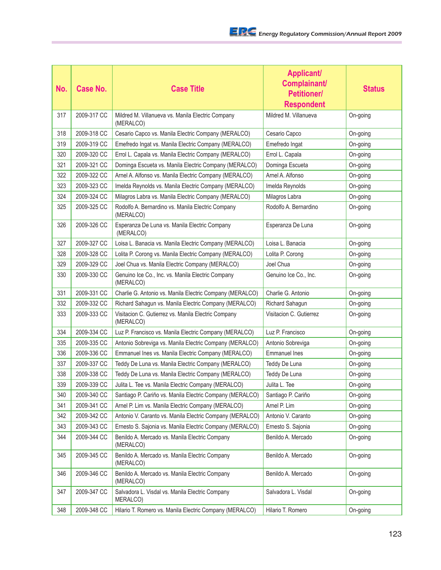| No. | <b>Case No.</b> | <b>Case Title</b>                                                | <b>Applicant/</b><br>Complainant/<br><b>Petitioner/</b><br><b>Respondent</b> | <b>Status</b> |
|-----|-----------------|------------------------------------------------------------------|------------------------------------------------------------------------------|---------------|
| 317 | 2009-317 CC     | Mildred M. Villanueva vs. Manila Electric Company<br>(MERALCO)   | Mildred M. Villanueva                                                        | On-going      |
| 318 | 2009-318 CC     | Cesario Capco vs. Manila Electric Company (MERALCO)              | Cesario Capco                                                                | On-going      |
| 319 | 2009-319 CC     | Emefredo Ingat vs. Manila Electric Company (MERALCO)             | Emefredo Ingat                                                               | On-going      |
| 320 | 2009-320 CC     | Errol L. Capala vs. Manila Electric Company (MERALCO)            | Errol L. Capala                                                              | On-going      |
| 321 | 2009-321 CC     | Dominga Escueta vs. Manila Electric Company (MERALCO)            | Dominga Escueta                                                              | On-going      |
| 322 | 2009-322 CC     | Arnel A. Alfonso vs. Manila Electric Company (MERALCO)           | Arnel A. Alfonso                                                             | On-going      |
| 323 | 2009-323 CC     | Imelda Reynolds vs. Manila Electric Company (MERALCO)            | Imelda Reynolds                                                              | On-going      |
| 324 | 2009-324 CC     | Milagros Labra vs. Manila Electric Company (MERALCO)             | Milagros Labra                                                               | On-going      |
| 325 | 2009-325 CC     | Rodolfo A. Bernardino vs. Manila Electric Company<br>(MERALCO)   | Rodolfo A. Bernardino                                                        | On-going      |
| 326 | 2009-326 CC     | Esperanza De Luna vs. Manila Electric Company<br>(MERALCO)       | Esperanza De Luna                                                            | On-going      |
| 327 | 2009-327 CC     | Loisa L. Banacia vs. Manila Electric Company (MERALCO)           | Loisa L. Banacia                                                             | On-going      |
| 328 | 2009-328 CC     | Lolita P. Corong vs. Manila Electric Company (MERALCO)           | Lolita P. Corong                                                             | On-going      |
| 329 | 2009-329 CC     | Joel Chua vs. Manila Electric Company (MERALCO)                  | Joel Chua                                                                    | On-going      |
| 330 | 2009-330 CC     | Genuino Ice Co., Inc. vs. Manila Electric Company<br>(MERALCO)   | Genuino Ice Co., Inc.                                                        | On-going      |
| 331 | 2009-331 CC     | Charlie G. Antonio vs. Manila Electric Company (MERALCO)         | Charlie G. Antonio                                                           | On-going      |
| 332 | 2009-332 CC     | Richard Sahagun vs. Manila Electric Company (MERALCO)            | Richard Sahagun                                                              | On-going      |
| 333 | 2009-333 CC     | Visitacion C. Gutierrez vs. Manila Electric Company<br>(MERALCO) | Visitacion C. Gutierrez                                                      | On-going      |
| 334 | 2009-334 CC     | Luz P. Francisco vs. Manila Electric Company (MERALCO)           | Luz P. Francisco                                                             | On-going      |
| 335 | 2009-335 CC     | Antonio Sobreviga vs. Manila Electric Company (MERALCO)          | Antonio Sobreviga                                                            | On-going      |
| 336 | 2009-336 CC     | Emmanuel Ines vs. Manila Electric Company (MERALCO)              | <b>Emmanuel Ines</b>                                                         | On-going      |
| 337 | 2009-337 CC     | Teddy De Luna vs. Manila Electric Company (MERALCO)              | Teddy De Luna                                                                | On-going      |
| 338 | 2009-338 CC     | Teddy De Luna vs. Manila Electric Company (MERALCO)              | Teddy De Luna                                                                | On-going      |
| 339 | 2009-339 CC     | Julita L. Tee vs. Manila Electric Company (MERALCO)              | Julita L. Tee                                                                | On-going      |
| 340 | 2009-340 CC     | Santiago P. Cariño vs. Manila Electric Company (MERALCO)         | Santiago P. Cariño                                                           | On-going      |
| 341 | 2009-341 CC     | Arnel P. Lim vs. Manila Electric Company (MERALCO)               | Arnel P. Lim                                                                 | On-going      |
| 342 | 2009-342 CC     | Antonio V. Caranto vs. Manila Electric Company (MERALCO)         | Antonio V. Caranto                                                           | On-going      |
| 343 | 2009-343 CC     | Ernesto S. Sajonia vs. Manila Electric Company (MERALCO)         | Ernesto S. Sajonia                                                           | On-going      |
| 344 | 2009-344 CC     | Benildo A. Mercado vs. Manila Electric Company<br>(MERALCO)      | Benildo A. Mercado                                                           | On-going      |
| 345 | 2009-345 CC     | Benildo A. Mercado vs. Manila Electric Company<br>(MERALCO)      | Benildo A. Mercado                                                           | On-going      |
| 346 | 2009-346 CC     | Benildo A. Mercado vs. Manila Electric Company<br>(MERALCO)      | Benildo A. Mercado                                                           | On-going      |
| 347 | 2009-347 CC     | Salvadora L. Visdal vs. Manila Electric Company<br>MERALCO)      | Salvadora L. Visdal                                                          | On-going      |
| 348 | 2009-348 CC     | Hilario T. Romero vs. Manila Electric Company (MERALCO)          | Hilario T. Romero                                                            | On-going      |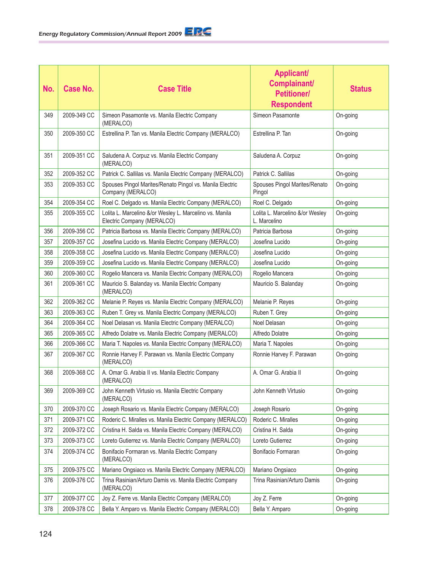| No. | Case No.    | <b>Case Title</b>                                                                     | <b>Applicant/</b><br>Complainant/<br><b>Petitioner/</b><br><b>Respondent</b> | <b>Status</b> |
|-----|-------------|---------------------------------------------------------------------------------------|------------------------------------------------------------------------------|---------------|
| 349 | 2009-349 CC | Simeon Pasamonte vs. Manila Electric Company<br>(MERALCO)                             | Simeon Pasamonte                                                             | On-going      |
| 350 | 2009-350 CC | Estrellina P. Tan vs. Manila Electric Company (MERALCO)                               | Estrellina P. Tan                                                            | On-going      |
| 351 | 2009-351 CC | Saludena A. Corpuz vs. Manila Electric Company<br>(MERALCO)                           | Saludena A. Corpuz                                                           | On-going      |
| 352 | 2009-352 CC | Patrick C. Sallilas vs. Manila Electric Company (MERALCO)                             | Patrick C. Sallilas                                                          | On-going      |
| 353 | 2009-353 CC | Spouses Pingol Marites/Renato Pingol vs. Manila Electric<br>Company (MERALCO)         | Spouses Pingol Marites/Renato<br>Pingol                                      | On-going      |
| 354 | 2009-354 CC | Roel C. Delgado vs. Manila Electric Company (MERALCO)                                 | Roel C. Delgado                                                              | On-going      |
| 355 | 2009-355 CC | Lolita L. Marcelino &/or Wesley L. Marcelino vs. Manila<br>Electric Company (MERALCO) | Lolita L. Marcelino &/or Wesley<br>L. Marcelino                              | On-going      |
| 356 | 2009-356 CC | Patricia Barbosa vs. Manila Electric Company (MERALCO)                                | Patricia Barbosa                                                             | On-going      |
| 357 | 2009-357 CC | Josefina Lucido vs. Manila Electric Company (MERALCO)                                 | Josefina Lucido                                                              | On-going      |
| 358 | 2009-358 CC | Josefina Lucido vs. Manila Electric Company (MERALCO)                                 | Josefina Lucido                                                              | On-going      |
| 359 | 2009-359 CC | Josefina Lucido vs. Manila Electric Company (MERALCO)                                 | Josefina Lucido                                                              | On-going      |
| 360 | 2009-360 CC | Rogelio Mancera vs. Manila Electric Company (MERALCO)                                 | Rogelio Mancera                                                              | On-going      |
| 361 | 2009-361 CC | Mauricio S. Balanday vs. Manila Electric Company<br>(MERALCO)                         | Mauricio S. Balanday                                                         | On-going      |
| 362 | 2009-362 CC | Melanie P. Reyes vs. Manila Electric Company (MERALCO)                                | Melanie P. Reyes                                                             | On-going      |
| 363 | 2009-363 CC | Ruben T. Grey vs. Manila Electric Company (MERALCO)                                   | Ruben T. Grey                                                                | On-going      |
| 364 | 2009-364 CC | Noel Delasan vs. Manila Electric Company (MERALCO)                                    | Noel Delasan                                                                 | On-going      |
| 365 | 2009-365 CC | Alfredo Dolatre vs. Manila Electric Company (MERALCO)                                 | Alfredo Dolatre                                                              | On-going      |
| 366 | 2009-366 CC | Maria T. Napoles vs. Manila Electric Company (MERALCO)                                | Maria T. Napoles                                                             | On-going      |
| 367 | 2009-367 CC | Ronnie Harvey F. Parawan vs. Manila Electric Company<br>(MERALCO)                     | Ronnie Harvey F. Parawan                                                     | On-going      |
| 368 | 2009-368 CC | A. Omar G. Arabia II vs. Manila Electric Company<br>(MERALCO)                         | A. Omar G. Arabia II                                                         | On-going      |
| 369 | 2009-369 CC | John Kenneth Virtusio vs. Manila Electric Company<br>(MERALCO)                        | John Kenneth Virtusio                                                        | On-going      |
| 370 | 2009-370 CC | Joseph Rosario vs. Manila Electric Company (MERALCO)                                  | Joseph Rosario                                                               | On-going      |
| 371 | 2009-371 CC | Roderic C. Miralles vs. Manila Electric Company (MERALCO)                             | Roderic C. Miralles                                                          | On-going      |
| 372 | 2009-372 CC | Cristina H. Salda vs. Manila Electric Company (MERALCO)                               | Cristina H. Salda                                                            | On-going      |
| 373 | 2009-373 CC | Loreto Gutierrez vs. Manila Electric Company (MERALCO)                                | Loreto Gutierrez                                                             | On-going      |
| 374 | 2009-374 CC | Bonifacio Formaran vs. Manila Electric Company<br>(MERALCO)                           | Bonifacio Formaran                                                           | On-going      |
| 375 | 2009-375 CC | Mariano Ongsiaco vs. Manila Electric Company (MERALCO)                                | Mariano Ongsiaco                                                             | On-going      |
| 376 | 2009-376 CC | Trina Rasinian/Arturo Damis vs. Manila Electric Company<br>(MERALCO)                  | Trina Rasinian/Arturo Damis                                                  | On-going      |
| 377 | 2009-377 CC | Joy Z. Ferre vs. Manila Electric Company (MERALCO)                                    | Joy Z. Ferre                                                                 | On-going      |
| 378 | 2009-378 CC | Bella Y. Amparo vs. Manila Electric Company (MERALCO)                                 | Bella Y. Amparo                                                              | On-going      |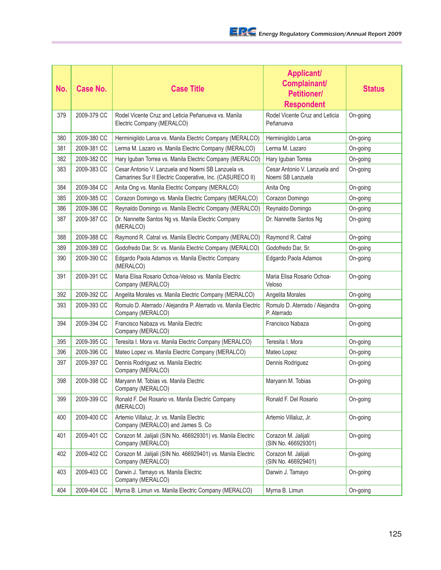| No. | Case No.    | <b>Case Title</b>                                                                                                | <b>Applicant/</b><br><b>Complainant/</b><br><b>Petitioner/</b><br><b>Respondent</b> | <b>Status</b> |
|-----|-------------|------------------------------------------------------------------------------------------------------------------|-------------------------------------------------------------------------------------|---------------|
| 379 | 2009-379 CC | Rodel Vicente Cruz and Leticia Peñanueva vs. Manila<br>Electric Company (MERALCO)                                | Rodel Vicente Cruz and Leticia<br>Peñanueva                                         | On-going      |
| 380 | 2009-380 CC | Herminigildo Laroa vs. Manila Electric Company (MERALCO)                                                         | Herminigildo Laroa                                                                  | On-going      |
| 381 | 2009-381 CC | Lerma M. Lazaro vs. Manila Electric Company (MERALCO)                                                            | Lerma M. Lazaro                                                                     | On-going      |
| 382 | 2009-382 CC | Hary Iguban Torrea vs. Manila Electric Company (MERALCO)                                                         | Hary Iguban Torrea                                                                  | On-going      |
| 383 | 2009-383 CC | Cesar Antonio V. Lanzuela and Noemi SB Lanzuela vs.<br>Camarines Sur II Electric Cooperative, Inc. (CASURECO II) | Cesar Antonio V. Lanzuela and<br>Noemi SB Lanzuela                                  | On-going      |
| 384 | 2009-384 CC | Anita Ong vs. Manila Electric Company (MERALCO)                                                                  | Anita Ong                                                                           | On-going      |
| 385 | 2009-385 CC | Corazon Domingo vs. Manila Electric Company (MERALCO)                                                            | Corazon Domingo                                                                     | On-going      |
| 386 | 2009-386 CC | Reynaldo Domingo vs. Manila Electric Company (MERALCO)                                                           | Reynaldo Domingo                                                                    | On-going      |
| 387 | 2009-387 CC | Dr. Nannette Santos Ng vs. Manila Electric Company<br>(MERALCO)                                                  | Dr. Nannette Santos Ng                                                              | On-going      |
| 388 | 2009-388 CC | Raymond R. Catral vs. Manila Electric Company (MERALCO)                                                          | Raymond R. Catral                                                                   | On-going      |
| 389 | 2009-389 CC | Godofredo Dar, Sr. vs. Manila Electric Company (MERALCO)                                                         | Godofredo Dar, Sr.                                                                  | On-going      |
| 390 | 2009-390 CC | Edgardo Paola Adamos vs. Manila Electric Company<br>(MERALCO)                                                    | Edgardo Paola Adamos                                                                | On-going      |
| 391 | 2009-391 CC | Maria Elisa Rosario Ochoa-Veloso vs. Manila Electric<br>Company (MERALCO)                                        | Maria Elisa Rosario Ochoa-<br>Veloso                                                | On-going      |
| 392 | 2009-392 CC | Angelita Morales vs. Manila Electric Company (MERALCO)                                                           | Angelita Morales                                                                    | On-going      |
| 393 | 2009-393 CC | Romulo D. Aterrado / Alejandra P. Aterrado vs. Manila Electric<br>Company (MERALCO)                              | Romulo D. Aterrado / Alejandra<br>P. Aterrado                                       | On-going      |
| 394 | 2009-394 CC | Francisco Nabaza vs. Manila Electric<br>Company (MERALCO)                                                        | Francisco Nabaza                                                                    | On-going      |
| 395 | 2009-395 CC | Teresita I. Mora vs. Manila Electric Company (MERALCO)                                                           | Teresita I. Mora                                                                    | On-going      |
| 396 | 2009-396 CC | Mateo Lopez vs. Manila Electric Company (MERALCO)                                                                | Mateo Lopez                                                                         | On-going      |
| 397 | 2009-397 CC | Dennis Rodriguez vs. Manila Electric<br>Company (MERALCO)                                                        | Dennis Rodriguez                                                                    | On-going      |
| 398 | 2009-398 CC | Maryann M. Tobias vs. Manila Electric<br>Company (MERALCO)                                                       | Maryann M. Tobias                                                                   | On-going      |
| 399 | 2009-399 CC | Ronald F. Del Rosario vs. Manila Electric Company<br>(MERALCO)                                                   | Ronald F. Del Rosario                                                               | On-going      |
| 400 | 2009-400 CC | Artemio Villaluz, Jr. vs. Manila Electric<br>Company (MERALCO) and James S. Co                                   | Artemio Villaluz, Jr.                                                               | On-going      |
| 401 | 2009-401 CC | Corazon M. Jalijali (SIN No. 466929301) vs. Manila Electric<br>Company (MERALCO)                                 | Corazon M. Jalijali<br>(SIN No. 466929301)                                          | On-going      |
| 402 | 2009-402 CC | Corazon M. Jalijali (SIN No. 466929401) vs. Manila Electric<br>Company (MERALCO)                                 | Corazon M. Jalijali<br>(SIN No. 466929401)                                          | On-going      |
| 403 | 2009-403 CC | Darwin J. Tamayo vs. Manila Electric<br>Company (MERALCO)                                                        | Darwin J. Tamayo                                                                    | On-going      |
| 404 | 2009-404 CC | Myrna B. Limun vs. Manila Electric Company (MERALCO)                                                             | Myrna B. Limun                                                                      | On-going      |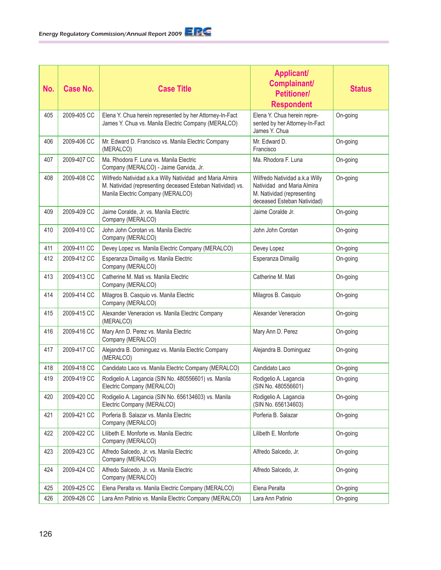| No. | Case No.    | <b>Case Title</b>                                                                                                                                            | <b>Applicant/</b><br>Complainant/<br><b>Petitioner/</b><br><b>Respondent</b>                                              | <b>Status</b> |
|-----|-------------|--------------------------------------------------------------------------------------------------------------------------------------------------------------|---------------------------------------------------------------------------------------------------------------------------|---------------|
| 405 | 2009-405 CC | Elena Y. Chua herein represented by her Attorney-In-Fact<br>James Y. Chua vs. Manila Electric Company (MERALCO)                                              | Elena Y. Chua herein repre-<br>sented by her Attorney-In-Fact<br>James Y. Chua                                            | On-going      |
| 406 | 2009-406 CC | Mr. Edward D. Francisco vs. Manila Electric Company<br>(MERALCO)                                                                                             | Mr. Edward D.<br>Francisco                                                                                                | On-going      |
| 407 | 2009-407 CC | Ma. Rhodora F. Luna vs. Manila Electric<br>Company (MERALCO) - Jaime Garvida, Jr.                                                                            | Ma. Rhodora F. Luna                                                                                                       | On-going      |
| 408 | 2009-408 CC | Wilfredo Natividad a.k.a Willy Natividad and Maria Almira<br>M. Natividad (representing deceased Esteban Natividad) vs.<br>Manila Electric Company (MERALCO) | Wilfredo Natividad a.k.a Willy<br>Natividad and Maria Almira<br>M. Natividad (representing<br>deceased Esteban Natividad) | On-going      |
| 409 | 2009-409 CC | Jaime Coralde, Jr. vs. Manila Electric<br>Company (MERALCO)                                                                                                  | Jaime Coralde Jr.                                                                                                         | On-going      |
| 410 | 2009-410 CC | John John Corotan vs. Manila Electric<br>Company (MERALCO)                                                                                                   | John John Corotan                                                                                                         | On-going      |
| 411 | 2009-411 CC | Devey Lopez vs. Manila Electric Company (MERALCO)                                                                                                            | Devey Lopez                                                                                                               | On-going      |
| 412 | 2009-412 CC | Esperanza Dimailig vs. Manila Electric<br>Company (MERALCO)                                                                                                  | Esperanza Dimailig                                                                                                        | On-going      |
| 413 | 2009-413 CC | Catherine M. Mati vs. Manila Electric<br>Company (MERALCO)                                                                                                   | Catherine M. Mati                                                                                                         | On-going      |
| 414 | 2009-414 CC | Milagros B. Casquio vs. Manila Electric<br>Company (MERALCO)                                                                                                 | Milagros B. Casquio                                                                                                       | On-going      |
| 415 | 2009-415 CC | Alexander Veneracion vs. Manila Electric Company<br>(MERALCO)                                                                                                | Alexander Veneracion                                                                                                      | On-going      |
| 416 | 2009-416 CC | Mary Ann D. Perez vs. Manila Electric<br>Company (MERALCO)                                                                                                   | Mary Ann D. Perez                                                                                                         | On-going      |
| 417 | 2009-417 CC | Alejandra B. Dominguez vs. Manila Electric Company<br>(MERALCO)                                                                                              | Alejandra B. Dominguez                                                                                                    | On-going      |
| 418 | 2009-418 CC | Candidato Laco vs. Manila Electric Company (MERALCO)                                                                                                         | Candidato Laco                                                                                                            | On-going      |
| 419 | 2009-419 CC | Rodigelio A. Lagancia (SIN No. 480556601) vs. Manila<br>Electric Company (MERALCO)                                                                           | Rodigelio A. Lagancia<br>(SIN No. 480556601)                                                                              | On-going      |
| 420 | 2009-420 CC | Rodigelio A. Lagancia (SIN No. 656134603) vs. Manila<br>Electric Company (MERALCO)                                                                           | Rodigelio A. Lagancia<br>(SIN No. 656134603)                                                                              | On-going      |
| 421 | 2009-421 CC | Porferia B. Salazar vs. Manila Electric<br>Company (MERALCO)                                                                                                 | Porferia B. Salazar                                                                                                       | On-going      |
| 422 | 2009-422 CC | Lilibeth E. Monforte vs. Manila Electric<br>Company (MERALCO)                                                                                                | Lilibeth E. Monforte                                                                                                      | On-going      |
| 423 | 2009-423 CC | Alfredo Salcedo, Jr. vs. Manila Electric<br>Company (MERALCO)                                                                                                | Alfredo Salcedo, Jr.                                                                                                      | On-going      |
| 424 | 2009-424 CC | Alfredo Salcedo, Jr. vs. Manila Electric<br>Company (MERALCO)                                                                                                | Alfredo Salcedo, Jr.                                                                                                      | On-going      |
| 425 | 2009-425 CC | Elena Peralta vs. Manila Electric Company (MERALCO)                                                                                                          | Elena Peralta                                                                                                             | On-going      |
| 426 | 2009-426 CC | Lara Ann Patinio vs. Manila Electric Company (MERALCO)                                                                                                       | Lara Ann Patinio                                                                                                          | On-going      |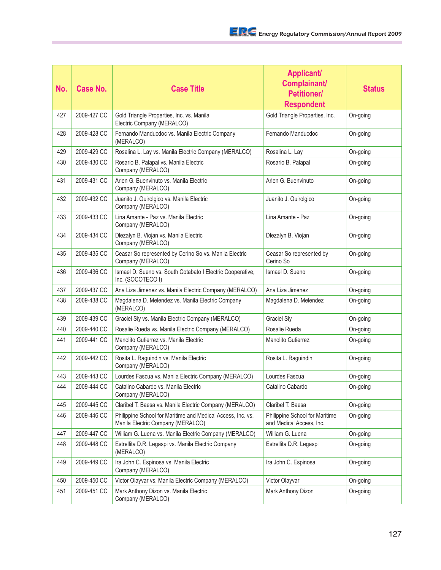| No. | <b>Case No.</b> | <b>Case Title</b>                                                                                | <b>Applicant/</b><br>Complainant/<br><b>Petitioner/</b><br><b>Respondent</b> | <b>Status</b> |
|-----|-----------------|--------------------------------------------------------------------------------------------------|------------------------------------------------------------------------------|---------------|
| 427 | 2009-427 CC     | Gold Triangle Properties, Inc. vs. Manila<br>Electric Company (MERALCO)                          | Gold Triangle Properties, Inc.                                               | On-going      |
| 428 | 2009-428 CC     | Fernando Manducdoc vs. Manila Electric Company<br>(MERALCO)                                      | Fernando Manducdoc                                                           | On-going      |
| 429 | 2009-429 CC     | Rosalina L. Lay vs. Manila Electric Company (MERALCO)                                            | Rosalina L. Lay                                                              | On-going      |
| 430 | 2009-430 CC     | Rosario B. Palapal vs. Manila Electric<br>Company (MERALCO)                                      | Rosario B. Palapal                                                           | On-going      |
| 431 | 2009-431 CC     | Arlen G. Buenvinuto vs. Manila Electric<br>Company (MERALCO)                                     | Arlen G. Buenvinuto                                                          | On-going      |
| 432 | 2009-432 CC     | Juanito J. Quirolgico vs. Manila Electric<br>Company (MERALCO)                                   | Juanito J. Quirolgico                                                        | On-going      |
| 433 | 2009-433 CC     | Lina Amante - Paz vs. Manila Electric<br>Company (MERALCO)                                       | Lina Amante - Paz                                                            | On-going      |
| 434 | 2009-434 CC     | Dlezalyn B. Viojan vs. Manila Electric<br>Company (MERALCO)                                      | Dlezalyn B. Viojan                                                           | On-going      |
| 435 | 2009-435 CC     | Ceasar So represented by Cerino So vs. Manila Electric<br>Company (MERALCO)                      | Ceasar So represented by<br>Cerino So                                        | On-going      |
| 436 | 2009-436 CC     | Ismael D. Sueno vs. South Cotabato I Electric Cooperative,<br>Inc. (SOCOTECO I)                  | Ismael D. Sueno                                                              | On-going      |
| 437 | 2009-437 CC     | Ana Liza Jimenez vs. Manila Electric Company (MERALCO)                                           | Ana Liza Jimenez                                                             | On-going      |
| 438 | 2009-438 CC     | Magdalena D. Melendez vs. Manila Electric Company<br>(MERALCO)                                   | Magdalena D. Melendez                                                        | On-going      |
| 439 | 2009-439 CC     | Graciel Siy vs. Manila Electric Company (MERALCO)                                                | <b>Graciel Siy</b>                                                           | On-going      |
| 440 | 2009-440 CC     | Rosalie Rueda vs. Manila Electric Company (MERALCO)                                              | Rosalie Rueda                                                                | On-going      |
| 441 | 2009-441 CC     | Manolito Gutierrez vs. Manila Electric<br>Company (MERALCO)                                      | <b>Manolito Gutierrez</b>                                                    | On-going      |
| 442 | 2009-442 CC     | Rosita L. Raguindin vs. Manila Electric<br>Company (MERALCO)                                     | Rosita L. Raguindin                                                          | On-going      |
| 443 | 2009-443 CC     | Lourdes Fascua vs. Manila Electric Company (MERALCO)                                             | Lourdes Fascua                                                               | On-going      |
| 444 | 2009-444 CC     | Catalino Cabardo vs. Manila Electric<br>Company (MERALCO)                                        | Catalino Cabardo                                                             | On-going      |
| 445 | 2009-445 CC     | Claribel T. Baesa vs. Manila Electric Company (MERALCO)                                          | Claribel T. Baesa                                                            | On-going      |
| 446 | 2009-446 CC     | Philippine School for Maritime and Medical Access, Inc. vs.<br>Manila Electric Company (MERALCO) | Philippine School for Maritime<br>and Medical Access, Inc.                   | On-going      |
| 447 | 2009-447 CC     | William G. Luena vs. Manila Electric Company (MERALCO)                                           | William G. Luena                                                             | On-going      |
| 448 | 2009-448 CC     | Estrellita D.R. Legaspi vs. Manila Electric Company<br>(MERALCO)                                 | Estrellita D.R. Legaspi                                                      | On-going      |
| 449 | 2009-449 CC     | Ira John C. Espinosa vs. Manila Electric<br>Company (MERALCO)                                    | Ira John C. Espinosa                                                         | On-going      |
| 450 | 2009-450 CC     | Victor Olayvar vs. Manila Electric Company (MERALCO)                                             | Victor Olayvar                                                               | On-going      |
| 451 | 2009-451 CC     | Mark Anthony Dizon vs. Manila Electric<br>Company (MERALCO)                                      | Mark Anthony Dizon                                                           | On-going      |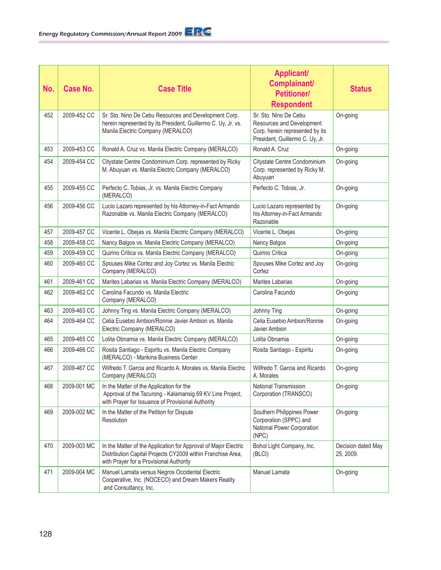| No. | Case No.    | <b>Case Title</b>                                                                                                                                                         | <b>Applicant/</b><br>Complainant/<br><b>Petitioner/</b><br><b>Respondent</b>                                             | <b>Status</b>                   |
|-----|-------------|---------------------------------------------------------------------------------------------------------------------------------------------------------------------------|--------------------------------------------------------------------------------------------------------------------------|---------------------------------|
| 452 | 2009-452 CC | Sr. Sto. Nino De Cebu Resources and Development Corp.<br>herein represented by its President, Guillermo C. Uy, Jr. vs.<br>Manila Electric Company (MERALCO)               | Sr. Sto. Nino De Cebu<br>Resources and Development<br>Corp. herein represented by its<br>President, Guillermo C. Uy, Jr. | On-going                        |
| 453 | 2009-453 CC | Ronald A. Cruz vs. Manila Electric Company (MERALCO)                                                                                                                      | Ronald A. Cruz                                                                                                           | On-going                        |
| 454 | 2009-454 CC | Citystate Centre Condominium Corp. represented by Ricky<br>M. Abuyuan vs. Manila Electric Company (MERALCO)                                                               | Citystate Centre Condominium<br>Corp. represented by Ricky M.<br>Abuyuan                                                 | On-going                        |
| 455 | 2009-455 CC | Perfecto C. Tobias, Jr. vs. Manila Electric Company<br>(MERALCO)                                                                                                          | Perfecto C. Tobias, Jr.                                                                                                  | On-going                        |
| 456 | 2009-456 CC | Lucio Lazaro represented by his Attorney-in-Fact Armando<br>Razonable vs. Manila Electric Company (MERALCO)                                                               | Lucio Lazaro represented by<br>his Attorney-in-Fact Armando<br>Razonable                                                 | On-going                        |
| 457 | 2009-457 CC | Vicente L. Obejas vs. Manila Electric Company (MERALCO)                                                                                                                   | Vicente L. Obejas                                                                                                        | On-going                        |
| 458 | 2009-458 CC | Nancy Balgos vs. Manila Electric Company (MERALCO)                                                                                                                        | Nancy Balgos                                                                                                             | On-going                        |
| 459 | 2009-459 CC | Quirino Critica vs. Manila Electric Company (MERALCO)                                                                                                                     | Quirino Critica                                                                                                          | On-going                        |
| 460 | 2009-460 CC | Spouses Mike Cortez and Joy Cortez vs. Manila Electric<br>Company (MERALCO)                                                                                               | Spouses Mike Cortez and Joy<br>Cortez                                                                                    | On-going                        |
| 461 | 2009-461 CC | Marites Labarias vs. Manila Electric Company (MERALCO)                                                                                                                    | <b>Marites Labarias</b>                                                                                                  | On-going                        |
| 462 | 2009-462 CC | Carolina Facundo vs. Manila Electric<br>Company (MERALCO)                                                                                                                 | Carolina Facundo                                                                                                         | On-going                        |
| 463 | 2009-463 CC | Johnny Ting vs. Manila Electric Company (MERALCO)                                                                                                                         | Johnny Ting                                                                                                              | On-going                        |
| 464 | 2009-464 CC | Celia Eusebio Ambion/Ronnie Javier Ambion vs. Manila<br>Electric Company (MERALCO)                                                                                        | Celia Eusebio Ambion/Ronnie<br>Javier Ambion                                                                             | On-going                        |
| 465 | 2009-465 CC | Lolita Obnamia vs. Manila Electric Company (MERALCO)                                                                                                                      | Lolita Obnamia                                                                                                           | On-going                        |
| 466 | 2009-466 CC | Rosita Santiago - Espiritu vs. Manila Electric Company<br>(MERALCO) - Marikina Business Center                                                                            | Rosita Santiago - Espiritu                                                                                               | On-going                        |
| 467 | 2009-467 CC | Wilfredo T. Garcia and Ricardo A. Morales vs. Manila Electric<br>Company (MERALCO)                                                                                        | Wilfredo T. Garcia and Ricardo<br>A. Morales                                                                             | On-going                        |
| 468 | 2009-001 MC | In the Matter of the Application for the<br>Approval of the Tacurong - Kalamansig 69 KV Line Project,<br>with Prayer for Issuance of Provisional Authority                | National Transmission<br>Corporation (TRANSCO)                                                                           | On-going                        |
| 469 | 2009-002 MC | In the Matter of the Petition for Dispute<br>Resolution                                                                                                                   | Southern Philippines Power<br>Corporation (SPPC) and<br>National Power Corporation<br>(NPC)                              | On-going                        |
| 470 | 2009-003 MC | In the Matter of the Application for Approval of Major Electric<br>Distribution Capital Projects CY2009 within Franchise Area,<br>with Prayer for a Provisional Authority | Bohol Light Company, Inc.<br>(BLCI)                                                                                      | Decision dated May<br>25, 2009. |
| 471 | 2009-004 MC | Manuel Lamata versus Negros Occidental Electric<br>Cooperative, Inc. (NOCECO) and Dream Makers Reality<br>and Consultancy, Inc.                                           | Manuel Lamata                                                                                                            | On-going                        |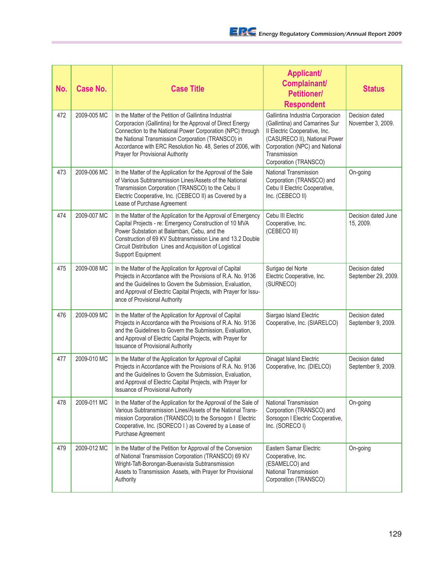| No. | <b>Case No.</b> | <b>Case Title</b>                                                                                                                                                                                                                                                                                                                           | <b>Applicant/</b><br>Complainant/<br><b>Petitioner/</b><br><b>Respondent</b>                                                                                                                                    | <b>Status</b>                         |
|-----|-----------------|---------------------------------------------------------------------------------------------------------------------------------------------------------------------------------------------------------------------------------------------------------------------------------------------------------------------------------------------|-----------------------------------------------------------------------------------------------------------------------------------------------------------------------------------------------------------------|---------------------------------------|
| 472 | 2009-005 MC     | In the Matter of the Petition of Gallintina Industrial<br>Corporacion (Gallintina) for the Approval of Direct Energy<br>Connection to the National Power Corporation (NPC) through<br>the National Transmission Corporation (TRANSCO) in<br>Accordance with ERC Resolution No. 48, Series of 2006, with<br>Prayer for Provisional Authority | Gallintina Industria Corporacion<br>(Gallintina) and Camarines Sur<br>Il Electric Cooperative, Inc.<br>(CASURECO II), National Power<br>Corporation (NPC) and National<br>Transmission<br>Corporation (TRANSCO) | Decision dated<br>November 3, 2009.   |
| 473 | 2009-006 MC     | In the Matter of the Application for the Approval of the Sale<br>of Various Subtransmission Lines/Assets of the National<br>Transmission Corporation (TRANSCO) to the Cebu II<br>Electric Cooperative, Inc. (CEBECO II) as Covered by a<br>Lease of Purchase Agreement                                                                      | National Transmission<br>Corporation (TRANSCO) and<br>Cebu II Electric Cooperative,<br>Inc. (CEBECO II)                                                                                                         | On-going                              |
| 474 | 2009-007 MC     | In the Matter of the Application for the Approval of Emergency<br>Capital Projects - re: Emergency Construction of 10 MVA<br>Power Substation at Balamban, Cebu, and the<br>Construction of 69 KV Subtransmission Line and 13.2 Double<br>Circuit Distribution Lines and Acquisition of Logistical<br>Support Equipment                     | Cebu III Electric<br>Cooperative, Inc.<br>(CEBECO III)                                                                                                                                                          | Decision dated June<br>15, 2009.      |
| 475 | 2009-008 MC     | In the Matter of the Application for Approval of Capital<br>Projects in Accordance with the Provisions of R.A. No. 9136<br>and the Guidelines to Govern the Submission, Evaluation,<br>and Approval of Electric Capital Projects, with Prayer for Issu-<br>ance of Provisional Authority                                                    | Surigao del Norte<br>Electric Cooperative, Inc.<br>(SURNECO)                                                                                                                                                    | Decision dated<br>September 29, 2009. |
| 476 | 2009-009 MC     | In the Matter of the Application for Approval of Capital<br>Projects in Accordance with the Provisions of R.A. No. 9136<br>and the Guidelines to Govern the Submission, Evaluation,<br>and Approval of Electric Capital Projects, with Prayer for<br><b>Issuance of Provisional Authority</b>                                               | Siargao Island Electric<br>Cooperative, Inc. (SIARELCO)                                                                                                                                                         | Decision dated<br>September 9, 2009.  |
| 477 | 2009-010 MC     | In the Matter of the Application for Approval of Capital<br>Projects in Accordance with the Provisions of R.A. No. 9136<br>and the Guidelines to Govern the Submission, Evaluation,<br>and Approval of Electric Capital Projects, with Prayer for<br><b>Issuance of Provisional Authority</b>                                               | Dinagat Island Electric<br>Cooperative, Inc. (DIELCO)                                                                                                                                                           | Decision dated<br>September 9, 2009.  |
| 478 | 2009-011 MC     | In the Matter of the Application for the Approval of the Sale of<br>Various Subtransmission Lines/Assets of the National Trans-<br>mission Corporation (TRANSCO) to the Sorsogon I Electric<br>Cooperative, Inc. (SORECO I ) as Covered by a Lease of<br>Purchase Agreement                                                                 | National Transmission<br>Corporation (TRANSCO) and<br>Sorsogon I Electric Cooperative,<br>Inc. (SORECO I)                                                                                                       | On-going                              |
| 479 | 2009-012 MC     | In the Matter of the Petition for Approval of the Conversion<br>of National Transmission Corporation (TRANSCO) 69 KV<br>Wright-Taft-Borongan-Buenavista Subtransmission<br>Assets to Transmission Assets, with Prayer for Provisional<br>Authority                                                                                          | Eastern Samar Electric<br>Cooperative, Inc.<br>(ESAMELCO) and<br>National Transmission<br>Corporation (TRANSCO)                                                                                                 | On-going                              |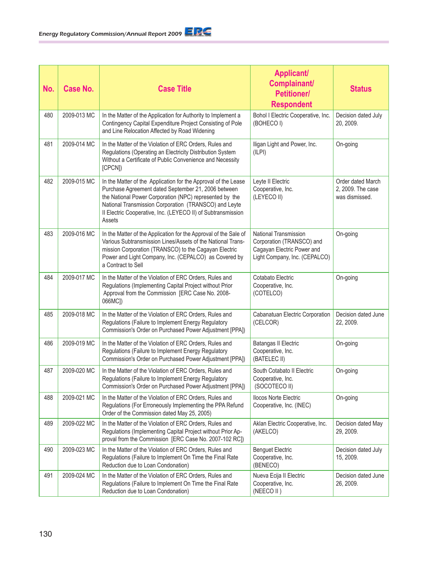| No. | <b>Case No.</b> | <b>Case Title</b>                                                                                                                                                                                                                                                                                                   | <b>Applicant/</b><br>Complainant/<br><b>Petitioner/</b><br><b>Respondent</b>                                             | <b>Status</b>                                            |
|-----|-----------------|---------------------------------------------------------------------------------------------------------------------------------------------------------------------------------------------------------------------------------------------------------------------------------------------------------------------|--------------------------------------------------------------------------------------------------------------------------|----------------------------------------------------------|
| 480 | 2009-013 MC     | In the Matter of the Application for Authority to Implement a<br>Contingency Capital Expenditure Project Consisting of Pole<br>and Line Relocation Affected by Road Widening                                                                                                                                        | Bohol I Electric Cooperative, Inc.<br>(BOHECO I)                                                                         | Decision dated July<br>20, 2009.                         |
| 481 | 2009-014 MC     | In the Matter of the Violation of ERC Orders, Rules and<br>Regulations (Operating an Electricity Distribution System<br>Without a Certificate of Public Convenience and Necessity<br>[CPCN])                                                                                                                        | Iligan Light and Power, Inc.<br>(ILPI)                                                                                   | On-going                                                 |
| 482 | 2009-015 MC     | In the Matter of the Application for the Approval of the Lease<br>Purchase Agreement dated September 21, 2006 between<br>the National Power Corporation (NPC) represented by the<br>National Transmission Corporation (TRANSCO) and Leyte<br>Il Electric Cooperative, Inc. (LEYECO II) of Subtransmission<br>Assets | Leyte II Electric<br>Cooperative, Inc.<br>(LEYECO II)                                                                    | Order dated March<br>2, 2009. The case<br>was dismissed. |
| 483 | 2009-016 MC     | In the Matter of the Application for the Approval of the Sale of<br>Various Subtransmission Lines/Assets of the National Trans-<br>mission Corporation (TRANSCO) to the Cagayan Electric<br>Power and Light Company, Inc. (CEPALCO) as Covered by<br>a Contract to Sell                                             | <b>National Transmission</b><br>Corporation (TRANSCO) and<br>Cagayan Electric Power and<br>Light Company, Inc. (CEPALCO) | On-going                                                 |
| 484 | 2009-017 MC     | In the Matter of the Violation of ERC Orders, Rules and<br>Regulations (Implementing Capital Project without Prior<br>Approval from the Commission [ERC Case No. 2008-<br>066MC])                                                                                                                                   | Cotabato Electric<br>Cooperative, Inc.<br>(COTELCO)                                                                      | On-going                                                 |
| 485 | 2009-018 MC     | In the Matter of the Violation of ERC Orders, Rules and<br>Regulations (Failure to Implement Energy Regulatory<br>Commission's Order on Purchased Power Adjustment [PPA])                                                                                                                                           | Cabanatuan Electric Corporation<br>(CELCOR)                                                                              | Decision dated June<br>22, 2009.                         |
| 486 | 2009-019 MC     | In the Matter of the Violation of ERC Orders, Rules and<br>Regulations (Failure to Implement Energy Regulatory<br>Commission's Order on Purchased Power Adjustment [PPA])                                                                                                                                           | <b>Batangas II Electric</b><br>Cooperative, Inc.<br>(BATELEC II)                                                         | On-going                                                 |
| 487 | 2009-020 MC     | In the Matter of the Violation of ERC Orders, Rules and<br>Regulations (Failure to Implement Energy Regulatory<br>Commission's Order on Purchased Power Adjustment [PPA])                                                                                                                                           | South Cotabato II Electric<br>Cooperative, Inc.<br>(SOCOTECO II)                                                         | On-going                                                 |
| 488 | 2009-021 MC     | In the Matter of the Violation of ERC Orders, Rules and<br>Regulations (For Erroneously Implementing the PPA Refund<br>Order of the Commission dated May 25, 2005)                                                                                                                                                  | <b>Ilocos Norte Electric</b><br>Cooperative, Inc. (INEC)                                                                 | On-going                                                 |
| 489 | 2009-022 MC     | In the Matter of the Violation of ERC Orders, Rules and<br>Regulations (Implementing Capital Project without Prior Ap-<br>proval from the Commission [ERC Case No. 2007-102 RC])                                                                                                                                    | Aklan Electric Cooperative, Inc.<br>(AKELCO)                                                                             | Decision dated May<br>29, 2009.                          |
| 490 | 2009-023 MC     | In the Matter of the Violation of ERC Orders, Rules and<br>Regulations (Failure to Implement On Time the Final Rate<br>Reduction due to Loan Condonation)                                                                                                                                                           | <b>Benguet Electric</b><br>Cooperative, Inc.<br>(BENECO)                                                                 | Decision dated July<br>15, 2009.                         |
| 491 | 2009-024 MC     | In the Matter of the Violation of ERC Orders, Rules and<br>Regulations (Failure to Implement On Time the Final Rate<br>Reduction due to Loan Condonation)                                                                                                                                                           | Nueva Ecija II Electric<br>Cooperative, Inc.<br>(NEECO II)                                                               | Decision dated June<br>26, 2009.                         |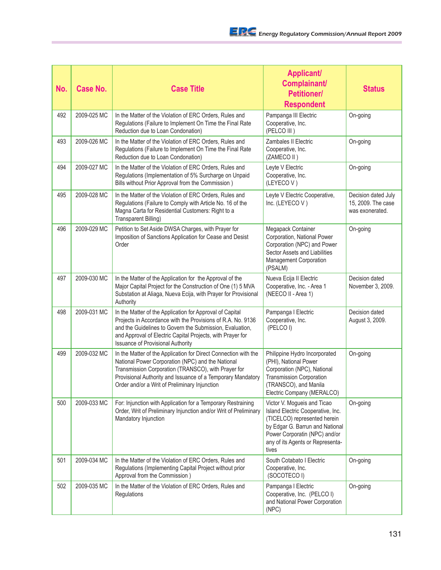| No. | <b>Case No.</b> | <b>Case Title</b>                                                                                                                                                                                                                                                                             | <b>Applicant/</b><br>Complainant/<br><b>Petitioner/</b><br><b>Respondent</b>                                                                                                                                      | <b>Status</b>                                                |
|-----|-----------------|-----------------------------------------------------------------------------------------------------------------------------------------------------------------------------------------------------------------------------------------------------------------------------------------------|-------------------------------------------------------------------------------------------------------------------------------------------------------------------------------------------------------------------|--------------------------------------------------------------|
| 492 | 2009-025 MC     | In the Matter of the Violation of ERC Orders, Rules and<br>Regulations (Failure to Implement On Time the Final Rate<br>Reduction due to Loan Condonation)                                                                                                                                     | Pampanga III Electric<br>Cooperative, Inc.<br>(PELCO III)                                                                                                                                                         | On-going                                                     |
| 493 | 2009-026 MC     | In the Matter of the Violation of ERC Orders, Rules and<br>Regulations (Failure to Implement On Time the Final Rate<br>Reduction due to Loan Condonation)                                                                                                                                     | Zambales II Electric<br>Cooperative, Inc.<br>(ZAMECO II)                                                                                                                                                          | On-going                                                     |
| 494 | 2009-027 MC     | In the Matter of the Violation of ERC Orders, Rules and<br>Regulations (Implementation of 5% Surcharge on Unpaid<br>Bills without Prior Approval from the Commission)                                                                                                                         | Leyte V Electric<br>Cooperative, Inc.<br>(LEYECOV)                                                                                                                                                                | On-going                                                     |
| 495 | 2009-028 MC     | In the Matter of the Violation of ERC Orders, Rules and<br>Regulations (Failure to Comply with Article No. 16 of the<br>Magna Carta for Residential Customers: Right to a<br>Transparent Billing)                                                                                             | Leyte V Electric Cooperative,<br>Inc. (LEYECOV)                                                                                                                                                                   | Decision dated July<br>15, 2009. The case<br>was exonerated. |
| 496 | 2009-029 MC     | Petition to Set Aside DWSA Charges, with Prayer for<br>Imposition of Sanctions Application for Cease and Desist<br>Order                                                                                                                                                                      | Megapack Container<br>Corporation, National Power<br>Corporation (NPC) and Power<br>Sector Assets and Liabilities<br>Management Corporation<br>(PSALM)                                                            | On-going                                                     |
| 497 | 2009-030 MC     | In the Matter of the Application for the Approval of the<br>Major Capital Project for the Construction of One (1) 5 MVA<br>Substation at Aliaga, Nueva Ecija, with Prayer for Provisional<br>Authority                                                                                        | Nueva Ecija II Electric<br>Cooperative, Inc. - Area 1<br>(NEECO II - Area 1)                                                                                                                                      | Decision dated<br>November 3, 2009.                          |
| 498 | 2009-031 MC     | In the Matter of the Application for Approval of Capital<br>Projects in Accordance with the Provisions of R.A. No. 9136<br>and the Guidelines to Govern the Submission, Evaluation,<br>and Approval of Electric Capital Projects, with Prayer for<br><b>Issuance of Provisional Authority</b> | Pampanga I Electric<br>Cooperative, Inc.<br>(PELCOI)                                                                                                                                                              | Decision dated<br>August 3, 2009.                            |
| 499 | 2009-032 MC     | In the Matter of the Application for Direct Connection with the<br>National Power Corporation (NPC) and the National<br>Transmission Corporation (TRANSCO), with Prayer for<br>Provisional Authority and Issuance of a Temporary Mandatory<br>Order and/or a Writ of Preliminary Injunction   | Philippine Hydro Incorporated<br>(PHI), National Power<br>Corporation (NPC), National<br><b>Transmission Corporation</b><br>(TRANSCO), and Manila<br>Electric Company (MERALCO)                                   | On-going                                                     |
| 500 | 2009-033 MC     | For: Injunction with Application for a Temporary Restraining<br>Order, Writ of Preliminary Injunction and/or Writ of Preliminary<br>Mandatory Injunction                                                                                                                                      | Victor V. Mogueis and Ticao<br>Island Electric Cooperative, Inc.<br>(TICELCO) represented herein<br>by Edgar G. Barrun and National<br>Power Corporatin (NPC) and/or<br>any of its Agents or Representa-<br>tives | On-going                                                     |
| 501 | 2009-034 MC     | In the Matter of the Violation of ERC Orders, Rules and<br>Regulations (Implementing Capital Project without prior<br>Approval from the Commission)                                                                                                                                           | South Cotabato I Electric<br>Cooperative, Inc.<br>(SOCOTECO I)                                                                                                                                                    | On-going                                                     |
| 502 | 2009-035 MC     | In the Matter of the Violation of ERC Orders, Rules and<br>Regulations                                                                                                                                                                                                                        | Pampanga I Electric<br>Cooperative, Inc. (PELCO I)<br>and National Power Corporation<br>(NPC)                                                                                                                     | On-going                                                     |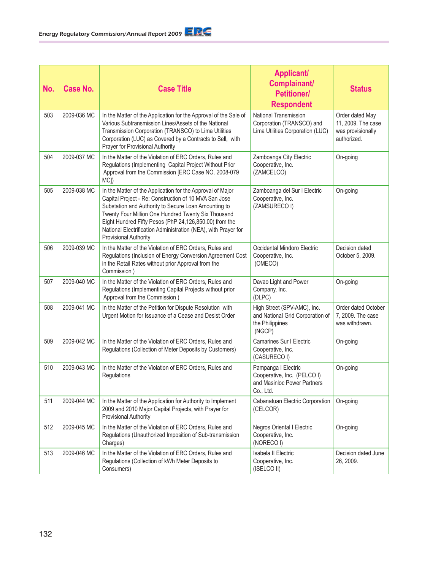| No. | <b>Case No.</b> | <b>Case Title</b>                                                                                                                                                                                                                                                                                                                                                                       | <b>Applicant/</b><br>Complainant/<br><b>Petitioner/</b><br><b>Respondent</b>                   | <b>Status</b>                                                             |
|-----|-----------------|-----------------------------------------------------------------------------------------------------------------------------------------------------------------------------------------------------------------------------------------------------------------------------------------------------------------------------------------------------------------------------------------|------------------------------------------------------------------------------------------------|---------------------------------------------------------------------------|
| 503 | 2009-036 MC     | In the Matter of the Application for the Approval of the Sale of<br>Various Subtransmission Lines/Assets of the National<br>Transmission Corporation (TRANSCO) to Lima Utilities<br>Corporation (LUC) as Covered by a Contracts to Sell, with<br>Prayer for Provisional Authority                                                                                                       | <b>National Transmission</b><br>Corporation (TRANSCO) and<br>Lima Utilities Corporation (LUC)  | Order dated May<br>11, 2009. The case<br>was provisionally<br>authorized. |
| 504 | 2009-037 MC     | In the Matter of the Violation of ERC Orders, Rules and<br>Regulations (Implementing Capital Project Without Prior<br>Approval from the Commission [ERC Case NO. 2008-079<br>MC <sub>I</sub> )                                                                                                                                                                                          | Zamboanga City Electric<br>Cooperative, Inc.<br>(ZAMCELCO)                                     | On-going                                                                  |
| 505 | 2009-038 MC     | In the Matter of the Application for the Approval of Major<br>Capital Project - Re: Construction of 10 MVA San Jose<br>Substation and Authority to Secure Loan Amounting to<br>Twenty Four Million One Hundred Twenty Six Thousand<br>Eight Hundred Fifty Pesos (PhP 24,126,850.00) from the<br>National Electrification Administration (NEA), with Prayer for<br>Provisional Authority | Zamboanga del Sur I Electric<br>Cooperative, Inc.<br>(ZAMSURECO I)                             | On-going                                                                  |
| 506 | 2009-039 MC     | In the Matter of the Violation of ERC Orders, Rules and<br>Regulations (Inclusion of Energy Conversion Agreement Cost<br>in the Retail Rates without prior Approval from the<br>Commission)                                                                                                                                                                                             | Occidental Mindoro Electric<br>Cooperative, Inc.<br>(OMECO)                                    | Decision dated<br>October 5, 2009.                                        |
| 507 | 2009-040 MC     | In the Matter of the Violation of ERC Orders, Rules and<br>Regulations (Implementing Capital Projects without prior<br>Approval from the Commission)                                                                                                                                                                                                                                    | Davao Light and Power<br>Company, Inc.<br>(DLPC)                                               | On-going                                                                  |
| 508 | 2009-041 MC     | In the Matter of the Petition for Dispute Resolution with<br>Urgent Motion for Issuance of a Cease and Desist Order                                                                                                                                                                                                                                                                     | High Street (SPV-AMC), Inc.<br>and National Grid Corporation of<br>the Philippines<br>(NGCP)   | Order dated October<br>7, 2009. The case<br>was withdrawn.                |
| 509 | 2009-042 MC     | In the Matter of the Violation of ERC Orders, Rules and<br>Regulations (Collection of Meter Deposits by Customers)                                                                                                                                                                                                                                                                      | <b>Camarines Sur I Electric</b><br>Cooperative, Inc.<br>(CASURECO I)                           | On-going                                                                  |
| 510 | 2009-043 MC     | In the Matter of the Violation of ERC Orders, Rules and<br>Regulations                                                                                                                                                                                                                                                                                                                  | Pampanga I Electric<br>Cooperative, Inc. (PELCO I)<br>and Masinloc Power Partners<br>Co., Ltd. | On-going                                                                  |
| 511 | 2009-044 MC     | In the Matter of the Application for Authority to Implement<br>2009 and 2010 Major Capital Projects, with Prayer for<br><b>Provisional Authority</b>                                                                                                                                                                                                                                    | Cabanatuan Electric Corporation<br>(CELCOR)                                                    | On-going                                                                  |
| 512 | 2009-045 MC     | In the Matter of the Violation of ERC Orders, Rules and<br>Regulations (Unauthorized Imposition of Sub-transmission<br>Charges)                                                                                                                                                                                                                                                         | Negros Oriental I Electric<br>Cooperative, Inc.<br>(NORECO I)                                  | On-going                                                                  |
| 513 | 2009-046 MC     | In the Matter of the Violation of ERC Orders, Rules and<br>Regulations (Collection of kWh Meter Deposits to<br>Consumers)                                                                                                                                                                                                                                                               | Isabela II Electric<br>Cooperative, Inc.<br>(ISELCO II)                                        | Decision dated June<br>26, 2009.                                          |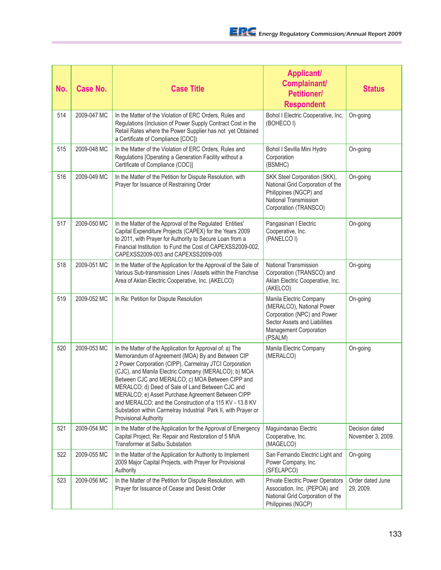| No. | Case No.    | <b>Case Title</b>                                                                                                                                                                                                                                                                                                                                                                                                                                                                                                                                        | <b>Applicant/</b><br>Complainant/<br><b>Petitioner/</b><br><b>Respondent</b>                                                                              | <b>Status</b>                       |
|-----|-------------|----------------------------------------------------------------------------------------------------------------------------------------------------------------------------------------------------------------------------------------------------------------------------------------------------------------------------------------------------------------------------------------------------------------------------------------------------------------------------------------------------------------------------------------------------------|-----------------------------------------------------------------------------------------------------------------------------------------------------------|-------------------------------------|
| 514 | 2009-047 MC | In the Matter of the Violation of ERC Orders, Rules and<br>Regulations (Inclusion of Power Supply Contract Cost in the<br>Retail Rates where the Power Supplier has not yet Obtained<br>a Certificate of Compliance [COC])                                                                                                                                                                                                                                                                                                                               | Bohol I Electric Cooperative, Inc.<br>(BOHECO I)                                                                                                          | On-going                            |
| 515 | 2009-048 MC | In the Matter of the Violation of ERC Orders, Rules and<br>Regulations [Operating a Generation Facility without a<br>Certificate of Compliance (COC)]                                                                                                                                                                                                                                                                                                                                                                                                    | Bohol I Sevilla Mini Hydro<br>Corporation<br>(BSMHC)                                                                                                      | On-going                            |
| 516 | 2009-049 MC | In the Matter of the Petition for Dispute Resolution, with<br>Prayer for Issuance of Restraining Order                                                                                                                                                                                                                                                                                                                                                                                                                                                   | SKK Steel Corporation (SKK),<br>National Grid Corporation of the<br>Philippines (NGCP) and<br>National Transmission<br>Corporation (TRANSCO)              | On-going                            |
| 517 | 2009-050 MC | In the Matter of the Approval of the Regulated Entities'<br>Capital Expenditure Projects (CAPEX) for the Years 2009<br>to 2011, with Prayer for Authority to Secure Loan from a<br>Financial Institution to Fund the Cost of CAPEXSS2009-002,<br>CAPEXSS2009-003 and CAPEXSS2009-005                                                                                                                                                                                                                                                                     | Pangasinan I Electric<br>Cooperative, Inc.<br>(PANELCO I)                                                                                                 | On-going                            |
| 518 | 2009-051 MC | In the Matter of the Application for the Approval of the Sale of<br>Various Sub-transmission Lines / Assets within the Franchise<br>Area of Aklan Electric Cooperative, Inc. (AKELCO)                                                                                                                                                                                                                                                                                                                                                                    | National Transmission<br>Corporation (TRANSCO) and<br>Aklan Electric Cooperative, Inc.<br>(AKELCO)                                                        | On-going                            |
| 519 | 2009-052 MC | In Re: Petition for Dispute Resolution                                                                                                                                                                                                                                                                                                                                                                                                                                                                                                                   | Manila Electric Company<br>(MERALCO), National Power<br>Corporation (NPC) and Power<br>Sector Assets and Liabilities<br>Management Corporation<br>(PSALM) | On-going                            |
| 520 | 2009-053 MC | In the Matter of the Application for Approval of: a) The<br>Memorandum of Agreement (MOA) By and Between CIP<br>2 Power Corporation (CIPP), Carmelray JTCI Corporation<br>(CJC), and Manila Electric Company (MERALCO); b) MOA<br>Between CJC and MERALCO; c) MOA Between CIPP and<br>MERALCO; d) Deed of Sale of Land Between CJC and<br>MERALCO; e) Asset Purchase Agreement Between CIPP<br>and MERALCO; and the Construction of a 115 KV - 13.8 KV<br>Substation within Carmelray Industrial Park II, with Prayer or<br><b>Provisional Authority</b> | Manila Electric Company<br>(MERALCO)                                                                                                                      | On-going                            |
| 521 | 2009-054 MC | In the Matter of the Application for the Approval of Emergency<br>Capital Project, Re: Repair and Restoration of 5 MVA<br><b>Transformer at Salbu Substation</b>                                                                                                                                                                                                                                                                                                                                                                                         | Maguindanao Electric<br>Cooperative, Inc.<br>(MAGELCO)                                                                                                    | Decision dated<br>November 3, 2009. |
| 522 | 2009-055 MC | In the Matter of the Application for Authority to Implement<br>2009 Major Capital Projects, with Prayer for Provisional<br>Authority                                                                                                                                                                                                                                                                                                                                                                                                                     | San Fernando Electric Light and<br>Power Company, Inc.<br>(SFELAPCO)                                                                                      | On-going                            |
| 523 | 2009-056 MC | In the Matter of the Petition for Dispute Resolution, with<br>Prayer for Issuance of Cease and Desist Order                                                                                                                                                                                                                                                                                                                                                                                                                                              | Private Electric Power Operators<br>Association, Inc. (PEPOA) and<br>National Grid Corporation of the<br>Philippines (NGCP)                               | Order dated June<br>29, 2009.       |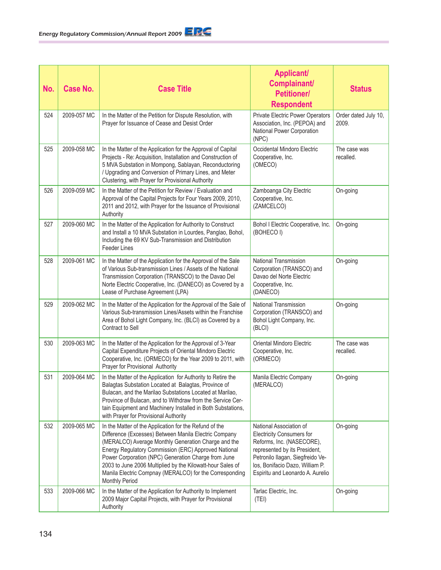| No. | <b>Case No.</b> | <b>Case Title</b>                                                                                                                                                                                                                                                                                                                                                                                                                       | <b>Applicant/</b><br><b>Complainant/</b><br><b>Petitioner/</b><br><b>Respondent</b>                                                                                                                                                  | <b>Status</b>                 |
|-----|-----------------|-----------------------------------------------------------------------------------------------------------------------------------------------------------------------------------------------------------------------------------------------------------------------------------------------------------------------------------------------------------------------------------------------------------------------------------------|--------------------------------------------------------------------------------------------------------------------------------------------------------------------------------------------------------------------------------------|-------------------------------|
| 524 | 2009-057 MC     | In the Matter of the Petition for Dispute Resolution, with<br>Prayer for Issuance of Cease and Desist Order                                                                                                                                                                                                                                                                                                                             | Private Electric Power Operators<br>Association, Inc. (PEPOA) and<br>National Power Corporation<br>(NPC)                                                                                                                             | Order dated July 10,<br>2009. |
| 525 | 2009-058 MC     | In the Matter of the Application for the Approval of Capital<br>Projects - Re: Acquisition, Installation and Construction of<br>5 MVA Substation in Mompong, Sablayan, Reconductoring<br>/ Upgrading and Conversion of Primary Lines, and Meter<br>Clustering, with Prayer for Provisional Authority                                                                                                                                    | Occidental Mindoro Electric<br>Cooperative, Inc.<br>(OMECO)                                                                                                                                                                          | The case was<br>recalled.     |
| 526 | 2009-059 MC     | In the Matter of the Petition for Review / Evaluation and<br>Approval of the Capital Projects for Four Years 2009, 2010,<br>2011 and 2012, with Prayer for the Issuance of Provisional<br>Authority                                                                                                                                                                                                                                     | Zamboanga City Electric<br>Cooperative, Inc.<br>(ZAMCELCO)                                                                                                                                                                           | On-going                      |
| 527 | 2009-060 MC     | In the Matter of the Application for Authority to Construct<br>and Install a 10 MVA Substation in Lourdes, Panglao, Bohol,<br>Including the 69 KV Sub-Transmission and Distribution<br><b>Feeder Lines</b>                                                                                                                                                                                                                              | Bohol I Electric Cooperative, Inc.<br>(BOHECO I)                                                                                                                                                                                     | On-going                      |
| 528 | 2009-061 MC     | In the Matter of the Application for the Approval of the Sale<br>of Various Sub-transmission Lines / Assets of the National<br>Transmission Corporation (TRANSCO) to the Davao Del<br>Norte Electric Cooperative, Inc. (DANECO) as Covered by a<br>Lease of Purchase Agreement (LPA)                                                                                                                                                    | <b>National Transmission</b><br>Corporation (TRANSCO) and<br>Davao del Norte Electric<br>Cooperative, Inc.<br>(DANECO)                                                                                                               | On-going                      |
| 529 | 2009-062 MC     | In the Matter of the Application for the Approval of the Sale of<br>Various Sub-transmission Lines/Assets within the Franchise<br>Area of Bohol Light Company, Inc. (BLCI) as Covered by a<br>Contract to Sell                                                                                                                                                                                                                          | <b>National Transmission</b><br>Corporation (TRANSCO) and<br>Bohol Light Company, Inc.<br>(BLCI)                                                                                                                                     | On-going                      |
| 530 | 2009-063 MC     | In the Matter of the Application for the Approval of 3-Year<br>Capital Expenditure Projects of Oriental Mindoro Electric<br>Cooperative, Inc. (ORMECO) for the Year 2009 to 2011, with<br>Prayer for Provisional Authority                                                                                                                                                                                                              | Oriental Mindoro Electric<br>Cooperative, Inc.<br>(ORMECO)                                                                                                                                                                           | The case was<br>recalled.     |
| 531 | 2009-064 MC     | In the Matter of the Application for Authority to Retire the<br>Balagtas Substation Located at Balagtas, Province of<br>Bulacan, and the Marilao Substations Located at Marilao,<br>Province of Bulacan, and to Withdraw from the Service Cer-<br>tain Equipment and Machinery Installed in Both Substations,<br>with Prayer for Provisional Authority                                                                                  | Manila Electric Company<br>(MERALCO)                                                                                                                                                                                                 | On-going                      |
| 532 | 2009-065 MC     | In the Matter of the Application for the Refund of the<br>Difference (Excesses) Between Manila Electric Company<br>(MERALCO) Average Monthly Generation Charge and the<br>Energy Regulatory Commission (ERC) Approved National<br>Power Corporation (NPC) Generation Charge from June<br>2003 to June 2006 Multiplied by the Kilowatt-hour Sales of<br>Manila Electric Compnay (MERALCO) for the Corresponding<br><b>Monthly Period</b> | National Association of<br><b>Electricity Consumers for</b><br>Reforms, Inc. (NASECORE),<br>represented by its President,<br>Petronilo Ilagan, Siegfreido Ve-<br>los, Bonifacio Dazo, William P.<br>Espiritu and Leonardo A. Aurelio | On-going                      |
| 533 | 2009-066 MC     | In the Matter of the Application for Authority to Implement<br>2009 Major Capital Projects, with Prayer for Provisional<br>Authority                                                                                                                                                                                                                                                                                                    | Tarlac Electric, Inc.<br>(TEI)                                                                                                                                                                                                       | On-going                      |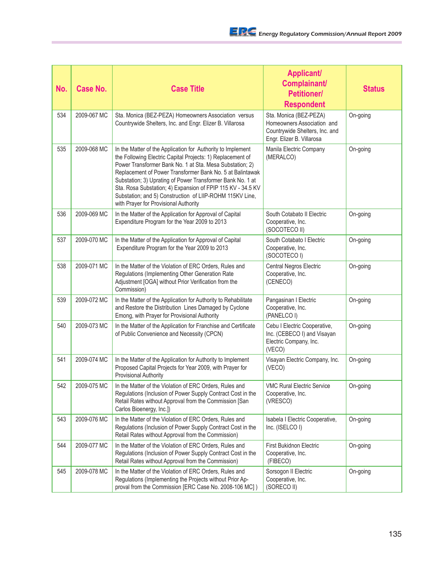| No. | <b>Case No.</b> | <b>Case Title</b>                                                                                                                                                                                                                                                                                                                                                                                                                                                                    | <b>Applicant/</b><br>Complainant/<br><b>Petitioner/</b><br><b>Respondent</b>                                        | <b>Status</b> |
|-----|-----------------|--------------------------------------------------------------------------------------------------------------------------------------------------------------------------------------------------------------------------------------------------------------------------------------------------------------------------------------------------------------------------------------------------------------------------------------------------------------------------------------|---------------------------------------------------------------------------------------------------------------------|---------------|
| 534 | 2009-067 MC     | Sta. Monica (BEZ-PEZA) Homeowners Association versus<br>Countrywide Shelters, Inc. and Engr. Elizer B. Villarosa                                                                                                                                                                                                                                                                                                                                                                     | Sta. Monica (BEZ-PEZA)<br>Homeowners Association and<br>Countrywide Shelters, Inc. and<br>Engr. Elizer B. Villarosa | On-going      |
| 535 | 2009-068 MC     | In the Matter of the Application for Authority to Implement<br>the Following Electric Capital Projects: 1) Replacement of<br>Power Transformer Bank No. 1 at Sta. Mesa Substation; 2)<br>Replacement of Power Transformer Bank No. 5 at Balintawak<br>Substation; 3) Uprating of Power Transformer Bank No. 1 at<br>Sta. Rosa Substation; 4) Expansion of FPIP 115 KV - 34.5 KV<br>Substation; and 5) Construction of LIIP-ROHM 115KV Line,<br>with Prayer for Provisional Authority | Manila Electric Company<br>(MERALCO)                                                                                | On-going      |
| 536 | 2009-069 MC     | In the Matter of the Application for Approval of Capital<br>Expenditure Program for the Year 2009 to 2013                                                                                                                                                                                                                                                                                                                                                                            | South Cotabato II Electric<br>Cooperative, Inc.<br>(SOCOTECO II)                                                    | On-going      |
| 537 | 2009-070 MC     | In the Matter of the Application for Approval of Capital<br>Expenditure Program for the Year 2009 to 2013                                                                                                                                                                                                                                                                                                                                                                            | South Cotabato I Electric<br>Cooperative, Inc.<br>(SOCOTECO I)                                                      | On-going      |
| 538 | 2009-071 MC     | In the Matter of the Violation of ERC Orders, Rules and<br>Regulations (Implementing Other Generation Rate<br>Adjustment [OGA] without Prior Verification from the<br>Commission)                                                                                                                                                                                                                                                                                                    | Central Negros Electric<br>Cooperative, Inc.<br>(CENECO)                                                            | On-going      |
| 539 | 2009-072 MC     | In the Matter of the Application for Authority to Rehabilitate<br>and Restore the Distribution Lines Damaged by Cyclone<br>Emong, with Prayer for Provisional Authority                                                                                                                                                                                                                                                                                                              | Pangasinan I Electric<br>Cooperative, Inc.<br>(PANELCO I)                                                           | On-going      |
| 540 | 2009-073 MC     | In the Matter of the Application for Franchise and Certificate<br>of Public Convenience and Necessity (CPCN)                                                                                                                                                                                                                                                                                                                                                                         | Cebu I Electric Cooperative,<br>Inc. (CEBECO I) and Visayan<br>Electric Company, Inc.<br>(VECO)                     | On-going      |
| 541 | 2009-074 MC     | In the Matter of the Application for Authority to Implement<br>Proposed Capital Projects for Year 2009, with Prayer for<br>Provisional Authority                                                                                                                                                                                                                                                                                                                                     | Visayan Electric Company, Inc.<br>(VECO)                                                                            | On-going      |
| 542 | 2009-075 MC     | In the Matter of the Violation of ERC Orders, Rules and<br>Regulations (Inclusion of Power Supply Contract Cost in the<br>Retail Rates without Approval from the Commission [San<br>Carlos Bioenergy, Inc.])                                                                                                                                                                                                                                                                         | VMC Rural Electric Service<br>Cooperative, Inc.<br>(VRESCO)                                                         | On-going      |
| 543 | 2009-076 MC     | In the Matter of the Violation of ERC Orders, Rules and<br>Regulations (Inclusion of Power Supply Contract Cost in the<br>Retail Rates without Approval from the Commission)                                                                                                                                                                                                                                                                                                         | Isabela I Electric Cooperative,<br>Inc. (ISELCO I)                                                                  | On-going      |
| 544 | 2009-077 MC     | In the Matter of the Violation of ERC Orders, Rules and<br>Regulations (Inclusion of Power Supply Contract Cost in the<br>Retail Rates without Approval from the Commission)                                                                                                                                                                                                                                                                                                         | <b>First Bukidnon Electric</b><br>Cooperative, Inc.<br>(FIBECO)                                                     | On-going      |
| 545 | 2009-078 MC     | In the Matter of the Violation of ERC Orders, Rules and<br>Regulations (Implementing the Projects without Prior Ap-<br>proval from the Commission [ERC Case No. 2008-106 MC])                                                                                                                                                                                                                                                                                                        | Sorsogon II Electric<br>Cooperative, Inc.<br>(SORECO II)                                                            | On-going      |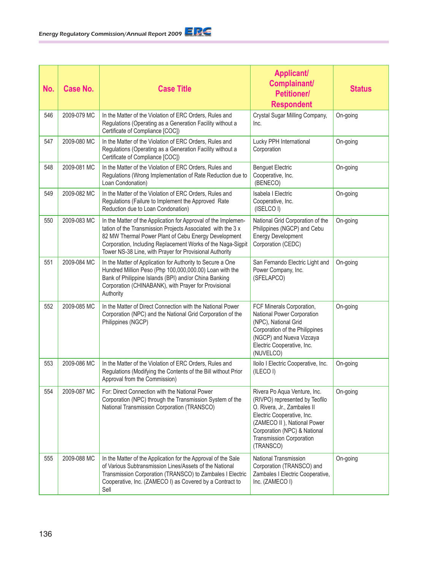| No. | Case No.    | <b>Case Title</b>                                                                                                                                                                                                                                                                                               | <b>Applicant/</b><br>Complainant/<br><b>Petitioner/</b><br><b>Respondent</b>                                                                                                                                                               | <b>Status</b> |
|-----|-------------|-----------------------------------------------------------------------------------------------------------------------------------------------------------------------------------------------------------------------------------------------------------------------------------------------------------------|--------------------------------------------------------------------------------------------------------------------------------------------------------------------------------------------------------------------------------------------|---------------|
| 546 | 2009-079 MC | In the Matter of the Violation of ERC Orders, Rules and<br>Regulations (Operating as a Generation Facility without a<br>Certificate of Compliance [COC])                                                                                                                                                        | Crystal Sugar Milling Company,<br>Inc.                                                                                                                                                                                                     | On-going      |
| 547 | 2009-080 MC | In the Matter of the Violation of ERC Orders, Rules and<br>Regulations (Operating as a Generation Facility without a<br>Certificate of Compliance [COC])                                                                                                                                                        | Lucky PPH International<br>Corporation                                                                                                                                                                                                     | On-going      |
| 548 | 2009-081 MC | In the Matter of the Violation of ERC Orders, Rules and<br>Regulations (Wrong Implementation of Rate Reduction due to<br>Loan Condonation)                                                                                                                                                                      | <b>Benguet Electric</b><br>Cooperative, Inc.<br>(BENECO)                                                                                                                                                                                   | On-going      |
| 549 | 2009-082 MC | In the Matter of the Violation of ERC Orders, Rules and<br>Regulations (Failure to Implement the Approved Rate<br>Reduction due to Loan Condonation)                                                                                                                                                            | Isabela I Electric<br>Cooperative, Inc.<br>(ISELCO I)                                                                                                                                                                                      | On-going      |
| 550 | 2009-083 MC | In the Matter of the Application for Approval of the Implemen-<br>tation of the Transmission Projects Associated with the 3 x<br>82 MW Thermal Power Plant of Cebu Energy Development<br>Corporation, Including Replacement Works of the Naga-Sigpit<br>Tower NS-38 Line, with Prayer for Provisional Authority | National Grid Corporation of the<br>Philippines (NGCP) and Cebu<br><b>Energy Development</b><br>Corporation (CEDC)                                                                                                                         | On-going      |
| 551 | 2009-084 MC | In the Matter of Application for Authority to Secure a One<br>Hundred Million Peso (Php 100,000,000.00) Loan with the<br>Bank of Philippine Islands (BPI) and/or China Banking<br>Corporation (CHINABANK), with Prayer for Provisional<br>Authority                                                             | San Fernando Electric Light and<br>Power Company, Inc.<br>(SFELAPCO)                                                                                                                                                                       | On-going      |
| 552 | 2009-085 MC | In the Matter of Direct Connection with the National Power<br>Corporation (NPC) and the National Grid Corporation of the<br>Philippines (NGCP)                                                                                                                                                                  | FCF Minerals Corporation,<br>National Power Corporation<br>(NPC), National Grid<br>Corporation of the Philippines<br>(NGCP) and Nueva Vizcaya<br>Electric Cooperative, Inc.<br>(NUVELCO)                                                   | On-going      |
| 553 | 2009-086 MC | In the Matter of the Violation of ERC Orders, Rules and<br>Regulations (Modifying the Contents of the Bill without Prior<br>Approval from the Commission)                                                                                                                                                       | Iloilo I Electric Cooperative, Inc.<br>(ILECO I)                                                                                                                                                                                           | On-going      |
| 554 | 2009-087 MC | For: Direct Connection with the National Power<br>Corporation (NPC) through the Transmission System of the<br>National Transmission Corporation (TRANSCO)                                                                                                                                                       | Rivera Po Aqua Venture, Inc.<br>(RIVPO) represented by Teofilo<br>O. Rivera, Jr., Zambales II<br>Electric Cooperative, Inc.<br>(ZAMECO II), National Power<br>Corporation (NPC) & National<br><b>Transmission Corporation</b><br>(TRANSCO) | On-going      |
| 555 | 2009-088 MC | In the Matter of the Application for the Approval of the Sale<br>of Various Subtransmission Lines/Assets of the National<br>Transmission Corporation (TRANSCO) to Zambales I Electric<br>Cooperative, Inc. (ZAMECO I) as Covered by a Contract to<br>Sell                                                       | National Transmission<br>Corporation (TRANSCO) and<br>Zambales I Electric Cooperative,<br>Inc. (ZAMECO I)                                                                                                                                  | On-going      |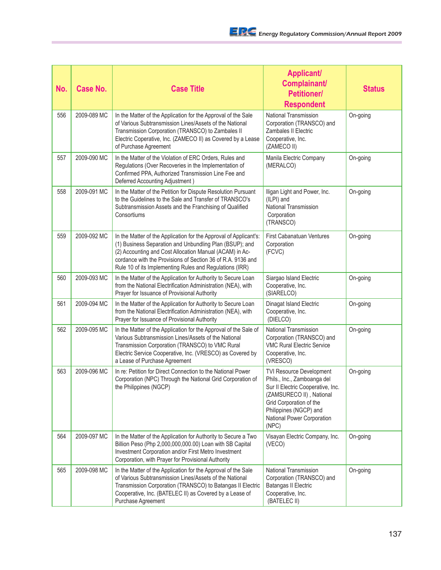| No. | <b>Case No.</b> | <b>Case Title</b>                                                                                                                                                                                                                                                                                                 | <b>Applicant/</b><br>Complainant/<br><b>Petitioner/</b><br><b>Respondent</b>                                                                                                                                         | <b>Status</b> |
|-----|-----------------|-------------------------------------------------------------------------------------------------------------------------------------------------------------------------------------------------------------------------------------------------------------------------------------------------------------------|----------------------------------------------------------------------------------------------------------------------------------------------------------------------------------------------------------------------|---------------|
| 556 | 2009-089 MC     | In the Matter of the Application for the Approval of the Sale<br>of Various Subtransmission Lines/Assets of the National<br>Transmission Corporation (TRANSCO) to Zambales II<br>Electric Coperative, Inc. (ZAMECO II) as Covered by a Lease<br>of Purchase Agreement                                             | National Transmission<br>Corporation (TRANSCO) and<br><b>Zambales II Electric</b><br>Cooperative, Inc.<br>(ZAMECO II)                                                                                                | On-going      |
| 557 | 2009-090 MC     | In the Matter of the Violation of ERC Orders, Rules and<br>Regulations (Over Recoveries in the Implementation of<br>Confirmed PPA, Authorized Transmission Line Fee and<br>Deferred Accounting Adjustment)                                                                                                        | Manila Electric Company<br>(MERALCO)                                                                                                                                                                                 | On-going      |
| 558 | 2009-091 MC     | In the Matter of the Petition for Dispute Resolution Pursuant<br>to the Guidelines to the Sale and Transfer of TRANSCO's<br>Subtransmission Assets and the Franchising of Qualified<br>Consortiums                                                                                                                | Iligan Light and Power, Inc.<br>(ILPI) and<br>National Transmission<br>Corporation<br>(TRANSCO)                                                                                                                      | On-going      |
| 559 | 2009-092 MC     | In the Matter of the Application for the Approval of Applicant's:<br>(1) Business Separation and Unbundling Plan (BSUP); and<br>(2) Accounting and Cost Allocation Manual (ACAM) in Ac-<br>cordance with the Provisions of Section 36 of R.A. 9136 and<br>Rule 10 of its Implementing Rules and Regulations (IRR) | <b>First Cabanatuan Ventures</b><br>Corporation<br>(FCVC)                                                                                                                                                            | On-going      |
| 560 | 2009-093 MC     | In the Matter of the Application for Authority to Secure Loan<br>from the National Electrification Administration (NEA), with<br>Prayer for Issuance of Provisional Authority                                                                                                                                     | Siargao Island Electric<br>Cooperative, Inc.<br>(SIARELCO)                                                                                                                                                           | On-going      |
| 561 | 2009-094 MC     | In the Matter of the Application for Authority to Secure Loan<br>from the National Electrification Administration (NEA), with<br>Prayer for Issuance of Provisional Authority                                                                                                                                     | Dinagat Island Electric<br>Cooperative, Inc.<br>(DIELCO)                                                                                                                                                             | On-going      |
| 562 | 2009-095 MC     | In the Matter of the Application for the Approval of the Sale of<br>Various Subtransmission Lines/Assets of the National<br>Transmission Corporation (TRANSCO) to VMC Rural<br>Electric Service Cooperative, Inc. (VRESCO) as Covered by<br>a Lease of Purchase Agreement                                         | National Transmission<br>Corporation (TRANSCO) and<br><b>VMC Rural Electric Service</b><br>Cooperative, Inc.<br>(VRESCO)                                                                                             | On-going      |
| 563 | 2009-096 MC     | In re: Petition for Direct Connection to the National Power<br>Corporation (NPC) Through the National Grid Corporation of<br>the Philippines (NGCP)                                                                                                                                                               | TVI Resource Development<br>Phils., Inc., Zamboanga del<br>Sur II Electric Cooperative, Inc.<br>(ZAMSURECO II), National<br>Grid Corporation of the<br>Philippines (NGCP) and<br>National Power Corporation<br>(NPC) | On-going      |
| 564 | 2009-097 MC     | In the Matter of the Application for Authority to Secure a Two<br>Billion Peso (Php 2,000,000,000.00) Loan with SB Capital<br>Investment Corporation and/or First Metro Investment<br>Corporation, with Prayer for Provisional Authority                                                                          | Visayan Electric Company, Inc.<br>(VECO)                                                                                                                                                                             | On-going      |
| 565 | 2009-098 MC     | In the Matter of the Application for the Approval of the Sale<br>of Various Subtransmission Lines/Assets of the National<br>Transmission Corporation (TRANSCO) to Batangas II Electric<br>Cooperative, Inc. (BATELEC II) as Covered by a Lease of<br>Purchase Agreement                                           | National Transmission<br>Corporation (TRANSCO) and<br>Batangas II Electric<br>Cooperative, Inc.<br>(BATELEC II)                                                                                                      | On-going      |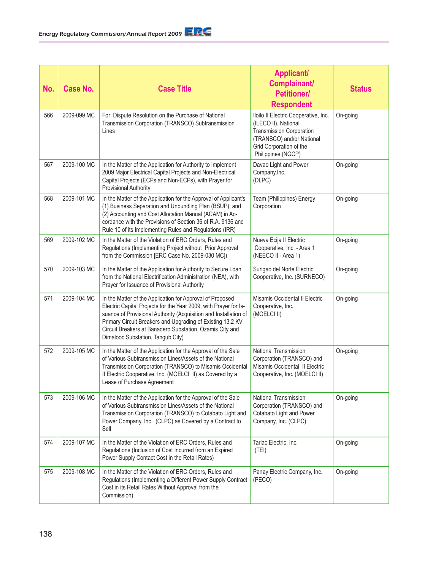| No. | <b>Case No.</b> | <b>Case Title</b>                                                                                                                                                                                                                                                                                                                                                | <b>Applicant/</b><br>Complainant/<br><b>Petitioner/</b><br><b>Respondent</b>                                                                                                  | <b>Status</b> |
|-----|-----------------|------------------------------------------------------------------------------------------------------------------------------------------------------------------------------------------------------------------------------------------------------------------------------------------------------------------------------------------------------------------|-------------------------------------------------------------------------------------------------------------------------------------------------------------------------------|---------------|
| 566 | 2009-099 MC     | For: Dispute Resolution on the Purchase of National<br>Transmission Corporation (TRANSCO) Subtransmission<br>Lines                                                                                                                                                                                                                                               | Iloilo II Electric Cooperative, Inc.<br>(ILECO II), National<br><b>Transmission Corporation</b><br>(TRANSCO) and/or National<br>Grid Corporation of the<br>Philippines (NGCP) | On-going      |
| 567 | 2009-100 MC     | In the Matter of the Application for Authority to Implement<br>2009 Major Electrical Capital Projects and Non-Electrical<br>Capital Projects (ECPs and Non-ECPs), with Prayer for<br><b>Provisional Authority</b>                                                                                                                                                | Davao Light and Power<br>Company, Inc.<br>(DLPC)                                                                                                                              | On-going      |
| 568 | 2009-101 MC     | In the Matter of the Application for the Approval of Applicant's<br>(1) Business Separation and Unbundling Plan (BSUP); and<br>(2) Accounting and Cost Allocation Manual (ACAM) in Ac-<br>cordance with the Provisions of Section 36 of R.A. 9136 and<br>Rule 10 of its Implementing Rules and Regulations (IRR)                                                 | Team (Philippines) Energy<br>Corporation                                                                                                                                      | On-going      |
| 569 | 2009-102 MC     | In the Matter of the Violation of ERC Orders, Rules and<br>Regulations (Implementing Project without Prior Approval<br>from the Commission [ERC Case No. 2009-030 MC])                                                                                                                                                                                           | Nueva Ecija II Electric<br>Cooperative, Inc. - Area 1<br>(NEECO II - Area 1)                                                                                                  | On-going      |
| 570 | 2009-103 MC     | In the Matter of the Application for Authority to Secure Loan<br>from the National Electrification Administration (NEA), with<br>Prayer for Issuance of Provisional Authority                                                                                                                                                                                    | Surigao del Norte Electric<br>Cooperative, Inc. (SURNECO)                                                                                                                     | On-going      |
| 571 | 2009-104 MC     | In the Matter of the Application for Approval of Proposed<br>Electric Capital Projects for the Year 2009, with Prayer for Is-<br>suance of Provisional Authority (Acquisition and Installation of<br>Primary Circuit Breakers and Upgrading of Existing 13.2 KV<br>Circuit Breakers at Banadero Substation, Ozamis City and<br>Dimalooc Substation, Tangub City) | Misamis Occidental II Electric<br>Cooperative, Inc.<br>(MOELCI II)                                                                                                            | On-going      |
| 572 | 2009-105 MC     | In the Matter of the Application for the Approval of the Sale<br>of Various Subtransmission Lines/Assets of the National<br>Transmission Corporation (TRANSCO) to Misamis Occidental<br>Il Electric Cooperative, Inc. (MOELCI II) as Covered by a<br>Lease of Purchase Agreement                                                                                 | National Transmission<br>Corporation (TRANSCO) and<br>Misamis Occidental II Electric<br>Cooperative, Inc. (MOELCI II)                                                         | On-going      |
| 573 | 2009-106 MC     | In the Matter of the Application for the Approval of the Sale<br>of Various Subtransmission Lines/Assets of the National<br>Transmission Corporation (TRANSCO) to Cotabato Light and<br>Power Company, Inc. (CLPC) as Covered by a Contract to<br>Sell                                                                                                           | National Transmission<br>Corporation (TRANSCO) and<br>Cotabato Light and Power<br>Company, Inc. (CLPC)                                                                        | On-going      |
| 574 | 2009-107 MC     | In the Matter of the Violation of ERC Orders, Rules and<br>Regulations (Inclusion of Cost Incurred from an Expired<br>Power Supply Contact Cost in the Retail Rates)                                                                                                                                                                                             | Tarlac Electric, Inc.<br>(TEI)                                                                                                                                                | On-going      |
| 575 | 2009-108 MC     | In the Matter of the Violation of ERC Orders, Rules and<br>Regulations (Implementing a Different Power Supply Contract<br>Cost in its Retail Rates Without Approval from the<br>Commission)                                                                                                                                                                      | Panay Electric Company, Inc.<br>(PECO)                                                                                                                                        | On-going      |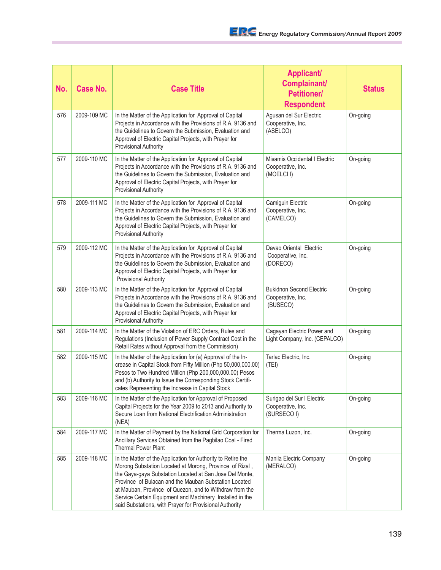| No. | <b>Case No.</b> | <b>Case Title</b>                                                                                                                                                                                                                                                                                                                                                                                                             | <b>Applicant/</b><br>Complainant/<br><b>Petitioner/</b><br><b>Respondent</b> | <b>Status</b> |
|-----|-----------------|-------------------------------------------------------------------------------------------------------------------------------------------------------------------------------------------------------------------------------------------------------------------------------------------------------------------------------------------------------------------------------------------------------------------------------|------------------------------------------------------------------------------|---------------|
| 576 | 2009-109 MC     | In the Matter of the Application for Approval of Capital<br>Projects in Accordance with the Provisions of R.A. 9136 and<br>the Guidelines to Govern the Submission, Evaluation and<br>Approval of Electric Capital Projects, with Prayer for<br>Provisional Authority                                                                                                                                                         | Agusan del Sur Electric<br>Cooperative, Inc.<br>(ASELCO)                     | On-going      |
| 577 | 2009-110 MC     | In the Matter of the Application for Approval of Capital<br>Projects in Accordance with the Provisions of R.A. 9136 and<br>the Guidelines to Govern the Submission, Evaluation and<br>Approval of Electric Capital Projects, with Prayer for<br>Provisional Authority                                                                                                                                                         | Misamis Occidental I Electric<br>Cooperative, Inc.<br>(MOELCI I)             | On-going      |
| 578 | 2009-111 MC     | In the Matter of the Application for Approval of Capital<br>Projects in Accordance with the Provisions of R.A. 9136 and<br>the Guidelines to Govern the Submission, Evaluation and<br>Approval of Electric Capital Projects, with Prayer for<br><b>Provisional Authority</b>                                                                                                                                                  | Camiguin Electric<br>Cooperative, Inc.<br>(CAMELCO)                          | On-going      |
| 579 | 2009-112 MC     | In the Matter of the Application for Approval of Capital<br>Projects in Accordance with the Provisions of R.A. 9136 and<br>the Guidelines to Govern the Submission, Evaluation and<br>Approval of Electric Capital Projects, with Prayer for<br><b>Provisional Authority</b>                                                                                                                                                  | Davao Oriental Electric<br>Cooperative, Inc.<br>(DORECO)                     | On-going      |
| 580 | 2009-113 MC     | In the Matter of the Application for Approval of Capital<br>Projects in Accordance with the Provisions of R.A. 9136 and<br>the Guidelines to Govern the Submission, Evaluation and<br>Approval of Electric Capital Projects, with Prayer for<br><b>Provisional Authority</b>                                                                                                                                                  | <b>Bukidnon Second Electric</b><br>Cooperative, Inc.<br>(BUSECO)             | On-going      |
| 581 | 2009-114 MC     | In the Matter of the Violation of ERC Orders, Rules and<br>Regulations (Inclusion of Power Supply Contract Cost in the<br>Retail Rates without Approval from the Commission)                                                                                                                                                                                                                                                  | Cagayan Electric Power and<br>Light Company, Inc. (CEPALCO)                  | On-going      |
| 582 | 2009-115 MC     | In the Matter of the Application for (a) Approval of the In-<br>crease in Capital Stock from Fifty Million (Php 50,000,000.00)<br>Pesos to Two Hundred Million (Php 200,000,000.00) Pesos<br>and (b) Authority to Issue the Corresponding Stock Certifi-<br>cates Representing the Increase in Capital Stock                                                                                                                  | Tarlac Electric, Inc.<br>(TEI)                                               | On-going      |
| 583 | 2009-116 MC     | In the Matter of the Application for Approval of Proposed<br>Capital Projects for the Year 2009 to 2013 and Authority to<br>Secure Loan from National Electrification Administration<br>(NEA)                                                                                                                                                                                                                                 | Surigao del Sur I Electric<br>Cooperative, Inc.<br>(SURSECO I)               | On-going      |
| 584 | 2009-117 MC     | In the Matter of Payment by the National Grid Corporation for<br>Ancillary Services Obtained from the Pagbilao Coal - Fired<br><b>Thermal Power Plant</b>                                                                                                                                                                                                                                                                     | Therma Luzon, Inc.                                                           | On-going      |
| 585 | 2009-118 MC     | In the Matter of the Application for Authority to Retire the<br>Morong Substation Located at Morong, Province of Rizal,<br>the Gaya-gaya Substation Located at San Jose Del Monte,<br>Province of Bulacan and the Mauban Substation Located<br>at Mauban, Province of Quezon, and to Withdraw from the<br>Service Certain Equipment and Machinery Installed in the<br>said Substations, with Prayer for Provisional Authority | Manila Electric Company<br>(MERALCO)                                         | On-going      |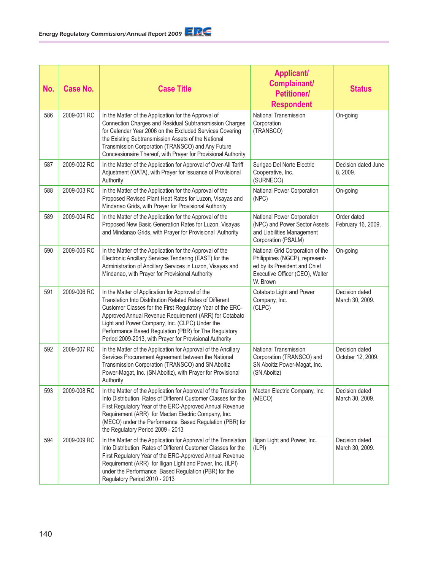| No. | Case No.    | <b>Case Title</b>                                                                                                                                                                                                                                                                                                                                                                                          | <b>Applicant/</b><br>Complainant/<br><b>Petitioner/</b><br><b>Respondent</b>                                                                       | <b>Status</b>                       |
|-----|-------------|------------------------------------------------------------------------------------------------------------------------------------------------------------------------------------------------------------------------------------------------------------------------------------------------------------------------------------------------------------------------------------------------------------|----------------------------------------------------------------------------------------------------------------------------------------------------|-------------------------------------|
| 586 | 2009-001 RC | In the Matter of the Application for the Approval of<br>Connection Charges and Residual Subtransmission Charges<br>for Calendar Year 2006 on the Excluded Services Covering<br>the Existing Subtransmission Assets of the National<br>Transmission Corporation (TRANSCO) and Any Future<br>Concessionaire Thereof, with Prayer for Provisional Authority                                                   | National Transmission<br>Corporation<br>(TRANSCO)                                                                                                  | On-going                            |
| 587 | 2009-002 RC | In the Matter of the Application for Approval of Over-All Tariff<br>Adjustment (OATA), with Prayer for Issuance of Provisional<br>Authority                                                                                                                                                                                                                                                                | Surigao Del Norte Electric<br>Cooperative, Inc.<br>(SURNECO)                                                                                       | Decision dated June<br>8, 2009.     |
| 588 | 2009-003 RC | In the Matter of the Application for the Approval of the<br>Proposed Revised Plant Heat Rates for Luzon, Visayas and<br>Mindanao Grids, with Prayer for Provisional Authority                                                                                                                                                                                                                              | National Power Corporation<br>(NPC)                                                                                                                | On-going                            |
| 589 | 2009-004 RC | In the Matter of the Application for the Approval of the<br>Proposed New Basic Generation Rates for Luzon, Visayas<br>and Mindanao Grids, with Prayer for Provisional Authority                                                                                                                                                                                                                            | National Power Corporation<br>(NPC) and Power Sector Assets<br>and Liabilities Management<br>Corporation (PSALM)                                   | Order dated<br>February 16, 2009.   |
| 590 | 2009-005 RC | In the Matter of the Application for the Approval of the<br>Electronic Ancillary Services Tendering (EAST) for the<br>Administration of Ancillary Services in Luzon, Visayas and<br>Mindanao, with Prayer for Provisional Authority                                                                                                                                                                        | National Grid Corporation of the<br>Philippines (NGCP), represent-<br>ed by its President and Chief<br>Executive Officer (CEO), Walter<br>W. Brown | On-going                            |
| 591 | 2009-006 RC | In the Matter of Application for Approval of the<br>Translation Into Distribution Related Rates of Different<br>Customer Classes for the First Regulatory Year of the ERC-<br>Approved Annual Revenue Requirement (ARR) for Cotabato<br>Light and Power Company, Inc. (CLPC) Under the<br>Performance Based Regulation (PBR) for The Regulatory<br>Period 2009-2013, with Prayer for Provisional Authority | Cotabato Light and Power<br>Company, Inc.<br>(CLPC)                                                                                                | Decision dated<br>March 30, 2009.   |
| 592 | 2009-007 RC | In the Matter of the Application for Approval of the Ancillary<br>Services Procurement Agreement between the National<br>Transmission Corporation (TRANSCO) and SN Aboitiz<br>Power-Magat, Inc. (SN Aboitiz), with Prayer for Provisional<br>Authority                                                                                                                                                     | National Transmission<br>Corporation (TRANSCO) and<br>SN Aboitiz Power-Magat, Inc.<br>(SN Aboitiz)                                                 | Decision dated<br>October 12, 2009. |
| 593 | 2009-008 RC | In the Matter of the Application for Approval of the Translation<br>Into Distribution Rates of Different Customer Classes for the<br>First Regulatory Year of the ERC-Approved Annual Revenue<br>Requirement (ARR) for Mactan Electric Company, Inc.<br>(MECO) under the Performance Based Regulation (PBR) for<br>the Regulatory Period 2009 - 2013                                                       | Mactan Electric Company, Inc.<br>(MECO)                                                                                                            | Decision dated<br>March 30, 2009.   |
| 594 | 2009-009 RC | In the Matter of the Application for Approval of the Translation<br>Into Distribution Rates of Different Customer Classes for the<br>First Regulatory Year of the ERC-Approved Annual Revenue<br>Requirement (ARR) for Iligan Light and Power, Inc. (ILPI)<br>under the Performance Based Regulation (PBR) for the<br>Regulatory Period 2010 - 2013                                                        | Iligan Light and Power, Inc.<br>(ILPI)                                                                                                             | Decision dated<br>March 30, 2009.   |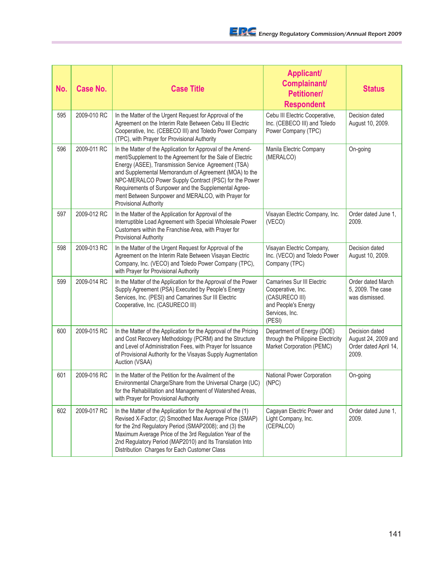| No. | Case No.    | <b>Case Title</b>                                                                                                                                                                                                                                                                                                                                                                                                                               | <b>Applicant/</b><br>Complainant/<br><b>Petitioner/</b><br><b>Respondent</b>                                                | <b>Status</b>                                                           |
|-----|-------------|-------------------------------------------------------------------------------------------------------------------------------------------------------------------------------------------------------------------------------------------------------------------------------------------------------------------------------------------------------------------------------------------------------------------------------------------------|-----------------------------------------------------------------------------------------------------------------------------|-------------------------------------------------------------------------|
| 595 | 2009-010 RC | In the Matter of the Urgent Request for Approval of the<br>Agreement on the Interim Rate Between Cebu III Electric<br>Cooperative, Inc. (CEBECO III) and Toledo Power Company<br>(TPC), with Prayer for Provisional Authority                                                                                                                                                                                                                   | Cebu III Electric Cooperative,<br>Inc. (CEBECO III) and Toledo<br>Power Company (TPC)                                       | Decision dated<br>August 10, 2009.                                      |
| 596 | 2009-011 RC | In the Matter of the Application for Approval of the Amend-<br>ment/Supplement to the Agreement for the Sale of Electric<br>Energy (ASEE), Transmission Service Agreement (TSA)<br>and Supplemental Memorandum of Agreement (MOA) to the<br>NPC-MERALCO Power Supply Contract (PSC) for the Power<br>Requirements of Sunpower and the Supplemental Agree-<br>ment Between Sunpower and MERALCO, with Prayer for<br><b>Provisional Authority</b> | Manila Electric Company<br>(MERALCO)                                                                                        | On-going                                                                |
| 597 | 2009-012 RC | In the Matter of the Application for Approval of the<br>Interruptible Load Agreement with Special Wholesale Power<br>Customers within the Franchise Area, with Prayer for<br>Provisional Authority                                                                                                                                                                                                                                              | Visayan Electric Company, Inc.<br>(VECO)                                                                                    | Order dated June 1,<br>2009.                                            |
| 598 | 2009-013 RC | In the Matter of the Urgent Request for Approval of the<br>Agreement on the Interim Rate Between Visayan Electric<br>Company, Inc. (VECO) and Toledo Power Company (TPC),<br>with Prayer for Provisional Authority                                                                                                                                                                                                                              | Visayan Electric Company,<br>Inc. (VECO) and Toledo Power<br>Company (TPC)                                                  | Decision dated<br>August 10, 2009.                                      |
| 599 | 2009-014 RC | In the Matter of the Application for the Approval of the Power<br>Supply Agreement (PSA) Executed by People's Energy<br>Services, Inc. (PESI) and Camarines Sur III Electric<br>Cooperative, Inc. (CASURECO III)                                                                                                                                                                                                                                | <b>Camarines Sur III Electric</b><br>Cooperative, Inc.<br>(CASURECO III)<br>and People's Energy<br>Services, Inc.<br>(PESI) | Order dated March<br>5, 2009. The case<br>was dismissed.                |
| 600 | 2009-015 RC | In the Matter of the Application for the Approval of the Pricing<br>and Cost Recovery Methodology (PCRM) and the Structure<br>and Level of Administration Fees, with Prayer for Issuance<br>of Provisional Authority for the Visayas Supply Augmentation<br>Auction (VSAA)                                                                                                                                                                      | Department of Energy (DOE)<br>through the Philippine Electricity<br>Market Corporation (PEMC)                               | Decision dated<br>August 24, 2009 and<br>Order dated April 14,<br>2009. |
| 601 | 2009-016 RC | In the Matter of the Petition for the Availment of the<br>Environmental Charge/Share from the Universal Charge (UC)<br>for the Rehabilitation and Management of Watershed Areas,<br>with Prayer for Provisional Authority                                                                                                                                                                                                                       | National Power Corporation<br>(NPC)                                                                                         | On-going                                                                |
| 602 | 2009-017 RC | In the Matter of the Application for the Approval of the (1)<br>Revised X-Factor; (2) Smoothed Max Average Price (SMAP)<br>for the 2nd Regulatory Period (SMAP2008); and (3) the<br>Maximum Average Price of the 3rd Regulation Year of the<br>2nd Regulatory Period (MAP2010) and Its Translation Into<br>Distribution Charges for Each Customer Class                                                                                         | Cagayan Electric Power and<br>Light Company, Inc.<br>(CEPALCO)                                                              | Order dated June 1,<br>2009.                                            |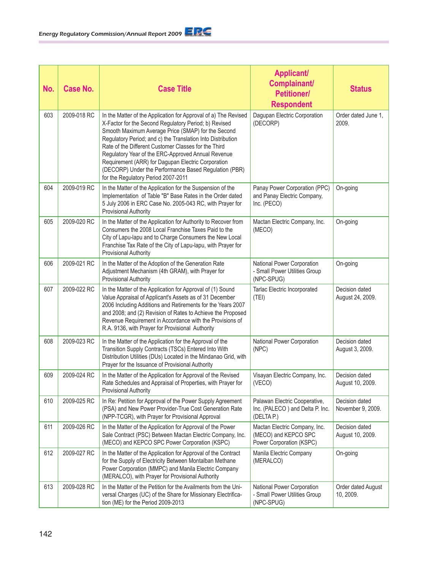| No. | <b>Case No.</b> | <b>Case Title</b>                                                                                                                                                                                                                                                                                                                                                                                                                                                                                                 | <b>Applicant/</b><br>Complainant/<br><b>Petitioner/</b><br><b>Respondent</b>      | <b>Status</b>                       |
|-----|-----------------|-------------------------------------------------------------------------------------------------------------------------------------------------------------------------------------------------------------------------------------------------------------------------------------------------------------------------------------------------------------------------------------------------------------------------------------------------------------------------------------------------------------------|-----------------------------------------------------------------------------------|-------------------------------------|
| 603 | 2009-018 RC     | In the Matter of the Application for Approval of a) The Revised<br>X-Factor for the Second Regulatory Period; b) Revised<br>Smooth Maximum Average Price (SMAP) for the Second<br>Regulatory Period; and c) the Translation Into Distribution<br>Rate of the Different Customer Classes for the Third<br>Regulatory Year of the ERC-Approved Annual Revenue<br>Requirement (ARR) for Dagupan Electric Corporation<br>(DECORP) Under the Performance Based Regulation (PBR)<br>for the Regulatory Period 2007-2011 | Dagupan Electric Corporation<br>(DECORP)                                          | Order dated June 1.<br>2009.        |
| 604 | 2009-019 RC     | In the Matter of the Application for the Suspension of the<br>Implementation of Table "B" Base Rates in the Order dated<br>5 July 2006 in ERC Case No. 2005-043 RC, with Prayer for<br><b>Provisional Authority</b>                                                                                                                                                                                                                                                                                               | Panay Power Corporation (PPC)<br>and Panay Electric Company,<br>Inc. (PECO)       | On-going                            |
| 605 | 2009-020 RC     | In the Matter of the Application for Authority to Recover from<br>Consumers the 2008 Local Franchise Taxes Paid to the<br>City of Lapu-lapu and to Charge Consumers the New Local<br>Franchise Tax Rate of the City of Lapu-lapu, with Prayer for<br><b>Provisional Authority</b>                                                                                                                                                                                                                                 | Mactan Electric Company, Inc.<br>(MECO)                                           | On-going                            |
| 606 | 2009-021 RC     | In the Matter of the Adoption of the Generation Rate<br>Adjustment Mechanism (4th GRAM), with Prayer for<br><b>Provisional Authority</b>                                                                                                                                                                                                                                                                                                                                                                          | National Power Corporation<br>- Small Power Utilities Group<br>(NPC-SPUG)         | On-going                            |
| 607 | 2009-022 RC     | In the Matter of the Application for Approval of (1) Sound<br>Value Appraisal of Applicant's Assets as of 31 December<br>2006 Including Additions and Retirements for the Years 2007<br>and 2008; and (2) Revision of Rates to Achieve the Proposed<br>Revenue Requirement in Accordance with the Provisions of<br>R.A. 9136, with Prayer for Provisional Authority                                                                                                                                               | Tarlac Electric Incorporated<br>(TEI)                                             | Decision dated<br>August 24, 2009.  |
| 608 | 2009-023 RC     | In the Matter of the Application for the Approval of the<br>Transition Supply Contracts (TSCs) Entered Into With<br>Distribution Utilities (DUs) Located in the Mindanao Grid, with<br>Prayer for the Issuance of Provisional Authority                                                                                                                                                                                                                                                                           | National Power Corporation<br>(NPC)                                               | Decision dated<br>August 3, 2009.   |
| 609 | 2009-024 RC     | In the Matter of the Application for Approval of the Revised<br>Rate Schedules and Appraisal of Properties, with Prayer for<br><b>Provisional Authority</b>                                                                                                                                                                                                                                                                                                                                                       | Visayan Electric Company, Inc.<br>(VECO)                                          | Decision dated<br>August 10, 2009.  |
| 610 | 2009-025 RC     | In Re: Petition for Approval of the Power Supply Agreement<br>(PSA) and New Power Provider-True Cost Generation Rate<br>(NPP-TCGR), with Prayer for Provisional Approval                                                                                                                                                                                                                                                                                                                                          | Palawan Electric Cooperative,<br>Inc. (PALECO) and Delta P. Inc.<br>(DELTA P.)    | Decision dated<br>November 9, 2009. |
| 611 | 2009-026 RC     | In the Matter of the Application for Approval of the Power<br>Sale Contract (PSC) Between Mactan Electric Company, Inc.<br>(MECO) and KEPCO SPC Power Corporation (KSPC)                                                                                                                                                                                                                                                                                                                                          | Mactan Electric Company, Inc.<br>(MECO) and KEPCO SPC<br>Power Corporation (KSPC) | Decision dated<br>August 10, 2009.  |
| 612 | 2009-027 RC     | In the Matter of the Application for Approval of the Contract<br>for the Supply of Electricity Between Montalban Methane<br>Power Corporation (MMPC) and Manila Electric Company<br>(MERALCO), with Prayer for Provisional Authority                                                                                                                                                                                                                                                                              | Manila Electric Company<br>(MERALCO)                                              | On-going                            |
| 613 | 2009-028 RC     | In the Matter of the Petition for the Availments from the Uni-<br>versal Charges (UC) of the Share for Missionary Electrifica-<br>tion (ME) for the Period 2009-2013                                                                                                                                                                                                                                                                                                                                              | National Power Corporation<br>- Small Power Utilities Group<br>(NPC-SPUG)         | Order dated August<br>10, 2009.     |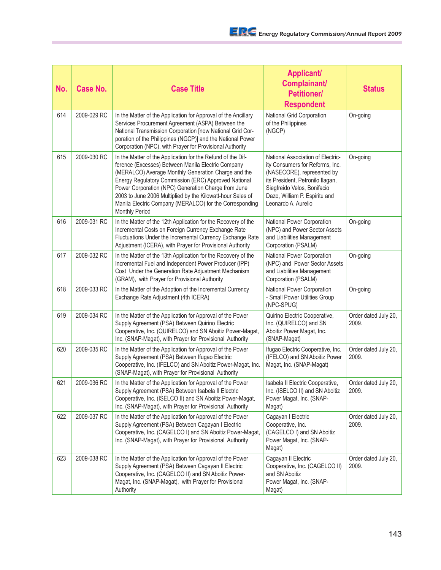| No. | <b>Case No.</b> | <b>Case Title</b>                                                                                                                                                                                                                                                                                                                                                                                                                  | <b>Applicant/</b><br>Complainant/<br><b>Petitioner/</b><br><b>Respondent</b>                                                                                                                                                  | <b>Status</b>                 |
|-----|-----------------|------------------------------------------------------------------------------------------------------------------------------------------------------------------------------------------------------------------------------------------------------------------------------------------------------------------------------------------------------------------------------------------------------------------------------------|-------------------------------------------------------------------------------------------------------------------------------------------------------------------------------------------------------------------------------|-------------------------------|
| 614 | 2009-029 RC     | In the Matter of the Application for Approval of the Ancillary<br>Services Procurement Agreement (ASPA) Between the<br>National Transmission Corporation [now National Grid Cor-<br>poration of the Philippines (NGCP)] and the National Power<br>Corporation (NPC), with Prayer for Provisional Authority                                                                                                                         | National Grid Corporation<br>of the Philippines<br>(NGCP)                                                                                                                                                                     | On-going                      |
| 615 | 2009-030 RC     | In the Matter of the Application for the Refund of the Dif-<br>ference (Excesses) Between Manila Electric Company<br>(MERALCO) Average Monthly Generation Charge and the<br>Energy Regulatory Commission (ERC) Approved National<br>Power Corporation (NPC) Generation Charge from June<br>2003 to June 2006 Multiplied by the Kilowatt-hour Sales of<br>Manila Electric Company (MERALCO) for the Corresponding<br>Monthly Period | National Association of Electric-<br>ity Consumers for Reforms, Inc.<br>(NASECORE), represented by<br>its President, Petronilo Ilagan,<br>Siegfreido Velos, Bonifacio<br>Dazo, William P. Espiritu and<br>Leonardo A. Aurelio | On-going                      |
| 616 | 2009-031 RC     | In the Matter of the 12th Application for the Recovery of the<br>Incremental Costs on Foreign Currency Exchange Rate<br>Fluctuations Under the Incremental Currency Exchange Rate<br>Adjustment (ICERA), with Prayer for Provisional Authority                                                                                                                                                                                     | National Power Corporation<br>(NPC) and Power Sector Assets<br>and Liabilities Management<br>Corporation (PSALM)                                                                                                              | On-going                      |
| 617 | 2009-032 RC     | In the Matter of the 13th Application for the Recovery of the<br>Incremental Fuel and Independent Power Producer (IPP)<br>Cost Under the Generation Rate Adjustment Mechanism<br>(GRAM), with Prayer for Provisional Authority                                                                                                                                                                                                     | National Power Corporation<br>(NPC) and Power Sector Assets<br>and Liabilities Management<br>Corporation (PSALM)                                                                                                              | On-going                      |
| 618 | 2009-033 RC     | In the Matter of the Adoption of the Incremental Currency<br>Exchange Rate Adjustment (4th ICERA)                                                                                                                                                                                                                                                                                                                                  | National Power Corporation<br>- Small Power Utilities Group<br>(NPC-SPUG)                                                                                                                                                     | On-going                      |
| 619 | 2009-034 RC     | In the Matter of the Application for Approval of the Power<br>Supply Agreement (PSA) Between Quirino Electric<br>Cooperative, Inc. (QUIRELCO) and SN Aboitiz Power-Magat,<br>Inc. (SNAP-Magat), with Prayer for Provisional Authority                                                                                                                                                                                              | Quirino Electric Cooperative,<br>Inc. (QUIRELCO) and SN<br>Aboitiz Power Magat, Inc.<br>(SNAP-Magat)                                                                                                                          | Order dated July 20,<br>2009. |
| 620 | 2009-035 RC     | In the Matter of the Application for Approval of the Power<br>Supply Agreement (PSA) Between Ifugao Electric<br>Cooperative, Inc. (IFELCO) and SN Aboitiz Power-Magat, Inc.<br>(SNAP-Magat), with Prayer for Provisional Authority                                                                                                                                                                                                 | Ifugao Electric Cooperative, Inc.<br>(IFELCO) and SN Aboitiz Power<br>Magat, Inc. (SNAP-Magat)                                                                                                                                | Order dated July 20,<br>2009. |
| 621 | 2009-036 RC     | In the Matter of the Application for Approval of the Power<br>Supply Agreement (PSA) Between Isabela II Electric<br>Cooperative, Inc. (ISELCO II) and SN Aboitiz Power-Magat,<br>Inc. (SNAP-Magat), with Prayer for Provisional Authority                                                                                                                                                                                          | Isabela II Electric Cooperative,<br>Inc. (ISELCO II) and SN Aboitiz<br>Power Magat, Inc. (SNAP-<br>Magat)                                                                                                                     | Order dated July 20,<br>2009. |
| 622 | 2009-037 RC     | In the Matter of the Application for Approval of the Power<br>Supply Agreement (PSA) Between Cagayan I Electric<br>Cooperative, Inc. (CAGELCO I) and SN Aboitiz Power-Magat,<br>Inc. (SNAP-Magat), with Prayer for Provisional Authority                                                                                                                                                                                           | Cagayan I Electric<br>Cooperative, Inc.<br>(CAGELCO I) and SN Aboitiz<br>Power Magat, Inc. (SNAP-<br>Magat)                                                                                                                   | Order dated July 20,<br>2009. |
| 623 | 2009-038 RC     | In the Matter of the Application for Approval of the Power<br>Supply Agreement (PSA) Between Cagayan II Electric<br>Cooperative, Inc. (CAGELCO II) and SN Aboitiz Power-<br>Magat, Inc. (SNAP-Magat), with Prayer for Provisional<br>Authority                                                                                                                                                                                     | Cagayan II Electric<br>Cooperative, Inc. (CAGELCO II)<br>and SN Aboitiz<br>Power Magat, Inc. (SNAP-<br>Magat)                                                                                                                 | Order dated July 20,<br>2009. |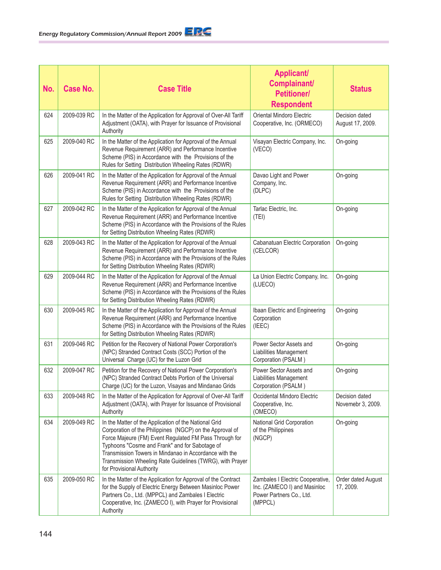| No. | <b>Case No.</b> | <b>Case Title</b>                                                                                                                                                                                                                                                                                                                                                                 | <b>Applicant/</b><br>Complainant/<br><b>Petitioner/</b><br><b>Respondent</b>                            | <b>Status</b>                       |
|-----|-----------------|-----------------------------------------------------------------------------------------------------------------------------------------------------------------------------------------------------------------------------------------------------------------------------------------------------------------------------------------------------------------------------------|---------------------------------------------------------------------------------------------------------|-------------------------------------|
| 624 | 2009-039 RC     | In the Matter of the Application for Approval of Over-All Tariff<br>Adjustment (OATA), with Prayer for Issuance of Provisional<br>Authority                                                                                                                                                                                                                                       | Oriental Mindoro Electric<br>Cooperative, Inc. (ORMECO)                                                 | Decision dated<br>August 17, 2009.  |
| 625 | 2009-040 RC     | In the Matter of the Application for Approval of the Annual<br>Revenue Requirement (ARR) and Performance Incentive<br>Scheme (PIS) in Accordance with the Provisions of the<br>Rules for Setting Distribution Wheeling Rates (RDWR)                                                                                                                                               | Visayan Electric Company, Inc.<br>(VECO)                                                                | On-going                            |
| 626 | 2009-041 RC     | In the Matter of the Application for Approval of the Annual<br>Revenue Requirement (ARR) and Performance Incentive<br>Scheme (PIS) in Accordance with the Provisions of the<br>Rules for Setting Distribution Wheeling Rates (RDWR)                                                                                                                                               | Davao Light and Power<br>Company, Inc.<br>(DLPC)                                                        | On-going                            |
| 627 | 2009-042 RC     | In the Matter of the Application for Approval of the Annual<br>Revenue Requirement (ARR) and Performance Incentive<br>Scheme (PIS) in Accordance with the Provisions of the Rules<br>for Setting Distribution Wheeling Rates (RDWR)                                                                                                                                               | Tarlac Electric, Inc.<br>(TEI)                                                                          | On-going                            |
| 628 | 2009-043 RC     | In the Matter of the Application for Approval of the Annual<br>Revenue Requirement (ARR) and Performance Incentive<br>Scheme (PIS) in Accordance with the Provisions of the Rules<br>for Setting Distribution Wheeling Rates (RDWR)                                                                                                                                               | Cabanatuan Electric Corporation<br>(CELCOR)                                                             | On-going                            |
| 629 | 2009-044 RC     | In the Matter of the Application for Approval of the Annual<br>Revenue Requirement (ARR) and Performance Incentive<br>Scheme (PIS) in Accordance with the Provisions of the Rules<br>for Setting Distribution Wheeling Rates (RDWR)                                                                                                                                               | La Union Electric Company, Inc.<br>(LUECO)                                                              | On-going                            |
| 630 | 2009-045 RC     | In the Matter of the Application for Approval of the Annual<br>Revenue Requirement (ARR) and Performance Incentive<br>Scheme (PIS) in Accordance with the Provisions of the Rules<br>for Setting Distribution Wheeling Rates (RDWR)                                                                                                                                               | Ibaan Electric and Engineering<br>Corporation<br>(IEEC)                                                 | On-going                            |
| 631 | 2009-046 RC     | Petition for the Recovery of National Power Corporation's<br>(NPC) Stranded Contract Costs (SCC) Portion of the<br>Universal Charge (UC) for the Luzon Grid                                                                                                                                                                                                                       | Power Sector Assets and<br>Liabilities Management<br>Corporation (PSALM)                                | On-going                            |
| 632 | 2009-047 RC     | Petition for the Recovery of National Power Corporation's<br>(NPC) Stranded Contract Debts Portion of the Universal<br>Charge (UC) for the Luzon, Visayas and Mindanao Grids                                                                                                                                                                                                      | Power Sector Assets and<br>Liabilities Management<br>Corporation (PSALM)                                | On-going                            |
| 633 | 2009-048 RC     | In the Matter of the Application for Approval of Over-All Tariff<br>Adjustment (OATA), with Prayer for Issuance of Provisional<br>Authority                                                                                                                                                                                                                                       | Occidental Mindoro Electric<br>Cooperative, Inc.<br>(OMECO)                                             | Decision dated<br>Novemebr 3, 2009. |
| 634 | 2009-049 RC     | In the Matter of the Application of the National Grid<br>Corporation of the Philippines (NGCP) on the Approval of<br>Force Majeure (FM) Event Regulated FM Pass Through for<br>Typhoons "Cosme and Frank" and for Sabotage of<br>Transmission Towers in Mindanao in Accordance with the<br>Transmission Wheeling Rate Guidelines (TWRG), with Prayer<br>for Provisional Authority | National Grid Corporation<br>of the Philippines<br>(NGCP)                                               | On-going                            |
| 635 | 2009-050 RC     | In the Matter of the Application for Approval of the Contract<br>for the Supply of Electric Energy Between Masinloc Power<br>Partners Co., Ltd. (MPPCL) and Zambales I Electric<br>Cooperative, Inc. (ZAMECO I), with Prayer for Provisional<br>Authority                                                                                                                         | Zambales I Electric Cooperative,<br>Inc. (ZAMECO I) and Masinloc<br>Power Partners Co., Ltd.<br>(MPPCL) | Order dated August<br>17, 2009.     |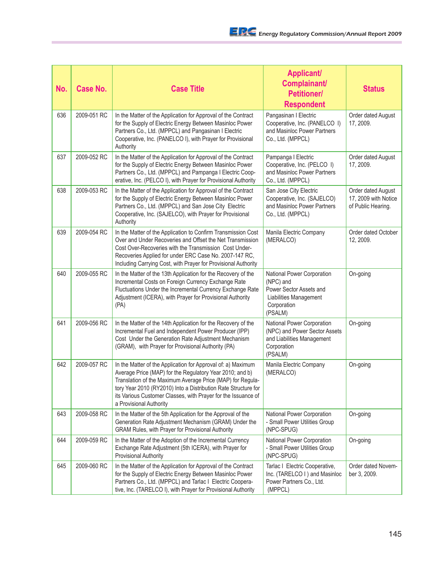| No. | <b>Case No.</b> | <b>Case Title</b>                                                                                                                                                                                                                                                                                                                                    | <b>Applicant/</b><br>Complainant/<br><b>Petitioner/</b><br><b>Respondent</b>                                           | <b>Status</b>                                                    |
|-----|-----------------|------------------------------------------------------------------------------------------------------------------------------------------------------------------------------------------------------------------------------------------------------------------------------------------------------------------------------------------------------|------------------------------------------------------------------------------------------------------------------------|------------------------------------------------------------------|
| 636 | 2009-051 RC     | In the Matter of the Application for Approval of the Contract<br>for the Supply of Electric Energy Between Masinloc Power<br>Partners Co., Ltd. (MPPCL) and Pangasinan I Electric<br>Cooperative, Inc. (PANELCO I), with Prayer for Provisional<br>Authority                                                                                         | Pangasinan I Electric<br>Cooperative, Inc. (PANELCO I)<br>and Masinloc Power Partners<br>Co., Ltd. (MPPCL)             | Order dated August<br>17, 2009.                                  |
| 637 | 2009-052 RC     | In the Matter of the Application for Approval of the Contract<br>for the Supply of Electric Energy Between Masinloc Power<br>Partners Co., Ltd. (MPPCL) and Pampanga I Electric Coop-<br>erative, Inc. (PELCO I), with Prayer for Provisional Authority                                                                                              | Pampanga I Electric<br>Cooperative, Inc. (PELCO I)<br>and Masinloc Power Partners<br>Co., Ltd. (MPPCL)                 | Order dated August<br>17, 2009.                                  |
| 638 | 2009-053 RC     | In the Matter of the Application for Approval of the Contract<br>for the Supply of Electric Energy Between Masinloc Power<br>Partners Co., Ltd. (MPPCL) and San Jose City Electric<br>Cooperative, Inc. (SAJELCO), with Prayer for Provisional<br>Authority                                                                                          | San Jose City Electric<br>Cooperative, Inc. (SAJELCO)<br>and Masinloc Power Partners<br>Co., Ltd. (MPPCL)              | Order dated August<br>17, 2009 with Notice<br>of Public Hearing. |
| 639 | 2009-054 RC     | In the Matter of the Application to Confirm Transmission Cost<br>Over and Under Recoveries and Offset the Net Transmission<br>Cost Over-Recoveries with the Transmission Cost Under-<br>Recoveries Applied for under ERC Case No. 2007-147 RC,<br>Including Carrying Cost, with Prayer for Provisional Authority                                     | Manila Electric Company<br>(MERALCO)                                                                                   | Order dated October<br>12, 2009.                                 |
| 640 | 2009-055 RC     | In the Matter of the 13th Application for the Recovery of the<br>Incremental Costs on Foreign Currency Exchange Rate<br>Fluctuations Under the Incremental Currency Exchange Rate<br>Adjustment (ICERA), with Prayer for Provisional Authority<br>(PA)                                                                                               | National Power Corporation<br>(NPC) and<br>Power Sector Assets and<br>Liabilities Management<br>Corporation<br>(PSALM) | On-going                                                         |
| 641 | 2009-056 RC     | In the Matter of the 14th Application for the Recovery of the<br>Incremental Fuel and Independent Power Producer (IPP)<br>Cost Under the Generation Rate Adjustment Mechanism<br>(GRAM), with Prayer for Provisional Authority (PA)                                                                                                                  | National Power Corporation<br>(NPC) and Power Sector Assets<br>and Liabilities Management<br>Corporation<br>(PSALM)    | On-going                                                         |
| 642 | 2009-057 RC     | In the Matter of the Application for Approval of: a) Maximum<br>Average Price (MAP) for the Regulatory Year 2010; and b)<br>Translation of the Maximum Average Price (MAP) for Regula-<br>tory Year 2010 (RY2010) Into a Distribution Rate Structure for<br>its Various Customer Classes, with Prayer for the Issuance of<br>a Provisional Authority | Manila Electric Company<br>(MERALCO)                                                                                   | On-going                                                         |
| 643 | 2009-058 RC     | In the Matter of the 5th Application for the Approval of the<br>Generation Rate Adjustment Mechanism (GRAM) Under the<br>GRAM Rules, with Prayer for Provisional Authority                                                                                                                                                                           | National Power Corporation<br>- Small Power Utilities Group<br>(NPC-SPUG)                                              | On-going                                                         |
| 644 | 2009-059 RC     | In the Matter of the Adoption of the Incremental Currency<br>Exchange Rate Adjustment (5th ICERA), with Prayer for<br><b>Provisional Authority</b>                                                                                                                                                                                                   | National Power Corporation<br>- Small Power Utilities Group<br>(NPC-SPUG)                                              | On-going                                                         |
| 645 | 2009-060 RC     | In the Matter of the Application for Approval of the Contract<br>for the Supply of Electric Energy Between Masinloc Power<br>Partners Co., Ltd. (MPPCL) and Tarlac I Electric Coopera-<br>tive, Inc. (TARELCO I), with Prayer for Provisional Authority                                                                                              | Tarlac I Electric Cooperative,<br>Inc. (TARELCO I) and Masinloc<br>Power Partners Co., Ltd.<br>(MPPCL)                 | Order dated Novem-<br>ber 3, 2009.                               |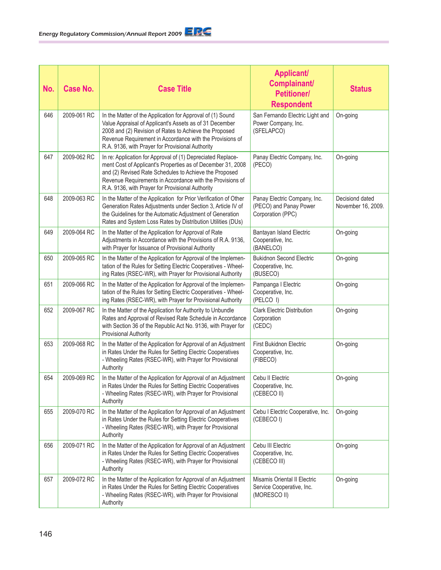| No. | <b>Case No.</b> | <b>Case Title</b>                                                                                                                                                                                                                                                                                     | <b>Applicant/</b><br>Complainant/<br><b>Petitioner/</b><br><b>Respondent</b> | <b>Status</b>                         |
|-----|-----------------|-------------------------------------------------------------------------------------------------------------------------------------------------------------------------------------------------------------------------------------------------------------------------------------------------------|------------------------------------------------------------------------------|---------------------------------------|
| 646 | 2009-061 RC     | In the Matter of the Application for Approval of (1) Sound<br>Value Appraisal of Applicant's Assets as of 31 December<br>2008 and (2) Revision of Rates to Achieve the Proposed<br>Revenue Requirement in Accordance with the Provisions of<br>R.A. 9136, with Prayer for Provisional Authority       | San Fernando Electric Light and<br>Power Company, Inc.<br>(SFELAPCO)         | On-going                              |
| 647 | 2009-062 RC     | In re: Application for Approval of (1) Depreciated Replace-<br>ment Cost of Applicant's Properties as of December 31, 2008<br>and (2) Revised Rate Schedules to Achieve the Proposed<br>Revenue Requirements in Accordance with the Provisions of<br>R.A. 9136, with Prayer for Provisional Authority | Panay Electric Company, Inc.<br>(PECO)                                       | On-going                              |
| 648 | 2009-063 RC     | In the Matter of the Application for Prior Verification of Other<br>Generation Rates Adjustments under Section 3, Article IV of<br>the Guidelines for the Automatic Adjustment of Generation<br>Rates and System Loss Rates by Distribution Utilities (DUs)                                           | Panay Electric Company, Inc.<br>(PECO) and Panay Power<br>Corporation (PPC)  | Decisiond dated<br>November 16, 2009. |
| 649 | 2009-064 RC     | In the Matter of the Application for Approval of Rate<br>Adjustments in Accordance with the Provisions of R.A. 9136,<br>with Prayer for Issuance of Provisional Authority                                                                                                                             | Bantayan Island Electric<br>Cooperative, Inc.<br>(BANELCO)                   | On-going                              |
| 650 | 2009-065 RC     | In the Matter of the Application for Approval of the Implemen-<br>tation of the Rules for Setting Electric Cooperatives - Wheel-<br>ing Rates (RSEC-WR), with Prayer for Provisional Authority                                                                                                        | <b>Bukidnon Second Electric</b><br>Cooperative, Inc.<br>(BUSECO)             | On-going                              |
| 651 | 2009-066 RC     | In the Matter of the Application for Approval of the Implemen-<br>tation of the Rules for Setting Electric Cooperatives - Wheel-<br>ing Rates (RSEC-WR), with Prayer for Provisional Authority                                                                                                        | Pampanga I Electric<br>Cooperative, Inc.<br>(PELCO I)                        | On-going                              |
| 652 | 2009-067 RC     | In the Matter of the Application for Authority to Unbundle<br>Rates and Approval of Revised Rate Schedule in Accordance<br>with Section 36 of the Republic Act No. 9136, with Prayer for<br><b>Provisional Authority</b>                                                                              | <b>Clark Electric Distribution</b><br>Corporation<br>(CEDC)                  | On-going                              |
| 653 | 2009-068 RC     | In the Matter of the Application for Approval of an Adjustment<br>in Rates Under the Rules for Setting Electric Cooperatives<br>- Wheeling Rates (RSEC-WR), with Prayer for Provisional<br>Authority                                                                                                  | <b>First Bukidnon Electric</b><br>Cooperative, Inc.<br>(FIBECO)              | On-going                              |
| 654 | 2009-069 RC     | In the Matter of the Application for Approval of an Adjustment<br>in Rates Under the Rules for Setting Electric Cooperatives<br>- Wheeling Rates (RSEC-WR), with Prayer for Provisional<br>Authority                                                                                                  | Cebu II Electric<br>Cooperative, Inc.<br>(CEBECO II)                         | On-going                              |
| 655 | 2009-070 RC     | In the Matter of the Application for Approval of an Adjustment<br>in Rates Under the Rules for Setting Electric Cooperatives<br>- Wheeling Rates (RSEC-WR), with Prayer for Provisional<br>Authority                                                                                                  | Cebu I Electric Cooperative, Inc.<br>(CEBECO I)                              | On-going                              |
| 656 | 2009-071 RC     | In the Matter of the Application for Approval of an Adjustment<br>in Rates Under the Rules for Setting Electric Cooperatives<br>- Wheeling Rates (RSEC-WR), with Prayer for Provisional<br>Authority                                                                                                  | Cebu III Electric<br>Cooperative, Inc.<br>(CEBECO III)                       | On-going                              |
| 657 | 2009-072 RC     | In the Matter of the Application for Approval of an Adjustment<br>in Rates Under the Rules for Setting Electric Cooperatives<br>- Wheeling Rates (RSEC-WR), with Prayer for Provisional<br>Authority                                                                                                  | Misamis Oriental II Electric<br>Service Cooperative, Inc.<br>(MORESCO II)    | On-going                              |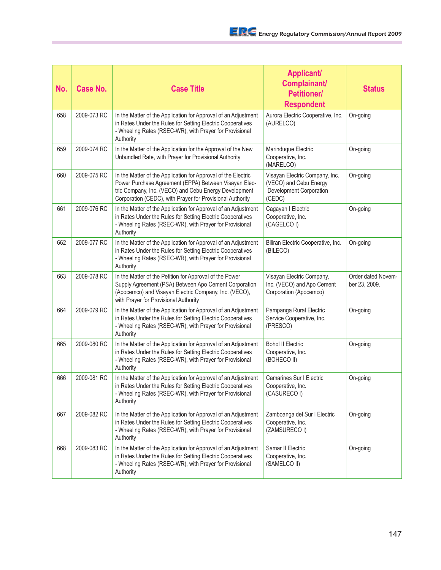| No. | <b>Case No.</b> | <b>Case Title</b>                                                                                                                                                                                                                            | <b>Applicant/</b><br>Complainant/<br><b>Petitioner/</b><br><b>Respondent</b>                  | <b>Status</b>                       |
|-----|-----------------|----------------------------------------------------------------------------------------------------------------------------------------------------------------------------------------------------------------------------------------------|-----------------------------------------------------------------------------------------------|-------------------------------------|
| 658 | 2009-073 RC     | In the Matter of the Application for Approval of an Adjustment<br>in Rates Under the Rules for Setting Electric Cooperatives<br>- Wheeling Rates (RSEC-WR), with Prayer for Provisional<br>Authority                                         | Aurora Electric Cooperative, Inc.<br>(AURELCO)                                                | On-going                            |
| 659 | 2009-074 RC     | In the Matter of the Application for the Approval of the New<br>Unbundled Rate, with Prayer for Provisional Authority                                                                                                                        | Marinduque Electric<br>Cooperative, Inc.<br>(MARELCO)                                         | On-going                            |
| 660 | 2009-075 RC     | In the Matter of the Application for Approval of the Electric<br>Power Purchase Agreement (EPPA) Between Visayan Elec-<br>tric Company, Inc. (VECO) and Cebu Energy Development<br>Corporation (CEDC), with Prayer for Provisional Authority | Visayan Electric Company, Inc.<br>(VECO) and Cebu Energy<br>Development Corporation<br>(CEDC) | On-going                            |
| 661 | 2009-076 RC     | In the Matter of the Application for Approval of an Adjustment<br>in Rates Under the Rules for Setting Electric Cooperatives<br>- Wheeling Rates (RSEC-WR), with Prayer for Provisional<br>Authority                                         | Cagayan I Electric<br>Cooperative, Inc.<br>(CAGELCO I)                                        | On-going                            |
| 662 | 2009-077 RC     | In the Matter of the Application for Approval of an Adjustment<br>in Rates Under the Rules for Setting Electric Cooperatives<br>- Wheeling Rates (RSEC-WR), with Prayer for Provisional<br>Authority                                         | Biliran Electric Cooperative, Inc.<br>(BILECO)                                                | On-going                            |
| 663 | 2009-078 RC     | In the Matter of the Petition for Approval of the Power<br>Supply Agreement (PSA) Between Apo Cement Corporation<br>(Apocemco) and Visayan Electric Company, Inc. (VECO),<br>with Prayer for Provisional Authority                           | Visayan Electric Company,<br>Inc. (VECO) and Apo Cement<br>Corporation (Apocemco)             | Order dated Novem-<br>ber 23, 2009. |
| 664 | 2009-079 RC     | In the Matter of the Application for Approval of an Adjustment<br>in Rates Under the Rules for Setting Electric Cooperatives<br>- Wheeling Rates (RSEC-WR), with Prayer for Provisional<br>Authority                                         | Pampanga Rural Electric<br>Service Cooperative, Inc.<br>(PRESCO)                              | On-going                            |
| 665 | 2009-080 RC     | In the Matter of the Application for Approval of an Adjustment<br>in Rates Under the Rules for Setting Electric Cooperatives<br>- Wheeling Rates (RSEC-WR), with Prayer for Provisional<br>Authority                                         | <b>Bohol II Electric</b><br>Cooperative, Inc.<br>(BOHECO II)                                  | On-going                            |
| 666 | 2009-081 RC     | In the Matter of the Application for Approval of an Adjustment<br>in Rates Under the Rules for Setting Electric Cooperatives<br>- Wheeling Rates (RSEC-WR), with Prayer for Provisional<br>Authority                                         | Camarines Sur I Electric<br>Cooperative, Inc.<br>(CASURECO I)                                 | On-going                            |
| 667 | 2009-082 RC     | In the Matter of the Application for Approval of an Adjustment<br>in Rates Under the Rules for Setting Electric Cooperatives<br>- Wheeling Rates (RSEC-WR), with Prayer for Provisional<br>Authority                                         | Zamboanga del Sur I Electric<br>Cooperative, Inc.<br>(ZAMSURECO I)                            | On-going                            |
| 668 | 2009-083 RC     | In the Matter of the Application for Approval of an Adjustment<br>in Rates Under the Rules for Setting Electric Cooperatives<br>- Wheeling Rates (RSEC-WR), with Prayer for Provisional<br>Authority                                         | Samar II Electric<br>Cooperative, Inc.<br>(SAMELCO II)                                        | On-going                            |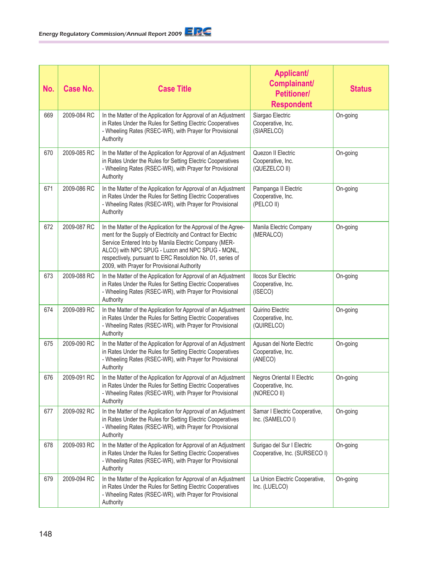| No. | <b>Case No.</b> | <b>Case Title</b>                                                                                                                                                                                                                                                                                                                                         | <b>Applicant/</b><br>Complainant/<br><b>Petitioner/</b><br><b>Respondent</b> | <b>Status</b> |
|-----|-----------------|-----------------------------------------------------------------------------------------------------------------------------------------------------------------------------------------------------------------------------------------------------------------------------------------------------------------------------------------------------------|------------------------------------------------------------------------------|---------------|
| 669 | 2009-084 RC     | In the Matter of the Application for Approval of an Adjustment<br>in Rates Under the Rules for Setting Electric Cooperatives<br>- Wheeling Rates (RSEC-WR), with Prayer for Provisional<br>Authority                                                                                                                                                      | Siargao Electric<br>Cooperative, Inc.<br>(SIARELCO)                          | On-going      |
| 670 | 2009-085 RC     | In the Matter of the Application for Approval of an Adjustment<br>in Rates Under the Rules for Setting Electric Cooperatives<br>- Wheeling Rates (RSEC-WR), with Prayer for Provisional<br>Authority                                                                                                                                                      | Quezon II Electric<br>Cooperative, Inc.<br>(QUEZELCO II)                     | On-going      |
| 671 | 2009-086 RC     | In the Matter of the Application for Approval of an Adjustment<br>in Rates Under the Rules for Setting Electric Cooperatives<br>- Wheeling Rates (RSEC-WR), with Prayer for Provisional<br>Authority                                                                                                                                                      | Pampanga II Electric<br>Cooperative, Inc.<br>(PELCO II)                      | On-going      |
| 672 | 2009-087 RC     | In the Matter of the Application for the Approval of the Agree-<br>ment for the Supply of Electricity and Contract for Electric<br>Service Entered Into by Manila Electric Company (MER-<br>ALCO) with NPC SPUG - Luzon and NPC SPUG - MQNL,<br>respectively, pursuant to ERC Resolution No. 01, series of<br>2009, with Prayer for Provisional Authority | Manila Electric Company<br>(MERALCO)                                         | On-going      |
| 673 | 2009-088 RC     | In the Matter of the Application for Approval of an Adjustment<br>in Rates Under the Rules for Setting Electric Cooperatives<br>- Wheeling Rates (RSEC-WR), with Prayer for Provisional<br>Authority                                                                                                                                                      | <b>Ilocos Sur Electric</b><br>Cooperative, Inc.<br>(ISECO)                   | On-going      |
| 674 | 2009-089 RC     | In the Matter of the Application for Approval of an Adjustment<br>in Rates Under the Rules for Setting Electric Cooperatives<br>- Wheeling Rates (RSEC-WR), with Prayer for Provisional<br>Authority                                                                                                                                                      | Quirino Electric<br>Cooperative, Inc.<br>(QUIRELCO)                          | On-going      |
| 675 | 2009-090 RC     | In the Matter of the Application for Approval of an Adjustment<br>in Rates Under the Rules for Setting Electric Cooperatives<br>- Wheeling Rates (RSEC-WR), with Prayer for Provisional<br>Authority                                                                                                                                                      | Agusan del Norte Electric<br>Cooperative, Inc.<br>(ANECO)                    | On-going      |
| 676 | 2009-091 RC     | In the Matter of the Application for Approval of an Adjustment<br>in Rates Under the Rules for Setting Electric Cooperatives<br>- Wheeling Rates (RSEC-WR), with Prayer for Provisional<br>Authority                                                                                                                                                      | Negros Oriental II Electric<br>Cooperative, Inc.<br>(NORECO II)              | On-going      |
| 677 | 2009-092 RC     | In the Matter of the Application for Approval of an Adjustment<br>in Rates Under the Rules for Setting Electric Cooperatives<br>- Wheeling Rates (RSEC-WR), with Prayer for Provisional<br>Authority                                                                                                                                                      | Samar I Electric Cooperative,<br>Inc. (SAMELCO I)                            | On-going      |
| 678 | 2009-093 RC     | In the Matter of the Application for Approval of an Adjustment<br>in Rates Under the Rules for Setting Electric Cooperatives<br>- Wheeling Rates (RSEC-WR), with Prayer for Provisional<br>Authority                                                                                                                                                      | Surigao del Sur I Electric<br>Cooperative, Inc. (SURSECO I)                  | On-going      |
| 679 | 2009-094 RC     | In the Matter of the Application for Approval of an Adjustment<br>in Rates Under the Rules for Setting Electric Cooperatives<br>- Wheeling Rates (RSEC-WR), with Prayer for Provisional<br>Authority                                                                                                                                                      | La Union Electric Cooperative,<br>Inc. (LUELCO)                              | On-going      |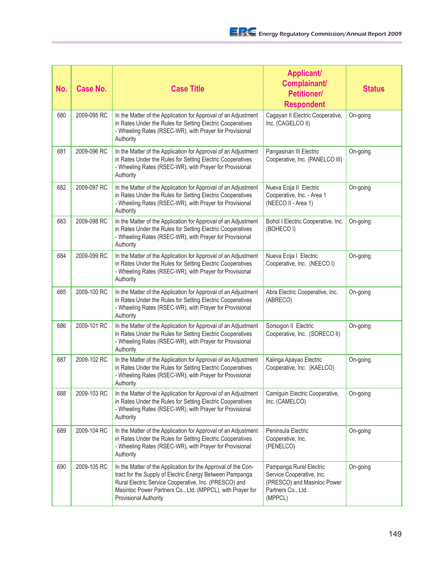| No. | <b>Case No.</b> | <b>Case Title</b>                                                                                                                                                                                                                                                                | <b>Applicant/</b><br>Complainant/<br><b>Petitioner/</b><br><b>Respondent</b>                                         | <b>Status</b> |
|-----|-----------------|----------------------------------------------------------------------------------------------------------------------------------------------------------------------------------------------------------------------------------------------------------------------------------|----------------------------------------------------------------------------------------------------------------------|---------------|
| 680 | 2009-095 RC     | In the Matter of the Application for Approval of an Adjustment<br>in Rates Under the Rules for Setting Electric Cooperatives<br>- Wheeling Rates (RSEC-WR), with Prayer for Provisional<br>Authority                                                                             | Cagayan II Electric Cooperative,<br>Inc. (CAGELCO II)                                                                | On-going      |
| 681 | 2009-096 RC     | In the Matter of the Application for Approval of an Adjustment<br>in Rates Under the Rules for Setting Electric Cooperatives<br>- Wheeling Rates (RSEC-WR), with Prayer for Provisional<br>Authority                                                                             | Pangasinan III Electric<br>Cooperative, Inc. (PANELCO III)                                                           | On-going      |
| 682 | 2009-097 RC     | In the Matter of the Application for Approval of an Adjustment<br>in Rates Under the Rules for Setting Electric Cooperatives<br>- Wheeling Rates (RSEC-WR), with Prayer for Provisional<br>Authority                                                                             | Nueva Ecija II Electric<br>Cooperative, Inc. - Area 1<br>(NEECO II - Area 1)                                         | On-going      |
| 683 | 2009-098 RC     | In the Matter of the Application for Approval of an Adjustment<br>in Rates Under the Rules for Setting Electric Cooperatives<br>- Wheeling Rates (RSEC-WR), with Prayer for Provisional<br>Authority                                                                             | Bohol I Electric Cooperative, Inc.<br>(BOHECO I)                                                                     | On-going      |
| 684 | 2009-099 RC     | In the Matter of the Application for Approval of an Adjustment<br>in Rates Under the Rules for Setting Electric Cooperatives<br>- Wheeling Rates (RSEC-WR), with Prayer for Provisional<br>Authority                                                                             | Nueva Ecija I Electric<br>Cooperative, Inc. (NEECO I)                                                                | On-going      |
| 685 | 2009-100 RC     | In the Matter of the Application for Approval of an Adjustment<br>in Rates Under the Rules for Setting Electric Cooperatives<br>- Wheeling Rates (RSEC-WR), with Prayer for Provisional<br>Authority                                                                             | Abra Electric Cooperative, Inc.<br>(ABRECO)                                                                          | On-going      |
| 686 | 2009-101 RC     | In the Matter of the Application for Approval of an Adjustment<br>in Rates Under the Rules for Setting Electric Cooperatives<br>- Wheeling Rates (RSEC-WR), with Prayer for Provisional<br>Authority                                                                             | Sorsogon II Electric<br>Cooperative, Inc. (SORECO II)                                                                | On-going      |
| 687 | 2009-102 RC     | In the Matter of the Application for Approval of an Adjustment<br>in Rates Under the Rules for Setting Electric Cooperatives<br>- Wheeling Rates (RSEC-WR), with Prayer for Provisional<br>Authority                                                                             | Kalinga Apayao Electric<br>Cooperative, Inc. (KAELCO)                                                                | On-going      |
| 688 | 2009-103 RC     | In the Matter of the Application for Approval of an Adjustment<br>in Rates Under the Rules for Setting Electric Cooperatives<br>- Wheeling Rates (RSEC-WR), with Prayer for Provisional<br>Authority                                                                             | Camiguin Electric Cooperative,<br>Inc. (CAMELCO)                                                                     | On-going      |
| 689 | 2009-104 RC     | In the Matter of the Application for Approval of an Adjustment<br>in Rates Under the Rules for Setting Electric Cooperatives<br>- Wheeling Rates (RSEC-WR), with Prayer for Provisional<br>Authority                                                                             | Peninsula Electric<br>Cooperative, Inc.<br>(PENELCO)                                                                 | On-going      |
| 690 | 2009-105 RC     | In the Matter of the Application for the Approval of the Con-<br>tract for the Supply of Electric Energy Between Pampanga<br>Rural Electric Service Cooperative, Inc. (PRESCO) and<br>Masinloc Power Partners Co., Ltd. (MPPCL), with Prayer for<br><b>Provisional Authority</b> | Pampanga Rural Electric<br>Service Cooperative, Inc.<br>(PRESCO) and Masinloc Power<br>Partners Co., Ltd.<br>(MPPCL) | On-going      |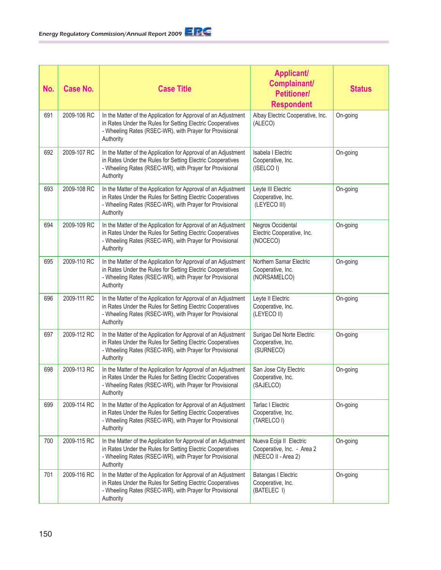| No. | <b>Case No.</b> | <b>Case Title</b>                                                                                                                                                                                    | <b>Applicant/</b><br>Complainant/<br><b>Petitioner/</b><br><b>Respondent</b> | <b>Status</b> |
|-----|-----------------|------------------------------------------------------------------------------------------------------------------------------------------------------------------------------------------------------|------------------------------------------------------------------------------|---------------|
| 691 | 2009-106 RC     | In the Matter of the Application for Approval of an Adjustment<br>in Rates Under the Rules for Setting Electric Cooperatives<br>- Wheeling Rates (RSEC-WR), with Prayer for Provisional<br>Authority | Albay Electric Cooperative, Inc.<br>(ALECO)                                  | On-going      |
| 692 | 2009-107 RC     | In the Matter of the Application for Approval of an Adjustment<br>in Rates Under the Rules for Setting Electric Cooperatives<br>- Wheeling Rates (RSEC-WR), with Prayer for Provisional<br>Authority | Isabela I Electric<br>Cooperative, Inc.<br>(ISELCO I)                        | On-going      |
| 693 | 2009-108 RC     | In the Matter of the Application for Approval of an Adjustment<br>in Rates Under the Rules for Setting Electric Cooperatives<br>- Wheeling Rates (RSEC-WR), with Prayer for Provisional<br>Authority | Leyte III Electric<br>Cooperative, Inc.<br>(LEYECO III)                      | On-going      |
| 694 | 2009-109 RC     | In the Matter of the Application for Approval of an Adjustment<br>in Rates Under the Rules for Setting Electric Cooperatives<br>- Wheeling Rates (RSEC-WR), with Prayer for Provisional<br>Authority | Negros Occidental<br>Electric Cooperative, Inc.<br>(NOCECO)                  | On-going      |
| 695 | 2009-110 RC     | In the Matter of the Application for Approval of an Adjustment<br>in Rates Under the Rules for Setting Electric Cooperatives<br>- Wheeling Rates (RSEC-WR), with Prayer for Provisional<br>Authority | Northern Samar Electric<br>Cooperative, Inc.<br>(NORSAMELCO)                 | On-going      |
| 696 | 2009-111 RC     | In the Matter of the Application for Approval of an Adjustment<br>in Rates Under the Rules for Setting Electric Cooperatives<br>- Wheeling Rates (RSEC-WR), with Prayer for Provisional<br>Authority | Leyte II Electric<br>Cooperative, Inc.<br>(LEYECO II)                        | On-going      |
| 697 | 2009-112 RC     | In the Matter of the Application for Approval of an Adjustment<br>in Rates Under the Rules for Setting Electric Cooperatives<br>- Wheeling Rates (RSEC-WR), with Prayer for Provisional<br>Authority | Surigao Del Norte Electric<br>Cooperative, Inc.<br>(SURNECO)                 | On-going      |
| 698 | 2009-113 RC     | In the Matter of the Application for Approval of an Adjustment<br>in Rates Under the Rules for Setting Electric Cooperatives<br>Wheeling Rates (RSEC-WR), with Prayer for Provisional<br>Authority   | San Jose City Electric<br>Cooperative, Inc.<br>(SAJELCO)                     | On-going      |
| 699 | 2009-114 RC     | In the Matter of the Application for Approval of an Adjustment<br>in Rates Under the Rules for Setting Electric Cooperatives<br>- Wheeling Rates (RSEC-WR), with Prayer for Provisional<br>Authority | <b>Tarlac I Electric</b><br>Cooperative, Inc.<br>(TARELCO I)                 | On-going      |
| 700 | 2009-115 RC     | In the Matter of the Application for Approval of an Adjustment<br>in Rates Under the Rules for Setting Electric Cooperatives<br>- Wheeling Rates (RSEC-WR), with Prayer for Provisional<br>Authority | Nueva Ecija II Electric<br>Cooperative, Inc. - Area 2<br>(NEECO II - Area 2) | On-going      |
| 701 | 2009-116 RC     | In the Matter of the Application for Approval of an Adjustment<br>in Rates Under the Rules for Setting Electric Cooperatives<br>- Wheeling Rates (RSEC-WR), with Prayer for Provisional<br>Authority | <b>Batangas I Electric</b><br>Cooperative, Inc.<br>(BATELEC I)               | On-going      |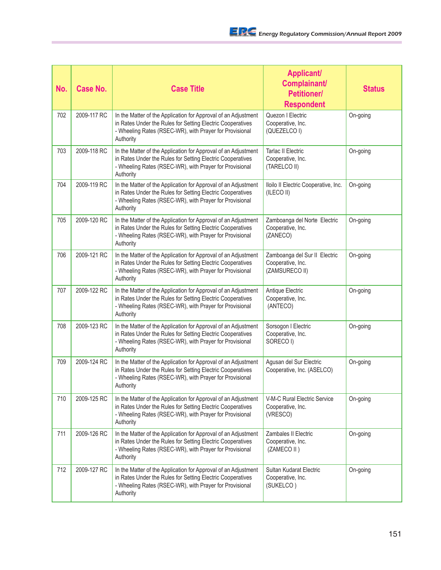| No. | <b>Case No.</b> | <b>Case Title</b>                                                                                                                                                                                    | <b>Applicant/</b><br>Complainant/<br><b>Petitioner/</b><br><b>Respondent</b> | <b>Status</b> |
|-----|-----------------|------------------------------------------------------------------------------------------------------------------------------------------------------------------------------------------------------|------------------------------------------------------------------------------|---------------|
| 702 | 2009-117 RC     | In the Matter of the Application for Approval of an Adjustment<br>in Rates Under the Rules for Setting Electric Cooperatives<br>- Wheeling Rates (RSEC-WR), with Prayer for Provisional<br>Authority | Quezon I Electric<br>Cooperative, Inc.<br>(QUEZELCO I)                       | On-going      |
| 703 | 2009-118 RC     | In the Matter of the Application for Approval of an Adjustment<br>in Rates Under the Rules for Setting Electric Cooperatives<br>- Wheeling Rates (RSEC-WR), with Prayer for Provisional<br>Authority | <b>Tarlac II Electric</b><br>Cooperative, Inc.<br>(TARELCO II)               | On-going      |
| 704 | 2009-119 RC     | In the Matter of the Application for Approval of an Adjustment<br>in Rates Under the Rules for Setting Electric Cooperatives<br>- Wheeling Rates (RSEC-WR), with Prayer for Provisional<br>Authority | Iloilo II Electric Cooperative, Inc.<br>(ILECO II)                           | On-going      |
| 705 | 2009-120 RC     | In the Matter of the Application for Approval of an Adjustment<br>in Rates Under the Rules for Setting Electric Cooperatives<br>- Wheeling Rates (RSEC-WR), with Prayer for Provisional<br>Authority | Zamboanga del Norte Electric<br>Cooperative, Inc.<br>(ZANECO)                | On-going      |
| 706 | 2009-121 RC     | In the Matter of the Application for Approval of an Adjustment<br>in Rates Under the Rules for Setting Electric Cooperatives<br>- Wheeling Rates (RSEC-WR), with Prayer for Provisional<br>Authority | Zamboanga del Sur II Electric<br>Cooperative, Inc.<br>(ZAMSURECO II)         | On-going      |
| 707 | 2009-122 RC     | In the Matter of the Application for Approval of an Adjustment<br>in Rates Under the Rules for Setting Electric Cooperatives<br>- Wheeling Rates (RSEC-WR), with Prayer for Provisional<br>Authority | Antique Electric<br>Cooperative, Inc.<br>(ANTECO)                            | On-going      |
| 708 | 2009-123 RC     | In the Matter of the Application for Approval of an Adjustment<br>in Rates Under the Rules for Setting Electric Cooperatives<br>- Wheeling Rates (RSEC-WR), with Prayer for Provisional<br>Authority | Sorsogon I Electric<br>Cooperative, Inc.<br>SORECO I)                        | On-going      |
| 709 | 2009-124 RC     | In the Matter of the Application for Approval of an Adjustment<br>in Rates Under the Rules for Setting Electric Cooperatives<br>- Wheeling Rates (RSEC-WR), with Prayer for Provisional<br>Authority | Agusan del Sur Electric<br>Cooperative, Inc. (ASELCO)                        | On-going      |
| 710 | 2009-125 RC     | In the Matter of the Application for Approval of an Adjustment<br>in Rates Under the Rules for Setting Electric Cooperatives<br>- Wheeling Rates (RSEC-WR), with Prayer for Provisional<br>Authority | V-M-C Rural Electric Service<br>Cooperative, Inc.<br>(VRESCO)                | On-going      |
| 711 | 2009-126 RC     | In the Matter of the Application for Approval of an Adjustment<br>in Rates Under the Rules for Setting Electric Cooperatives<br>- Wheeling Rates (RSEC-WR), with Prayer for Provisional<br>Authority | Zambales II Electric<br>Cooperative, Inc.<br>(ZAMECO II)                     | On-going      |
| 712 | 2009-127 RC     | In the Matter of the Application for Approval of an Adjustment<br>in Rates Under the Rules for Setting Electric Cooperatives<br>- Wheeling Rates (RSEC-WR), with Prayer for Provisional<br>Authority | Sultan Kudarat Electric<br>Cooperative, Inc.<br>(SUKELCO)                    | On-going      |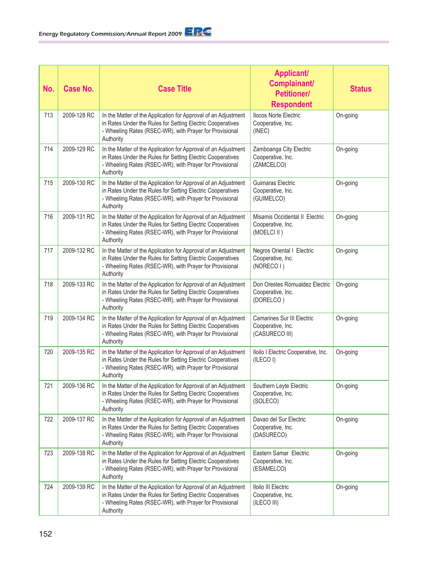| No. | <b>Case No.</b> | <b>Case Title</b>                                                                                                                                                                                    | <b>Applicant/</b><br>Complainant/<br><b>Petitioner/</b><br><b>Respondent</b> | <b>Status</b> |
|-----|-----------------|------------------------------------------------------------------------------------------------------------------------------------------------------------------------------------------------------|------------------------------------------------------------------------------|---------------|
| 713 | 2009-128 RC     | In the Matter of the Application for Approval of an Adjustment<br>in Rates Under the Rules for Setting Electric Cooperatives<br>- Wheeling Rates (RSEC-WR), with Prayer for Provisional<br>Authority | <b>Ilocos Norte Electric</b><br>Cooperative, Inc.<br>(INEC)                  | On-going      |
| 714 | 2009-129 RC     | In the Matter of the Application for Approval of an Adjustment<br>in Rates Under the Rules for Setting Electric Cooperatives<br>- Wheeling Rates (RSEC-WR), with Prayer for Provisional<br>Authority | Zamboanga City Electric<br>Cooperative, Inc.<br>(ZAMCELCO)                   | On-going      |
| 715 | 2009-130 RC     | In the Matter of the Application for Approval of an Adjustment<br>in Rates Under the Rules for Setting Electric Cooperatives<br>- Wheeling Rates (RSEC-WR), with Prayer for Provisional<br>Authority | Guimaras Electric<br>Cooperative, Inc.<br>(GUIMELCO)                         | On-going      |
| 716 | 2009-131 RC     | In the Matter of the Application for Approval of an Adjustment<br>in Rates Under the Rules for Setting Electric Cooperatives<br>- Wheeling Rates (RSEC-WR), with Prayer for Provisional<br>Authority | Misamis Occidental II Electric<br>Cooperative, Inc.<br>(MOELCI II)           | On-going      |
| 717 | 2009-132 RC     | In the Matter of the Application for Approval of an Adjustment<br>in Rates Under the Rules for Setting Electric Cooperatives<br>- Wheeling Rates (RSEC-WR), with Prayer for Provisional<br>Authority | Negros Oriental I Electric<br>Cooperative, Inc.<br>(NORECO I)                | On-going      |
| 718 | 2009-133 RC     | In the Matter of the Application for Approval of an Adjustment<br>in Rates Under the Rules for Setting Electric Cooperatives<br>- Wheeling Rates (RSEC-WR), with Prayer for Provisional<br>Authority | Don Orestes Romualdez Electric<br>Cooperative, Inc.<br>(DORELCO)             | On-going      |
| 719 | 2009-134 RC     | In the Matter of the Application for Approval of an Adjustment<br>in Rates Under the Rules for Setting Electric Cooperatives<br>- Wheeling Rates (RSEC-WR), with Prayer for Provisional<br>Authority | <b>Camarines Sur III Electric</b><br>Cooperative, Inc.<br>(CASURECO III)     | On-going      |
| 720 | 2009-135 RC     | In the Matter of the Application for Approval of an Adjustment<br>in Rates Under the Rules for Setting Electric Cooperatives<br>- Wheeling Rates (RSEC-WR), with Prayer for Provisional<br>Authority | Iloilo I Electric Cooperative, Inc.<br>(ILECOI)                              | On-going      |
| 721 | 2009-136 RC     | In the Matter of the Application for Approval of an Adjustment<br>in Rates Under the Rules for Setting Electric Cooperatives<br>- Wheeling Rates (RSEC-WR), with Prayer for Provisional<br>Authority | Southern Leyte Electric<br>Cooperative, Inc.<br>(SOLECO)                     | On-going      |
| 722 | 2009-137 RC     | In the Matter of the Application for Approval of an Adjustment<br>in Rates Under the Rules for Setting Electric Cooperatives<br>- Wheeling Rates (RSEC-WR), with Prayer for Provisional<br>Authority | Davao del Sur Electric<br>Cooperative, Inc.<br>(DASURECO)                    | On-going      |
| 723 | 2009-138 RC     | In the Matter of the Application for Approval of an Adjustment<br>in Rates Under the Rules for Setting Electric Cooperatives<br>- Wheeling Rates (RSEC-WR), with Prayer for Provisional<br>Authority | Eastern Samar Electric<br>Cooperative, Inc.<br>(ESAMELCO)                    | On-going      |
| 724 | 2009-139 RC     | In the Matter of the Application for Approval of an Adjustment<br>in Rates Under the Rules for Setting Electric Cooperatives<br>- Wheeling Rates (RSEC-WR), with Prayer for Provisional<br>Authority | Iloilo III Electric<br>Cooperative, Inc.<br>(ILECO III)                      | On-going      |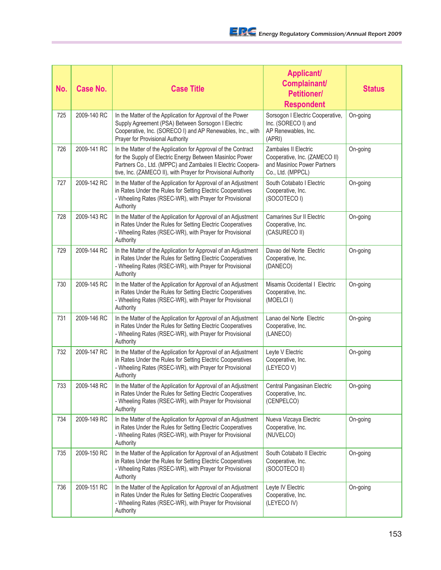| No. | <b>Case No.</b> | <b>Case Title</b>                                                                                                                                                                                                                                         | <b>Applicant/</b><br><b>Complainant/</b><br><b>Petitioner/</b><br><b>Respondent</b>                              | <b>Status</b> |
|-----|-----------------|-----------------------------------------------------------------------------------------------------------------------------------------------------------------------------------------------------------------------------------------------------------|------------------------------------------------------------------------------------------------------------------|---------------|
| 725 | 2009-140 RC     | In the Matter of the Application for Approval of the Power<br>Supply Agreement (PSA) Between Sorsogon I Electric<br>Cooperative, Inc. (SORECO I) and AP Renewables, Inc., with<br>Prayer for Provisional Authority                                        | Sorsogon I Electric Cooperative,<br>Inc. (SORECO I) and<br>AP Renewables, Inc.<br>(APRI)                         | On-going      |
| 726 | 2009-141 RC     | In the Matter of the Application for Approval of the Contract<br>for the Supply of Electric Energy Between Masinloc Power<br>Partners Co., Ltd. (MPPC) and Zambales II Electric Coopera-<br>tive, Inc. (ZAMECO II), with Prayer for Provisional Authority | <b>Zambales II Electric</b><br>Cooperative, Inc. (ZAMECO II)<br>and Masinloc Power Partners<br>Co., Ltd. (MPPCL) | On-going      |
| 727 | 2009-142 RC     | In the Matter of the Application for Approval of an Adjustment<br>in Rates Under the Rules for Setting Electric Cooperatives<br>- Wheeling Rates (RSEC-WR), with Prayer for Provisional<br>Authority                                                      | South Cotabato I Electric<br>Cooperative, Inc.<br>(SOCOTECO I)                                                   | On-going      |
| 728 | 2009-143 RC     | In the Matter of the Application for Approval of an Adjustment<br>in Rates Under the Rules for Setting Electric Cooperatives<br>- Wheeling Rates (RSEC-WR), with Prayer for Provisional<br>Authority                                                      | <b>Camarines Sur II Electric</b><br>Cooperative, Inc.<br>(CASURECO II)                                           | On-going      |
| 729 | 2009-144 RC     | In the Matter of the Application for Approval of an Adjustment<br>in Rates Under the Rules for Setting Electric Cooperatives<br>- Wheeling Rates (RSEC-WR), with Prayer for Provisional<br>Authority                                                      | Davao del Norte Electric<br>Cooperative, Inc.<br>(DANECO)                                                        | On-going      |
| 730 | 2009-145 RC     | In the Matter of the Application for Approval of an Adjustment<br>in Rates Under the Rules for Setting Electric Cooperatives<br>- Wheeling Rates (RSEC-WR), with Prayer for Provisional<br>Authority                                                      | Misamis Occidental I Electric<br>Cooperative, Inc.<br>(MOELCI I)                                                 | On-going      |
| 731 | 2009-146 RC     | In the Matter of the Application for Approval of an Adjustment<br>in Rates Under the Rules for Setting Electric Cooperatives<br>- Wheeling Rates (RSEC-WR), with Prayer for Provisional<br>Authority                                                      | Lanao del Norte Electric<br>Cooperative, Inc.<br>(LANECO)                                                        | On-going      |
| 732 | 2009-147 RC     | In the Matter of the Application for Approval of an Adjustment<br>in Rates Under the Rules for Setting Electric Cooperatives<br>- Wheeling Rates (RSEC-WR), with Prayer for Provisional<br>Authority                                                      | Leyte V Electric<br>Cooperative, Inc.<br>(LEYECOV)                                                               | On-going      |
| 733 | 2009-148 RC     | In the Matter of the Application for Approval of an Adjustment<br>in Rates Under the Rules for Setting Electric Cooperatives<br>- Wheeling Rates (RSEC-WR), with Prayer for Provisional<br>Authority                                                      | Central Pangasinan Electric<br>Cooperative, Inc.<br>(CENPELCO)                                                   | On-going      |
| 734 | 2009-149 RC     | In the Matter of the Application for Approval of an Adjustment<br>in Rates Under the Rules for Setting Electric Cooperatives<br>- Wheeling Rates (RSEC-WR), with Prayer for Provisional<br>Authority                                                      | Nueva Vizcaya Electric<br>Cooperative, Inc.<br>(NUVELCO)                                                         | On-going      |
| 735 | 2009-150 RC     | In the Matter of the Application for Approval of an Adjustment<br>in Rates Under the Rules for Setting Electric Cooperatives<br>- Wheeling Rates (RSEC-WR), with Prayer for Provisional<br>Authority                                                      | South Cotabato II Electric<br>Cooperative, Inc.<br>(SOCOTECO II)                                                 | On-going      |
| 736 | 2009-151 RC     | In the Matter of the Application for Approval of an Adjustment<br>in Rates Under the Rules for Setting Electric Cooperatives<br>- Wheeling Rates (RSEC-WR), with Prayer for Provisional<br>Authority                                                      | Leyte IV Electric<br>Cooperative, Inc.<br>(LEYECO IV)                                                            | On-going      |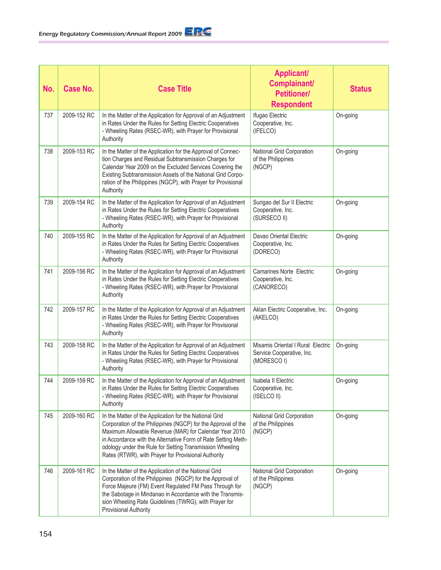| No. | <b>Case No.</b> | <b>Case Title</b>                                                                                                                                                                                                                                                                                                                                                     | <b>Applicant/</b><br>Complainant/<br><b>Petitioner/</b><br><b>Respondent</b>  | <b>Status</b> |
|-----|-----------------|-----------------------------------------------------------------------------------------------------------------------------------------------------------------------------------------------------------------------------------------------------------------------------------------------------------------------------------------------------------------------|-------------------------------------------------------------------------------|---------------|
| 737 | 2009-152 RC     | In the Matter of the Application for Approval of an Adjustment<br>in Rates Under the Rules for Setting Electric Cooperatives<br>- Wheeling Rates (RSEC-WR), with Prayer for Provisional<br>Authority                                                                                                                                                                  | Ifugao Electric<br>Cooperative, Inc.<br>(IFELCO)                              | On-going      |
| 738 | 2009-153 RC     | In the Matter of the Application for the Approval of Connec-<br>tion Charges and Residual Subtransmission Charges for<br>Calendar Year 2009 on the Excluded Services Covering the<br>Existing Subtransmission Assets of the National Grid Corpo-<br>ration of the Philippines (NGCP), with Prayer for Provisional<br>Authority                                        | National Grid Corporation<br>of the Philippines<br>(NGCP)                     | On-going      |
| 739 | 2009-154 RC     | In the Matter of the Application for Approval of an Adjustment<br>in Rates Under the Rules for Setting Electric Cooperatives<br>- Wheeling Rates (RSEC-WR), with Prayer for Provisional<br>Authority                                                                                                                                                                  | Surigao del Sur II Electric<br>Cooperative, Inc.<br>(SURSECO II)              | On-going      |
| 740 | 2009-155 RC     | In the Matter of the Application for Approval of an Adjustment<br>in Rates Under the Rules for Setting Electric Cooperatives<br>- Wheeling Rates (RSEC-WR), with Prayer for Provisional<br>Authority                                                                                                                                                                  | Davao Oriental Electric<br>Cooperative, Inc.<br>(DORECO)                      | On-going      |
| 741 | 2009-156 RC     | In the Matter of the Application for Approval of an Adjustment<br>in Rates Under the Rules for Setting Electric Cooperatives<br>- Wheeling Rates (RSEC-WR), with Prayer for Provisional<br>Authority                                                                                                                                                                  | <b>Camarines Norte Electric</b><br>Cooperative, Inc.<br>(CANORECO)            | On-going      |
| 742 | 2009-157 RC     | In the Matter of the Application for Approval of an Adjustment<br>in Rates Under the Rules for Setting Electric Cooperatives<br>- Wheeling Rates (RSEC-WR), with Prayer for Provisional<br>Authority                                                                                                                                                                  | Aklan Electric Cooperative, Inc.<br>(AKELCO)                                  | On-going      |
| 743 | 2009-158 RC     | In the Matter of the Application for Approval of an Adjustment<br>in Rates Under the Rules for Setting Electric Cooperatives<br>- Wheeling Rates (RSEC-WR), with Prayer for Provisional<br>Authority                                                                                                                                                                  | Misamis Oriental I Rural Electric<br>Service Cooperative, Inc.<br>(MORESCO I) | On-going      |
| 744 | 2009-159 RC     | In the Matter of the Application for Approval of an Adjustment<br>in Rates Under the Rules for Setting Electric Cooperatives<br>- Wheeling Rates (RSEC-WR), with Prayer for Provisional<br>Authority                                                                                                                                                                  | Isabela II Electric<br>Cooperative, Inc.<br>(ISELCO II)                       | On-going      |
| 745 | 2009-160 RC     | In the Matter of the Application for the National Grid<br>Corporation of the Philippines (NGCP) for the Approval of the<br>Maximum Allowable Revenue (MAR) for Calendar Year 2010<br>in Accordance with the Alternative Form of Rate Setting Meth-<br>odology under the Rule for Setting Transmission Wheeling<br>Rates (RTWR), with Prayer for Provisional Authority | National Grid Corporation<br>of the Philippines<br>(NGCP)                     | On-going      |
| 746 | 2009-161 RC     | In the Matter of the Application of the National Grid<br>Corporation of the Philippines (NGCP) for the Approval of<br>Force Majeure (FM) Event Regulated FM Pass Through for<br>the Sabotage in Mindanao in Accordance with the Transmis-<br>sion Wheeling Rate Guidelines (TWRG), with Prayer for<br>Provisional Authority                                           | National Grid Corporation<br>of the Philippines<br>(NGCP)                     | On-going      |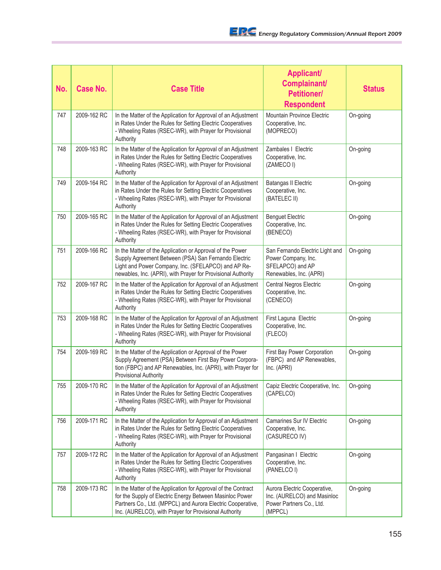| No. | <b>Case No.</b> | <b>Case Title</b>                                                                                                                                                                                                                                 | <b>Applicant/</b><br>Complainant/<br><b>Petitioner/</b><br><b>Respondent</b>                          | <b>Status</b> |
|-----|-----------------|---------------------------------------------------------------------------------------------------------------------------------------------------------------------------------------------------------------------------------------------------|-------------------------------------------------------------------------------------------------------|---------------|
| 747 | 2009-162 RC     | In the Matter of the Application for Approval of an Adjustment<br>in Rates Under the Rules for Setting Electric Cooperatives<br>- Wheeling Rates (RSEC-WR), with Prayer for Provisional<br>Authority                                              | Mountain Province Electric<br>Cooperative, Inc.<br>(MOPRECO)                                          | On-going      |
| 748 | 2009-163 RC     | In the Matter of the Application for Approval of an Adjustment<br>in Rates Under the Rules for Setting Electric Cooperatives<br>- Wheeling Rates (RSEC-WR), with Prayer for Provisional<br>Authority                                              | Zambales   Electric<br>Cooperative, Inc.<br>(ZAMECOI)                                                 | On-going      |
| 749 | 2009-164 RC     | In the Matter of the Application for Approval of an Adjustment<br>in Rates Under the Rules for Setting Electric Cooperatives<br>- Wheeling Rates (RSEC-WR), with Prayer for Provisional<br>Authority                                              | <b>Batangas II Electric</b><br>Cooperative, Inc.<br>(BATELEC II)                                      | On-going      |
| 750 | 2009-165 RC     | In the Matter of the Application for Approval of an Adjustment<br>in Rates Under the Rules for Setting Electric Cooperatives<br>- Wheeling Rates (RSEC-WR), with Prayer for Provisional<br>Authority                                              | <b>Benguet Electric</b><br>Cooperative, Inc.<br>(BENECO)                                              | On-going      |
| 751 | 2009-166 RC     | In the Matter of the Application or Approval of the Power<br>Supply Agreement Between (PSA) San Fernando Electric<br>Light and Power Company, Inc. (SFELAPCO) and AP Re-<br>newables, Inc. (APRI), with Prayer for Provisional Authority          | San Fernando Electric Light and<br>Power Company, Inc.<br>SFELAPCO) and AP<br>Renewables, Inc. (APRI) | On-going      |
| 752 | 2009-167 RC     | In the Matter of the Application for Approval of an Adjustment<br>in Rates Under the Rules for Setting Electric Cooperatives<br>- Wheeling Rates (RSEC-WR), with Prayer for Provisional<br>Authority                                              | Central Negros Electric<br>Cooperative, Inc.<br>(CENECO)                                              | On-going      |
| 753 | 2009-168 RC     | In the Matter of the Application for Approval of an Adjustment<br>in Rates Under the Rules for Setting Electric Cooperatives<br>- Wheeling Rates (RSEC-WR), with Prayer for Provisional<br>Authority                                              | First Laguna Electric<br>Cooperative, Inc.<br>(FLECO)                                                 | On-going      |
| 754 | 2009-169 RC     | In the Matter of the Application or Approval of the Power<br>Supply Agreement (PSA) Between First Bay Power Corpora-<br>tion (FBPC) and AP Renewables, Inc. (APRI), with Prayer for<br><b>Provisional Authority</b>                               | First Bay Power Corporation<br>(FBPC) and AP Renewables,<br>Inc. (APRI)                               | On-going      |
| 755 | 2009-170 RC     | In the Matter of the Application for Approval of an Adjustment<br>in Rates Under the Rules for Setting Electric Cooperatives<br>- Wheeling Rates (RSEC-WR), with Prayer for Provisional<br>Authority                                              | Capiz Electric Cooperative, Inc.<br>(CAPELCO)                                                         | On-going      |
| 756 | 2009-171 RC     | In the Matter of the Application for Approval of an Adjustment<br>in Rates Under the Rules for Setting Electric Cooperatives<br>- Wheeling Rates (RSEC-WR), with Prayer for Provisional<br>Authority                                              | Camarines Sur IV Electric<br>Cooperative, Inc.<br>(CASURECO IV)                                       | On-going      |
| 757 | 2009-172 RC     | In the Matter of the Application for Approval of an Adjustment<br>in Rates Under the Rules for Setting Electric Cooperatives<br>- Wheeling Rates (RSEC-WR), with Prayer for Provisional<br>Authority                                              | Pangasinan   Electric<br>Cooperative, Inc.<br>(PANELCO I)                                             | On-going      |
| 758 | 2009-173 RC     | In the Matter of the Application for Approval of the Contract<br>for the Supply of Electric Energy Between Masinloc Power<br>Partners Co., Ltd. (MPPCL) and Aurora Electric Cooperative,<br>Inc. (AURELCO), with Prayer for Provisional Authority | Aurora Electric Cooperative,<br>Inc. (AURELCO) and Masinloc<br>Power Partners Co., Ltd.<br>(MPPCL)    | On-going      |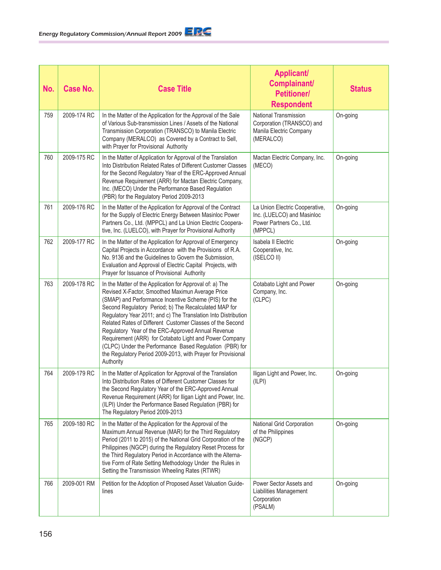| No. | <b>Case No.</b> | <b>Case Title</b>                                                                                                                                                                                                                                                                                                                                                                                                                                                                                                                                                                                                     | <b>Applicant/</b><br>Complainant/<br><b>Petitioner/</b><br><b>Respondent</b>                        | <b>Status</b> |
|-----|-----------------|-----------------------------------------------------------------------------------------------------------------------------------------------------------------------------------------------------------------------------------------------------------------------------------------------------------------------------------------------------------------------------------------------------------------------------------------------------------------------------------------------------------------------------------------------------------------------------------------------------------------------|-----------------------------------------------------------------------------------------------------|---------------|
| 759 | 2009-174 RC     | In the Matter of the Application for the Approval of the Sale<br>of Various Sub-transmission Lines / Assets of the National<br>Transmission Corporation (TRANSCO) to Manila Electric<br>Company (MERALCO) as Covered by a Contract to Sell,<br>with Prayer for Provisional Authority                                                                                                                                                                                                                                                                                                                                  | National Transmission<br>Corporation (TRANSCO) and<br>Manila Electric Company<br>(MERALCO)          | On-going      |
| 760 | 2009-175 RC     | In the Matter of Application for Approval of the Translation<br>Into Distribution Related Rates of Different Customer Classes<br>for the Second Regulatory Year of the ERC-Approved Annual<br>Revenue Requirement (ARR) for Mactan Electric Company,<br>Inc. (MECO) Under the Performance Based Regulation<br>(PBR) for the Regulatory Period 2009-2013                                                                                                                                                                                                                                                               | Mactan Electric Company, Inc.<br>(MECO)                                                             | On-going      |
| 761 | 2009-176 RC     | In the Matter of the Application for Approval of the Contract<br>for the Supply of Electric Energy Between Masinloc Power<br>Partners Co., Ltd. (MPPCL) and La Union Electric Coopera-<br>tive, Inc. (LUELCO), with Prayer for Provisional Authority                                                                                                                                                                                                                                                                                                                                                                  | La Union Electric Cooperative,<br>Inc. (LUELCO) and Masinloc<br>Power Partners Co., Ltd.<br>(MPPCL) | On-going      |
| 762 | 2009-177 RC     | In the Matter of the Application for Approval of Emergency<br>Capital Projects in Accordance with the Provisions of R.A.<br>No. 9136 and the Guidelines to Govern the Submission,<br>Evaluation and Approval of Electric Capital Projects, with<br>Prayer for Issuance of Provisional Authority                                                                                                                                                                                                                                                                                                                       | Isabela II Electric<br>Cooperative, Inc.<br>(ISELCO II)                                             | On-going      |
| 763 | 2009-178 RC     | In the Matter of the Application for Approval of: a) The<br>Revised X-Factor, Smoothed Maximun Average Price<br>(SMAP) and Performance Incentive Scheme (PIS) for the<br>Second Regulatory Period; b) The Recalculated MAP for<br>Regulatory Year 2011; and c) The Translation Into Distribution<br>Related Rates of Different Customer Classes of the Second<br>Regulatory Year of the ERC-Approved Annual Revenue<br>Requirement (ARR) for Cotabato Light and Power Company<br>(CLPC) Under the Performance Based Regulation (PBR) for<br>the Regulatory Period 2009-2013, with Prayer for Provisional<br>Authority | Cotabato Light and Power<br>Company, Inc.<br>(CLPC)                                                 | On-going      |
| 764 | 2009-179 RC     | In the Matter of Application for Approval of the Translation<br>Into Distribution Rates of Different Customer Classes for<br>the Second Regulatory Year of the ERC-Approved Annual<br>Revenue Requirement (ARR) for Iligan Light and Power, Inc.<br>(ILPI) Under the Performance Based Regulation (PBR) for<br>The Regulatory Period 2009-2013                                                                                                                                                                                                                                                                        | Iligan Light and Power, Inc.<br>(ILPI)                                                              | On-going      |
| 765 | 2009-180 RC     | In the Matter of the Application for the Approval of the<br>Maximum Annual Revenue (MAR) for the Third Regulatory<br>Period (2011 to 2015) of the National Grid Corporation of the<br>Philippines (NGCP) during the Regulatory Reset Process for<br>the Third Regulatory Period in Accordance with the Alterna-<br>tive Form of Rate Setting Methodology Under the Rules in<br>Setting the Transmission Wheeling Rates (RTWR)                                                                                                                                                                                         | National Grid Corporation<br>of the Philippines<br>(NGCP)                                           | On-going      |
| 766 | 2009-001 RM     | Petition for the Adoption of Proposed Asset Valuation Guide-<br>lines                                                                                                                                                                                                                                                                                                                                                                                                                                                                                                                                                 | Power Sector Assets and<br>Liabilities Management<br>Corporation<br>(PSALM)                         | On-going      |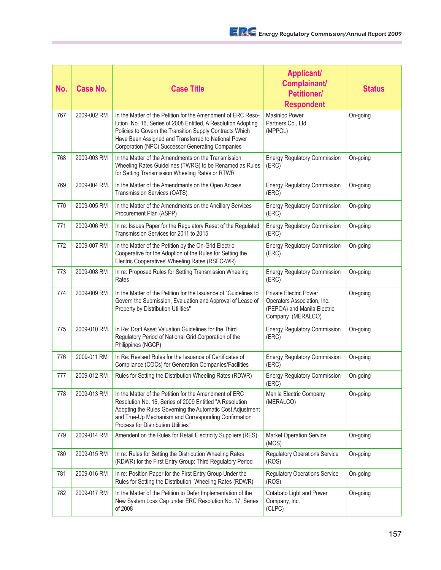| No. | <b>Case No.</b> | <b>Case Title</b>                                                                                                                                                                                                                                                                                     | <b>Applicant/</b><br>Complainant/<br><b>Petitioner/</b><br><b>Respondent</b>                                     | <b>Status</b> |
|-----|-----------------|-------------------------------------------------------------------------------------------------------------------------------------------------------------------------------------------------------------------------------------------------------------------------------------------------------|------------------------------------------------------------------------------------------------------------------|---------------|
| 767 | 2009-002 RM     | In the Matter of the Petition for the Amendment of ERC Reso-<br>lution No. 16, Series of 2008 Entitled, A Resolution Adopting<br>Policies to Govern the Transition Supply Contracts Which<br>Have Been Assigned and Transferred to National Power<br>Corporation (NPC) Successor Generating Companies | <b>Masinloc Power</b><br>Partners Co., Ltd.<br>(MPPCL)                                                           | On-going      |
| 768 | 2009-003 RM     | In the Matter of the Amendments on the Transmission<br>Wheeling Rates Guidelines (TWRG) to be Renamed as Rules<br>for Setting Transmission Wheeling Rates or RTWR                                                                                                                                     | <b>Energy Regulatory Commission</b><br>(ERC)                                                                     | On-going      |
| 769 | 2009-004 RM     | In the Matter of the Amendments on the Open Access<br>Transmission Services (OATS)                                                                                                                                                                                                                    | <b>Energy Regulatory Commission</b><br>(ERC)                                                                     | On-going      |
| 770 | 2009-005 RM     | In the Matter of the Amendments on the Ancillary Services<br>Procurement Plan (ASPP)                                                                                                                                                                                                                  | <b>Energy Regulatory Commission</b><br>(ERC)                                                                     | On-going      |
| 771 | 2009-006 RM     | In re: Issues Paper for the Regulatory Reset of the Regulated<br>Transmission Services for 2011 to 2015                                                                                                                                                                                               | <b>Energy Regulatory Commission</b><br>(ERC)                                                                     | On-going      |
| 772 | 2009-007 RM     | In the Matter of the Petition by the On-Grid Electric<br>Cooperative for the Adoption of the Rules for Setting the<br>Electric Cooperatives' Wheeling Rates (RSEC-WR)                                                                                                                                 | <b>Energy Regulatory Commission</b><br>(ERC)                                                                     | On-going      |
| 773 | 2009-008 RM     | In re: Proposed Rules for Setting Transmission Wheeling<br>Rates                                                                                                                                                                                                                                      | <b>Energy Regulatory Commission</b><br>(ERC)                                                                     | On-going      |
| 774 | 2009-009 RM     | In the Matter of the Petition for the Issuance of "Guidelines to<br>Govern the Submission, Evaluation and Approval of Lease of<br>Property by Distribution Utilities"                                                                                                                                 | <b>Private Electric Power</b><br>Operators Association, Inc.<br>(PEPOA) and Manila Electric<br>Company (MERALCO) | On-going      |
| 775 | 2009-010 RM     | In Re: Draft Asset Valuation Guidelines for the Third<br>Regulatory Period of National Grid Corporation of the<br>Philippines (NGCP)                                                                                                                                                                  | <b>Energy Regulatory Commission</b><br>(ERC)                                                                     | On-going      |
| 776 | 2009-011 RM     | In Re: Revised Rules for the Issuance of Certificates of<br>Compliance (COCs) for Generation Companies/Facilities                                                                                                                                                                                     | <b>Energy Regulatory Commission</b><br>(ERC)                                                                     | On-going      |
| 777 | 2009-012 RM     | Rules for Setting the Distribution Wheeling Rates (RDWR)                                                                                                                                                                                                                                              | <b>Energy Regulatory Commission</b><br>(ERC)                                                                     | On-going      |
| 778 | 2009-013 RM     | In the Matter of the Petition for the Amendment of ERC<br>Resolution No. 16, Series of 2009 Entitled "A Resolution<br>Adopting the Rules Governing the Automatic Cost Adjustment<br>and True-Up Mechanism and Corresponding Confirmation<br>Process for Distribution Utilities"                       | Manila Electric Company<br>(MERALCO)                                                                             | On-going      |
| 779 | 2009-014 RM     | Amendent on the Rules for Retail Electricity Suppliers (RES)                                                                                                                                                                                                                                          | <b>Market Operation Service</b><br>(MOS)                                                                         | On-going      |
| 780 | 2009-015 RM     | In re: Rules for Setting the Distribution Wheeling Rates<br>(RDWR) for the First Entry Group: Third Regulatory Period                                                                                                                                                                                 | <b>Regulatory Operations Service</b><br>(ROS)                                                                    | On-going      |
| 781 | 2009-016 RM     | In re: Position Paper for the First Entry Group Under the<br>Rules for Setting the Distribution Wheeling Rates (RDWR)                                                                                                                                                                                 | <b>Regulatory Operations Service</b><br>(ROS)                                                                    | On-going      |
| 782 | 2009-017 RM     | In the Matter of the Petition to Defer Implementation of the<br>New System Loss Cap under ERC Resolution No. 17, Series<br>of 2008                                                                                                                                                                    | Cotabato Light and Power<br>Company, Inc.<br>(CLPC)                                                              | On-going      |